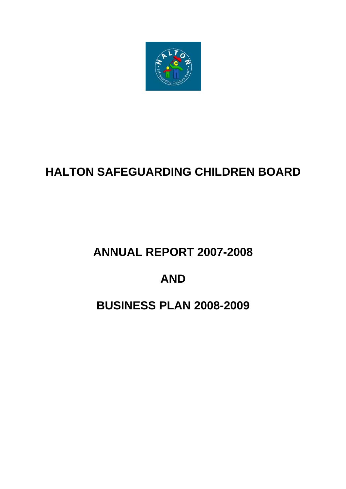

# **HALTON SAFEGUARDING CHILDREN BOARD**

**ANNUAL REPORT 2007-2008** 

# **AND**

# **BUSINESS PLAN 2008-2009**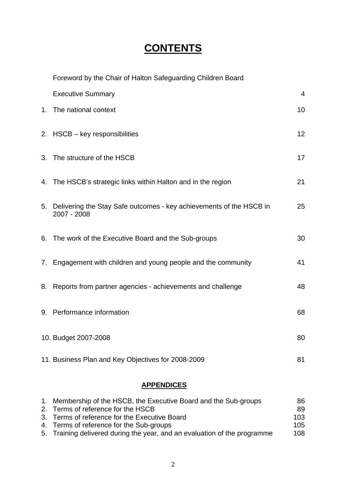# **CONTENTS**

Foreword by the Chair of Halton Safeguarding Children Board

|                                                          | <b>Executive Summary</b>                                                              | $\overline{4}$ |  |  |
|----------------------------------------------------------|---------------------------------------------------------------------------------------|----------------|--|--|
|                                                          | 1. The national context                                                               | 10             |  |  |
|                                                          | 2. HSCB - key responsibilities                                                        | 12             |  |  |
|                                                          | 3. The structure of the HSCB                                                          |                |  |  |
|                                                          | 4. The HSCB's strategic links within Halton and in the region                         | 21             |  |  |
|                                                          | 5. Delivering the Stay Safe outcomes - key achievements of the HSCB in<br>2007 - 2008 | 25             |  |  |
|                                                          | 6. The work of the Executive Board and the Sub-groups                                 | 30             |  |  |
|                                                          | 7. Engagement with children and young people and the community                        | 41             |  |  |
|                                                          | 8. Reports from partner agencies - achievements and challenge                         | 48             |  |  |
|                                                          | 9. Performance information                                                            | 68             |  |  |
| 10. Budget 2007-2008<br>80                               |                                                                                       |                |  |  |
| 11. Business Plan and Key Objectives for 2008-2009<br>81 |                                                                                       |                |  |  |
|                                                          |                                                                                       |                |  |  |

# **APPENDICES**

| 1. Membership of the HSCB, the Executive Board and the Sub-groups         | 86  |
|---------------------------------------------------------------------------|-----|
| 2. Terms of reference for the HSCB                                        | 89  |
| 3. Terms of reference for the Executive Board                             | 103 |
| 4. Terms of reference for the Sub-groups                                  | 105 |
| 5. Training delivered during the year, and an evaluation of the programme | 108 |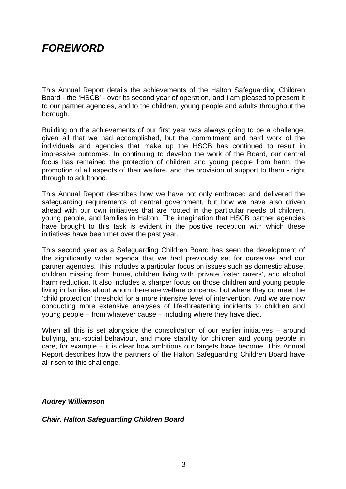# *FOREWORD*

This Annual Report details the achievements of the Halton Safeguarding Children Board - the 'HSCB' - over its second year of operation, and I am pleased to present it to our partner agencies, and to the children, young people and adults throughout the borough.

Building on the achievements of our first year was always going to be a challenge, given all that we had accomplished, but the commitment and hard work of the individuals and agencies that make up the HSCB has continued to result in impressive outcomes. In continuing to develop the work of the Board, our central focus has remained the protection of children and young people from harm, the promotion of all aspects of their welfare, and the provision of support to them - right through to adulthood.

This Annual Report describes how we have not only embraced and delivered the safeguarding requirements of central government, but how we have also driven ahead with our own initiatives that are rooted in the particular needs of children, young people, and families in Halton. The imagination that HSCB partner agencies have brought to this task is evident in the positive reception with which these initiatives have been met over the past year.

This second year as a Safeguarding Children Board has seen the development of the significantly wider agenda that we had previously set for ourselves and our partner agencies. This includes a particular focus on issues such as domestic abuse, children missing from home, children living with 'private foster carers', and alcohol harm reduction. It also includes a sharper focus on those children and young people living in families about whom there are welfare concerns, but where they do meet the 'child protection' threshold for a more intensive level of intervention. And we are now conducting more extensive analyses of life-threatening incidents to children and young people – from whatever cause – including where they have died.

When all this is set alongside the consolidation of our earlier initiatives – around bullying, anti-social behaviour, and more stability for children and young people in care, for example – it is clear how ambitious our targets have become. This Annual Report describes how the partners of the Halton Safeguarding Children Board have all risen to this challenge.

#### *Audrey Williamson*

#### *Chair, Halton Safeguarding Children Board*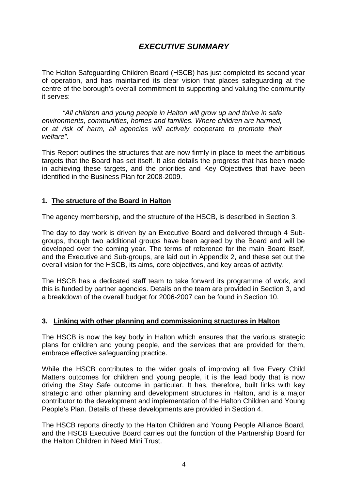# *EXECUTIVE SUMMARY*

The Halton Safeguarding Children Board (HSCB) has just completed its second year of operation, and has maintained its clear vision that places safeguarding at the centre of the borough's overall commitment to supporting and valuing the community it serves:

*"All children and young people in Halton will grow up and thrive in safe environments, communities, homes and families. Where children are harmed, or at risk of harm, all agencies will actively cooperate to promote their welfare".* 

This Report outlines the structures that are now firmly in place to meet the ambitious targets that the Board has set itself. It also details the progress that has been made in achieving these targets, and the priorities and Key Objectives that have been identified in the Business Plan for 2008-2009.

### **1. The structure of the Board in Halton**

The agency membership, and the structure of the HSCB, is described in Section 3.

The day to day work is driven by an Executive Board and delivered through 4 Subgroups, though two additional groups have been agreed by the Board and will be developed over the coming year. The terms of reference for the main Board itself, and the Executive and Sub-groups, are laid out in Appendix 2, and these set out the overall vision for the HSCB, its aims, core objectives, and key areas of activity.

The HSCB has a dedicated staff team to take forward its programme of work, and this is funded by partner agencies. Details on the team are provided in Section 3, and a breakdown of the overall budget for 2006-2007 can be found in Section 10.

#### **3. Linking with other planning and commissioning structures in Halton**

The HSCB is now the key body in Halton which ensures that the various strategic plans for children and young people, and the services that are provided for them, embrace effective safeguarding practice.

While the HSCB contributes to the wider goals of improving all five Every Child Matters outcomes for children and young people, it is the lead body that is now driving the Stay Safe outcome in particular. It has, therefore, built links with key strategic and other planning and development structures in Halton, and is a major contributor to the development and implementation of the Halton Children and Young People's Plan. Details of these developments are provided in Section 4.

The HSCB reports directly to the Halton Children and Young People Alliance Board, and the HSCB Executive Board carries out the function of the Partnership Board for the Halton Children in Need Mini Trust.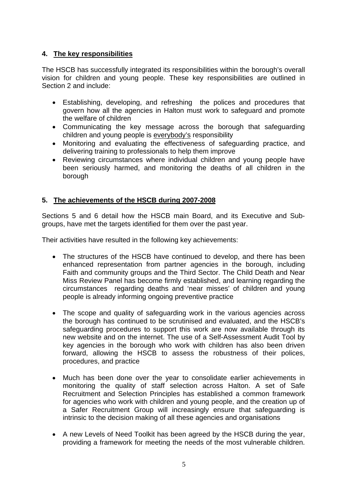# **4. The key responsibilities**

The HSCB has successfully integrated its responsibilities within the borough's overall vision for children and young people. These key responsibilities are outlined in Section 2 and include:

- Establishing, developing, and refreshing the polices and procedures that govern how all the agencies in Halton must work to safeguard and promote the welfare of children
- Communicating the key message across the borough that safeguarding children and young people is everybody's responsibility
- Monitoring and evaluating the effectiveness of safeguarding practice, and delivering training to professionals to help them improve
- Reviewing circumstances where individual children and young people have been seriously harmed, and monitoring the deaths of all children in the borough

# **5. The achievements of the HSCB during 2007-2008**

Sections 5 and 6 detail how the HSCB main Board, and its Executive and Subgroups, have met the targets identified for them over the past year.

Their activities have resulted in the following key achievements:

- The structures of the HSCB have continued to develop, and there has been enhanced representation from partner agencies in the borough, including Faith and community groups and the Third Sector. The Child Death and Near Miss Review Panel has become firmly established, and learning regarding the circumstances regarding deaths and 'near misses' of children and young people is already informing ongoing preventive practice
- The scope and quality of safeguarding work in the various agencies across the borough has continued to be scrutinised and evaluated, and the HSCB's safeguarding procedures to support this work are now available through its new website and on the internet. The use of a Self-Assessment Audit Tool by key agencies in the borough who work with children has also been driven forward, allowing the HSCB to assess the robustness of their polices, procedures, and practice
- Much has been done over the year to consolidate earlier achievements in monitoring the quality of staff selection across Halton. A set of Safe Recruitment and Selection Principles has established a common framework for agencies who work with children and young people, and the creation up of a Safer Recruitment Group will increasingly ensure that safeguarding is intrinsic to the decision making of all these agencies and organisations
- A new Levels of Need Toolkit has been agreed by the HSCB during the year, providing a framework for meeting the needs of the most vulnerable children.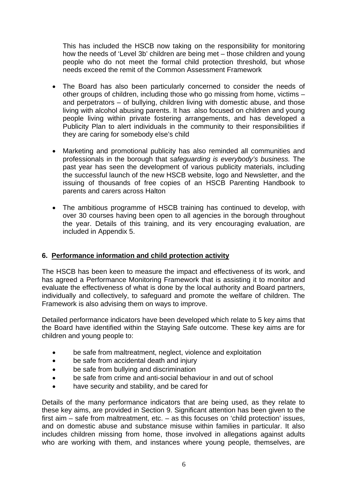This has included the HSCB now taking on the responsibility for monitoring how the needs of 'Level 3b' children are being met – those children and young people who do not meet the formal child protection threshold, but whose needs exceed the remit of the Common Assessment Framework

- The Board has also been particularly concerned to consider the needs of other groups of children, including those who go missing from home, victims – and perpetrators – of bullying, children living with domestic abuse, and those living with alcohol abusing parents. It has also focused on children and young people living within private fostering arrangements, and has developed a Publicity Plan to alert individuals in the community to their responsibilities if they are caring for somebody else's child
- Marketing and promotional publicity has also reminded all communities and professionals in the borough that *safeguarding is everybody's business.* The past year has seen the development of various publicity materials, including the successful launch of the new HSCB website, logo and Newsletter, and the issuing of thousands of free copies of an HSCB Parenting Handbook to parents and carers across Halton
- The ambitious programme of HSCB training has continued to develop, with over 30 courses having been open to all agencies in the borough throughout the year. Details of this training, and its very encouraging evaluation, are included in Appendix 5.

# **6. Performance information and child protection activity**

The HSCB has been keen to measure the impact and effectiveness of its work, and has agreed a Performance Monitoring Framework that is assisting it to monitor and evaluate the effectiveness of what is done by the local authority and Board partners, individually and collectively, to safeguard and promote the welfare of children. The Framework is also advising them on ways to improve.

Detailed performance indicators have been developed which relate to 5 key aims that the Board have identified within the Staying Safe outcome. These key aims are for children and young people to:

- be safe from maltreatment, neglect, violence and exploitation
- be safe from accidental death and injury
- be safe from bullying and discrimination
- be safe from crime and anti-social behaviour in and out of school
- have security and stability, and be cared for

Details of the many performance indicators that are being used, as they relate to these key aims, are provided in Section 9. Significant attention has been given to the first aim – safe from maltreatment, etc. – as this focuses on 'child protection' issues, and on domestic abuse and substance misuse within families in particular. It also includes children missing from home, those involved in allegations against adults who are working with them, and instances where young people, themselves, are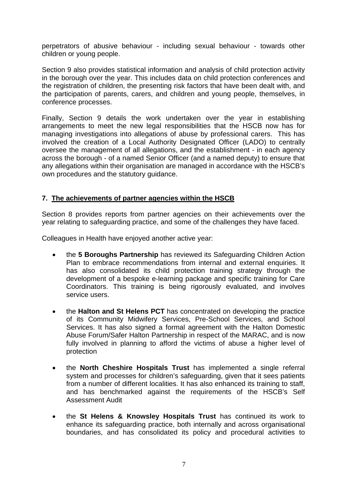perpetrators of abusive behaviour - including sexual behaviour - towards other children or young people.

Section 9 also provides statistical information and analysis of child protection activity in the borough over the year. This includes data on child protection conferences and the registration of children, the presenting risk factors that have been dealt with, and the participation of parents, carers, and children and young people, themselves, in conference processes.

Finally, Section 9 details the work undertaken over the year in establishing arrangements to meet the new legal responsibilities that the HSCB now has for managing investigations into allegations of abuse by professional carers. This has involved the creation of a Local Authority Designated Officer (LADO) to centrally oversee the management of all allegations, and the establishment - in each agency across the borough - of a named Senior Officer (and a named deputy) to ensure that any allegations within their organisation are managed in accordance with the HSCB's own procedures and the statutory guidance.

### **7. The achievements of partner agencies within the HSCB**

Section 8 provides reports from partner agencies on their achievements over the year relating to safeguarding practice, and some of the challenges they have faced.

Colleagues in Health have enjoyed another active year:

- the **5 Boroughs Partnership** has reviewed its Safeguarding Children Action Plan to embrace recommendations from internal and external enquiries. It has also consolidated its child protection training strategy through the development of a bespoke e-learning package and specific training for Care Coordinators. This training is being rigorously evaluated, and involves service users.
- the **Halton and St Helens PCT** has concentrated on developing the practice of its Community Midwifery Services, Pre-School Services, and School Services. It has also signed a formal agreement with the Halton Domestic Abuse Forum/Safer Halton Partnership in respect of the MARAC, and is now fully involved in planning to afford the victims of abuse a higher level of protection
- the **North Cheshire Hospitals Trust** has implemented a single referral system and processes for children's safeguarding, given that it sees patients from a number of different localities. It has also enhanced its training to staff, and has benchmarked against the requirements of the HSCB's Self Assessment Audit
- the **St Helens & Knowsley Hospitals Trust** has continued its work to enhance its safeguarding practice, both internally and across organisational boundaries, and has consolidated its policy and procedural activities to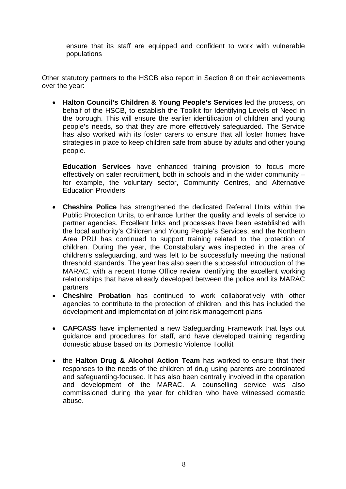ensure that its staff are equipped and confident to work with vulnerable populations

Other statutory partners to the HSCB also report in Section 8 on their achievements over the year:

• **Halton Council's Children & Young People's Services** led the process, on behalf of the HSCB, to establish the Toolkit for Identifying Levels of Need in the borough. This will ensure the earlier identification of children and young people's needs, so that they are more effectively safeguarded. The Service has also worked with its foster carers to ensure that all foster homes have strategies in place to keep children safe from abuse by adults and other young people.

**Education Services** have enhanced training provision to focus more effectively on safer recruitment, both in schools and in the wider community – for example, the voluntary sector, Community Centres, and Alternative Education Providers

- **Cheshire Police** has strengthened the dedicated Referral Units within the Public Protection Units, to enhance further the quality and levels of service to partner agencies. Excellent links and processes have been established with the local authority's Children and Young People's Services, and the Northern Area PRU has continued to support training related to the protection of children. During the year, the Constabulary was inspected in the area of children's safeguarding, and was felt to be successfully meeting the national threshold standards. The year has also seen the successful introduction of the MARAC, with a recent Home Office review identifying the excellent working relationships that have already developed between the police and its MARAC partners
- **Cheshire Probation** has continued to work collaboratively with other agencies to contribute to the protection of children, and this has included the development and implementation of joint risk management plans
- **CAFCASS** have implemented a new Safeguarding Framework that lays out guidance and procedures for staff, and have developed training regarding domestic abuse based on its Domestic Violence Toolkit
- the **Halton Drug & Alcohol Action Team** has worked to ensure that their responses to the needs of the children of drug using parents are coordinated and safeguarding-focused. It has also been centrally involved in the operation and development of the MARAC. A counselling service was also commissioned during the year for children who have witnessed domestic abuse.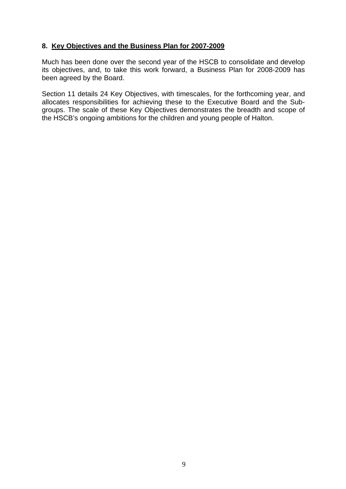## **8. Key Objectives and the Business Plan for 2007-2009**

Much has been done over the second year of the HSCB to consolidate and develop its objectives, and, to take this work forward, a Business Plan for 2008-2009 has been agreed by the Board.

Section 11 details 24 Key Objectives, with timescales, for the forthcoming year, and allocates responsibilities for achieving these to the Executive Board and the Subgroups. The scale of these Key Objectives demonstrates the breadth and scope of the HSCB's ongoing ambitions for the children and young people of Halton.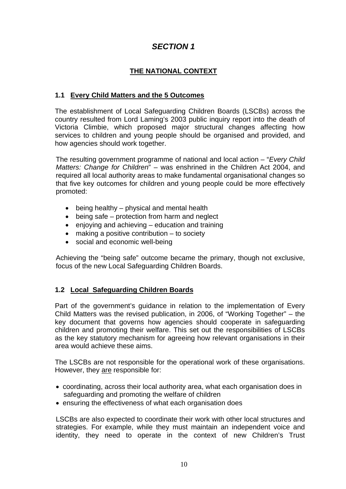# *SECTION 1*

# **THE NATIONAL CONTEXT**

# **1.1 Every Child Matters and the 5 Outcomes**

The establishment of Local Safeguarding Children Boards (LSCBs) across the country resulted from Lord Laming's 2003 public inquiry report into the death of Victoria Climbie, which proposed major structural changes affecting how services to children and young people should be organised and provided, and how agencies should work together.

The resulting government programme of national and local action – "*Every Child Matters: Change for Children*" – was enshrined in the Children Act 2004, and required all local authority areas to make fundamental organisational changes so that five key outcomes for children and young people could be more effectively promoted:

- being healthy physical and mental health
- being safe protection from harm and neglect
- enjoying and achieving education and training
- making a positive contribution to society
- social and economic well-being

Achieving the "being safe" outcome became the primary, though not exclusive, focus of the new Local Safeguarding Children Boards.

# **1.2 Local Safeguarding Children Boards**

Part of the government's guidance in relation to the implementation of Every Child Matters was the revised publication, in 2006, of "Working Together" – the key document that governs how agencies should cooperate in safeguarding children and promoting their welfare. This set out the responsibilities of LSCBs as the key statutory mechanism for agreeing how relevant organisations in their area would achieve these aims.

The LSCBs are not responsible for the operational work of these organisations. However, they are responsible for:

- coordinating, across their local authority area, what each organisation does in safeguarding and promoting the welfare of children
- ensuring the effectiveness of what each organisation does

LSCBs are also expected to coordinate their work with other local structures and strategies. For example, while they must maintain an independent voice and identity, they need to operate in the context of new Children's Trust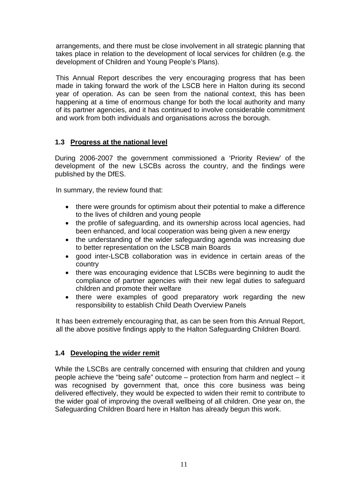arrangements, and there must be close involvement in all strategic planning that takes place in relation to the development of local services for children (e.g. the development of Children and Young People's Plans).

This Annual Report describes the very encouraging progress that has been made in taking forward the work of the LSCB here in Halton during its second year of operation. As can be seen from the national context, this has been happening at a time of enormous change for both the local authority and many of its partner agencies, and it has continued to involve considerable commitment and work from both individuals and organisations across the borough.

# **1.3 Progress at the national level**

During 2006-2007 the government commissioned a 'Priority Review' of the development of the new LSCBs across the country, and the findings were published by the DfES.

In summary, the review found that:

- there were grounds for optimism about their potential to make a difference to the lives of children and young people
- the profile of safeguarding, and its ownership across local agencies, had been enhanced, and local cooperation was being given a new energy
- the understanding of the wider safeguarding agenda was increasing due to better representation on the LSCB main Boards
- good inter-LSCB collaboration was in evidence in certain areas of the country
- there was encouraging evidence that LSCBs were beginning to audit the compliance of partner agencies with their new legal duties to safeguard children and promote their welfare
- there were examples of good preparatory work regarding the new responsibility to establish Child Death Overview Panels

It has been extremely encouraging that, as can be seen from this Annual Report, all the above positive findings apply to the Halton Safeguarding Children Board.

# **1.4 Developing the wider remit**

While the LSCBs are centrally concerned with ensuring that children and young people achieve the "being safe" outcome – protection from harm and neglect – it was recognised by government that, once this core business was being delivered effectively, they would be expected to widen their remit to contribute to the wider goal of improving the overall wellbeing of all children. One year on, the Safeguarding Children Board here in Halton has already begun this work.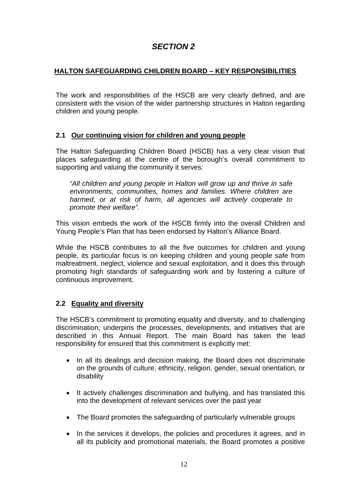# *SECTION 2*

# **HALTON SAFEGUARDING CHILDREN BOARD – KEY RESPONSIBILITIES**

The work and responsibilities of the HSCB are very clearly defined, and are consistent with the vision of the wider partnership structures in Halton regarding children and young people.

# **2.1 Our continuing vision for children and young people**

The Halton Safeguarding Children Board (HSCB) has a very clear vision that places safeguarding at the centre of the borough's overall commitment to supporting and valuing the community it serves:

*"All children and young people in Halton will grow up and thrive in safe environments, communities, homes and families. Where children are harmed, or at risk of harm, all agencies will actively cooperate to promote their welfare".* 

This vision embeds the work of the HSCB firmly into the overall Children and Young People's Plan that has been endorsed by Halton's Alliance Board.

While the HSCB contributes to all the five outcomes for children and young people, its particular focus is on keeping children and young people safe from maltreatment, neglect, violence and sexual exploitation, and it does this through promoting high standards of safeguarding work and by fostering a culture of continuous improvement.

# **2.2 Equality and diversity**

The HSCB's commitment to promoting equality and diversity, and to challenging discrimination, underpins the processes, developments, and initiatives that are described in this Annual Report. The main Board has taken the lead responsibility for ensured that this commitment is explicitly met:

- In all its dealings and decision making, the Board does not discriminate on the grounds of culture, ethnicity, religion, gender, sexual orientation, or disability
- It actively challenges discrimination and bullying, and has translated this into the development of relevant services over the past year
- The Board promotes the safeguarding of particularly vulnerable groups
- In the services it develops, the policies and procedures it agrees, and in all its publicity and promotional materials, the Board promotes a positive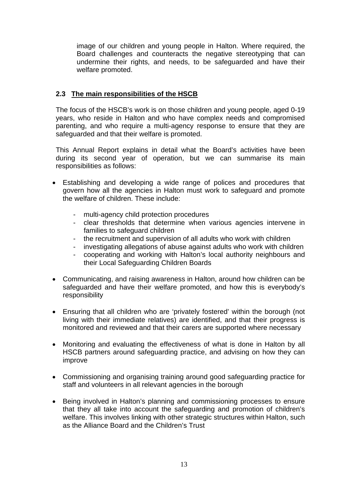image of our children and young people in Halton. Where required, the Board challenges and counteracts the negative stereotyping that can undermine their rights, and needs, to be safeguarded and have their welfare promoted.

## **2.3 The main responsibilities of the HSCB**

The focus of the HSCB's work is on those children and young people, aged 0-19 years, who reside in Halton and who have complex needs and compromised parenting, and who require a multi-agency response to ensure that they are safeguarded and that their welfare is promoted.

This Annual Report explains in detail what the Board's activities have been during its second year of operation, but we can summarise its main responsibilities as follows:

- Establishing and developing a wide range of polices and procedures that govern how all the agencies in Halton must work to safeguard and promote the welfare of children. These include:
	- multi-agency child protection procedures
	- clear thresholds that determine when various agencies intervene in families to safeguard children
	- the recruitment and supervision of all adults who work with children
	- investigating allegations of abuse against adults who work with children
	- cooperating and working with Halton's local authority neighbours and their Local Safeguarding Children Boards
- Communicating, and raising awareness in Halton, around how children can be safeguarded and have their welfare promoted, and how this is everybody's responsibility
- Ensuring that all children who are 'privately fostered' within the borough (not living with their immediate relatives) are identified, and that their progress is monitored and reviewed and that their carers are supported where necessary
- Monitoring and evaluating the effectiveness of what is done in Halton by all HSCB partners around safeguarding practice, and advising on how they can improve
- Commissioning and organising training around good safeguarding practice for staff and volunteers in all relevant agencies in the borough
- Being involved in Halton's planning and commissioning processes to ensure that they all take into account the safeguarding and promotion of children's welfare. This involves linking with other strategic structures within Halton, such as the Alliance Board and the Children's Trust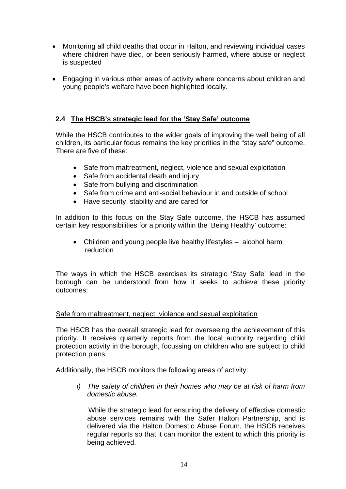- Monitoring all child deaths that occur in Halton, and reviewing individual cases where children have died, or been seriously harmed, where abuse or neglect is suspected
- Engaging in various other areas of activity where concerns about children and young people's welfare have been highlighted locally.

# **2.4 The HSCB's strategic lead for the 'Stay Safe' outcome**

While the HSCB contributes to the wider goals of improving the well being of all children, its particular focus remains the key priorities in the "stay safe" outcome. There are five of these:

- Safe from maltreatment, neglect, violence and sexual exploitation
- Safe from accidental death and injury
- Safe from bullying and discrimination
- Safe from crime and anti-social behaviour in and outside of school
- Have security, stability and are cared for

In addition to this focus on the Stay Safe outcome, the HSCB has assumed certain key responsibilities for a priority within the 'Being Healthy' outcome:

• Children and young people live healthy lifestyles – alcohol harm reduction

The ways in which the HSCB exercises its strategic 'Stay Safe' lead in the borough can be understood from how it seeks to achieve these priority outcomes:

#### Safe from maltreatment, neglect, violence and sexual exploitation

The HSCB has the overall strategic lead for overseeing the achievement of this priority. It receives quarterly reports from the local authority regarding child protection activity in the borough, focussing on children who are subject to child protection plans.

Additionally, the HSCB monitors the following areas of activity:

*i) The safety of children in their homes who may be at risk of harm from domestic abuse.* 

 While the strategic lead for ensuring the delivery of effective domestic abuse services remains with the Safer Halton Partnership, and is delivered via the Halton Domestic Abuse Forum, the HSCB receives regular reports so that it can monitor the extent to which this priority is being achieved.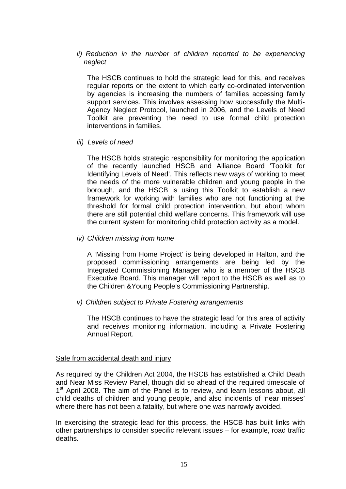#### ii) Reduction in the number of children reported to be experiencing *neglect*

The HSCB continues to hold the strategic lead for this, and receives regular reports on the extent to which early co-ordinated intervention by agencies is increasing the numbers of families accessing family support services. This involves assessing how successfully the Multi-Agency Neglect Protocol, launched in 2006, and the Levels of Need Toolkit are preventing the need to use formal child protection interventions in families.

*iii) Levels of need* 

The HSCB holds strategic responsibility for monitoring the application of the recently launched HSCB and Alliance Board 'Toolkit for Identifying Levels of Need'. This reflects new ways of working to meet the needs of the more vulnerable children and young people in the borough, and the HSCB is using this Toolkit to establish a new framework for working with families who are not functioning at the threshold for formal child protection intervention, but about whom there are still potential child welfare concerns. This framework will use the current system for monitoring child protection activity as a model.

#### *iv) Children missing from home*

A 'Missing from Home Project' is being developed in Halton, and the proposed commissioning arrangements are being led by the Integrated Commissioning Manager who is a member of the HSCB Executive Board. This manager will report to the HSCB as well as to the Children &Young People's Commissioning Partnership.

#### *v) Children subject to Private Fostering arrangements*

The HSCB continues to have the strategic lead for this area of activity and receives monitoring information, including a Private Fostering Annual Report.

#### Safe from accidental death and injury

As required by the Children Act 2004, the HSCB has established a Child Death and Near Miss Review Panel, though did so ahead of the required timescale of 1<sup>st</sup> April 2008. The aim of the Panel is to review, and learn lessons about, all child deaths of children and young people, and also incidents of 'near misses' where there has not been a fatality, but where one was narrowly avoided.

In exercising the strategic lead for this process, the HSCB has built links with other partnerships to consider specific relevant issues – for example, road traffic deaths.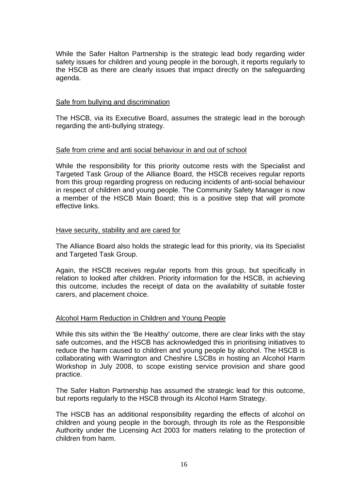While the Safer Halton Partnership is the strategic lead body regarding wider safety issues for children and young people in the borough, it reports regularly to the HSCB as there are clearly issues that impact directly on the safeguarding agenda.

#### Safe from bullying and discrimination

The HSCB, via its Executive Board, assumes the strategic lead in the borough regarding the anti-bullying strategy.

#### Safe from crime and anti social behaviour in and out of school

While the responsibility for this priority outcome rests with the Specialist and Targeted Task Group of the Alliance Board, the HSCB receives regular reports from this group regarding progress on reducing incidents of anti-social behaviour in respect of children and young people. The Community Safety Manager is now a member of the HSCB Main Board; this is a positive step that will promote effective links.

#### Have security, stability and are cared for

The Alliance Board also holds the strategic lead for this priority, via its Specialist and Targeted Task Group.

Again, the HSCB receives regular reports from this group, but specifically in relation to looked after children. Priority information for the HSCB, in achieving this outcome, includes the receipt of data on the availability of suitable foster carers, and placement choice.

#### Alcohol Harm Reduction in Children and Young People

While this sits within the 'Be Healthy' outcome, there are clear links with the stay safe outcomes, and the HSCB has acknowledged this in prioritising initiatives to reduce the harm caused to children and young people by alcohol. The HSCB is collaborating with Warrington and Cheshire LSCBs in hosting an Alcohol Harm Workshop in July 2008, to scope existing service provision and share good practice.

The Safer Halton Partnership has assumed the strategic lead for this outcome, but reports regularly to the HSCB through its Alcohol Harm Strategy.

The HSCB has an additional responsibility regarding the effects of alcohol on children and young people in the borough, through its role as the Responsible Authority under the Licensing Act 2003 for matters relating to the protection of children from harm.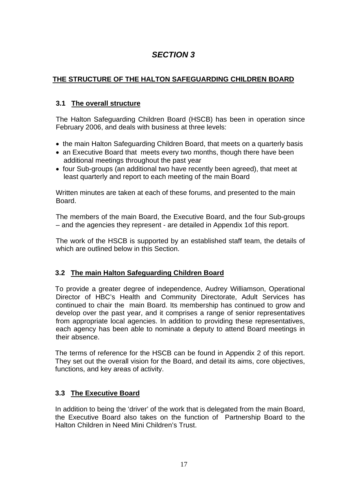# *SECTION 3*

# **THE STRUCTURE OF THE HALTON SAFEGUARDING CHILDREN BOARD**

# **3.1 The overall structure**

The Halton Safeguarding Children Board (HSCB) has been in operation since February 2006, and deals with business at three levels:

- the main Halton Safeguarding Children Board, that meets on a quarterly basis
- an Executive Board that meets every two months, though there have been additional meetings throughout the past year
- four Sub-groups (an additional two have recently been agreed), that meet at least quarterly and report to each meeting of the main Board

Written minutes are taken at each of these forums, and presented to the main Board.

The members of the main Board, the Executive Board, and the four Sub-groups – and the agencies they represent - are detailed in Appendix 1of this report.

The work of the HSCB is supported by an established staff team, the details of which are outlined below in this Section.

# **3.2 The main Halton Safeguarding Children Board**

To provide a greater degree of independence, Audrey Williamson, Operational Director of HBC's Health and Community Directorate, Adult Services has continued to chair the main Board. Its membership has continued to grow and develop over the past year, and it comprises a range of senior representatives from appropriate local agencies. In addition to providing these representatives, each agency has been able to nominate a deputy to attend Board meetings in their absence.

The terms of reference for the HSCB can be found in Appendix 2 of this report. They set out the overall vision for the Board, and detail its aims, core objectives, functions, and key areas of activity.

# **3.3 The Executive Board**

In addition to being the 'driver' of the work that is delegated from the main Board, the Executive Board also takes on the function of Partnership Board to the Halton Children in Need Mini Children's Trust.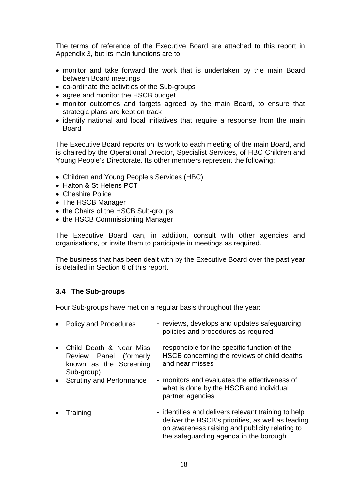The terms of reference of the Executive Board are attached to this report in Appendix 3, but its main functions are to:

- monitor and take forward the work that is undertaken by the main Board between Board meetings
- co-ordinate the activities of the Sub-groups
- agree and monitor the HSCB budget
- monitor outcomes and targets agreed by the main Board, to ensure that strategic plans are kept on track
- identify national and local initiatives that require a response from the main Board

The Executive Board reports on its work to each meeting of the main Board, and is chaired by the Operational Director, Specialist Services, of HBC Children and Young People's Directorate. Its other members represent the following:

- Children and Young People's Services (HBC)
- Halton & St Helens PCT
- Cheshire Police
- The HSCB Manager
- the Chairs of the HSCB Sub-groups
- the HSCB Commissioning Manager

The Executive Board can, in addition, consult with other agencies and organisations, or invite them to participate in meetings as required.

The business that has been dealt with by the Executive Board over the past year is detailed in Section 6 of this report.

#### **3.4 The Sub-groups**

Four Sub-groups have met on a regular basis throughout the year:

| $\bullet$ | <b>Policy and Procedures</b>                                                                  | - reviews, develops and updates safeguarding<br>policies and procedures as required                                                                                                                  |
|-----------|-----------------------------------------------------------------------------------------------|------------------------------------------------------------------------------------------------------------------------------------------------------------------------------------------------------|
| $\bullet$ | Child Death & Near Miss<br>Review Panel<br>(formerly)<br>known as the Screening<br>Sub-group) | responsible for the specific function of the<br>HSCB concerning the reviews of child deaths<br>and near misses                                                                                       |
| $\bullet$ | <b>Scrutiny and Performance</b>                                                               | - monitors and evaluates the effectiveness of<br>what is done by the HSCB and individual<br>partner agencies                                                                                         |
| $\bullet$ | Training                                                                                      | - identifies and delivers relevant training to help<br>deliver the HSCB's priorities, as well as leading<br>on awareness raising and publicity relating to<br>the safeguarding agenda in the borough |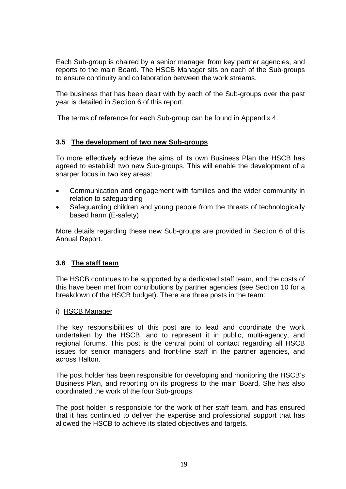Each Sub-group is chaired by a senior manager from key partner agencies, and reports to the main Board. The HSCB Manager sits on each of the Sub-groups to ensure continuity and collaboration between the work streams.

The business that has been dealt with by each of the Sub-groups over the past year is detailed in Section 6 of this report.

The terms of reference for each Sub-group can be found in Appendix 4.

### **3.5 The development of two new Sub-groups**

To more effectively achieve the aims of its own Business Plan the HSCB has agreed to establish two new Sub-groups. This will enable the development of a sharper focus in two key areas:

- Communication and engagement with families and the wider community in relation to safeguarding
- Safeguarding children and young people from the threats of technologically based harm (E-safety)

More details regarding these new Sub-groups are provided in Section 6 of this Annual Report.

# **3.6 The staff team**

The HSCB continues to be supported by a dedicated staff team, and the costs of this have been met from contributions by partner agencies (see Section 10 for a breakdown of the HSCB budget). There are three posts in the team:

#### i) HSCB Manager

The key responsibilities of this post are to lead and coordinate the work undertaken by the HSCB, and to represent it in public, multi-agency, and regional forums. This post is the central point of contact regarding all HSCB issues for senior managers and front-line staff in the partner agencies, and across Halton.

The post holder has been responsible for developing and monitoring the HSCB's Business Plan, and reporting on its progress to the main Board. She has also coordinated the work of the four Sub-groups.

The post holder is responsible for the work of her staff team, and has ensured that it has continued to deliver the expertise and professional support that has allowed the HSCB to achieve its stated objectives and targets.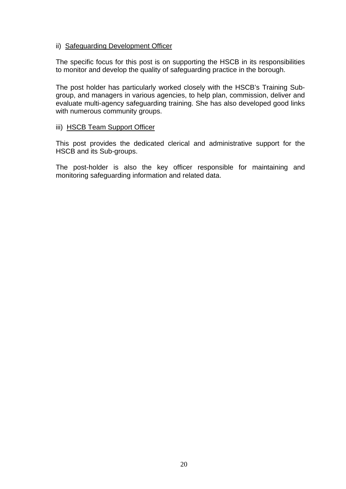#### ii) Safeguarding Development Officer

The specific focus for this post is on supporting the HSCB in its responsibilities to monitor and develop the quality of safeguarding practice in the borough.

The post holder has particularly worked closely with the HSCB's Training Subgroup, and managers in various agencies, to help plan, commission, deliver and evaluate multi-agency safeguarding training. She has also developed good links with numerous community groups.

#### iii) HSCB Team Support Officer

This post provides the dedicated clerical and administrative support for the HSCB and its Sub-groups.

The post-holder is also the key officer responsible for maintaining and monitoring safeguarding information and related data.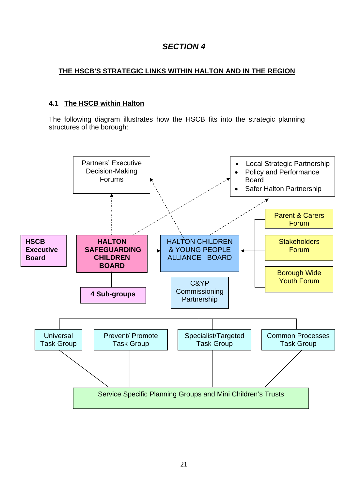# *SECTION 4*

# **THE HSCB'S STRATEGIC LINKS WITHIN HALTON AND IN THE REGION**

## **4.1 The HSCB within Halton**

The following diagram illustrates how the HSCB fits into the strategic planning structures of the borough:

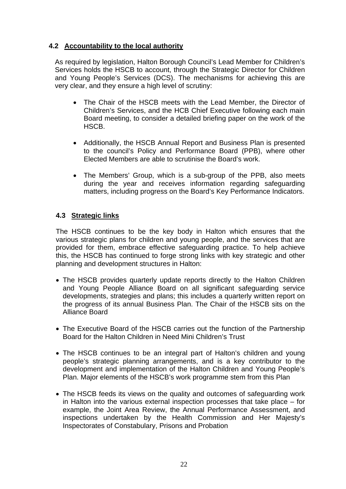# **4.2 Accountability to the local authority**

As required by legislation, Halton Borough Council's Lead Member for Children's Services holds the HSCB to account, through the Strategic Director for Children and Young People's Services (DCS). The mechanisms for achieving this are very clear, and they ensure a high level of scrutiny:

- The Chair of the HSCB meets with the Lead Member, the Director of Children's Services, and the HCB Chief Executive following each main Board meeting, to consider a detailed briefing paper on the work of the HSCB.
- Additionally, the HSCB Annual Report and Business Plan is presented to the council's Policy and Performance Board (PPB), where other Elected Members are able to scrutinise the Board's work.
- The Members' Group, which is a sub-group of the PPB, also meets during the year and receives information regarding safeguarding matters, including progress on the Board's Key Performance Indicators.

# **4.3 Strategic links**

The HSCB continues to be the key body in Halton which ensures that the various strategic plans for children and young people, and the services that are provided for them, embrace effective safeguarding practice. To help achieve this, the HSCB has continued to forge strong links with key strategic and other planning and development structures in Halton:

- The HSCB provides quarterly update reports directly to the Halton Children and Young People Alliance Board on all significant safeguarding service developments, strategies and plans; this includes a quarterly written report on the progress of its annual Business Plan. The Chair of the HSCB sits on the Alliance Board
- The Executive Board of the HSCB carries out the function of the Partnership Board for the Halton Children in Need Mini Children's Trust
- The HSCB continues to be an integral part of Halton's children and young people's strategic planning arrangements, and is a key contributor to the development and implementation of the Halton Children and Young People's Plan. Major elements of the HSCB's work programme stem from this Plan
- The HSCB feeds its views on the quality and outcomes of safeguarding work in Halton into the various external inspection processes that take place – for example, the Joint Area Review, the Annual Performance Assessment, and inspections undertaken by the Health Commission and Her Majesty's Inspectorates of Constabulary, Prisons and Probation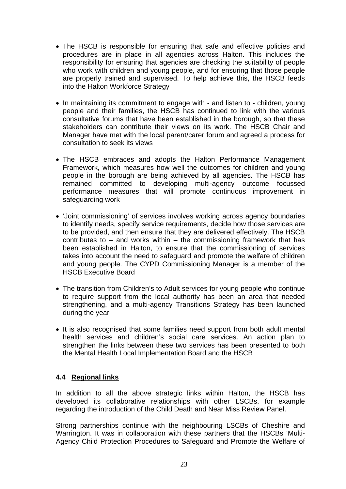- The HSCB is responsible for ensuring that safe and effective policies and procedures are in place in all agencies across Halton. This includes the responsibility for ensuring that agencies are checking the suitability of people who work with children and young people, and for ensuring that those people are properly trained and supervised. To help achieve this, the HSCB feeds into the Halton Workforce Strategy
- In maintaining its commitment to engage with and listen to children, young people and their families, the HSCB has continued to link with the various consultative forums that have been established in the borough, so that these stakeholders can contribute their views on its work. The HSCB Chair and Manager have met with the local parent/carer forum and agreed a process for consultation to seek its views
- The HSCB embraces and adopts the Halton Performance Management Framework, which measures how well the outcomes for children and young people in the borough are being achieved by all agencies. The HSCB has remained committed to developing multi-agency outcome focussed performance measures that will promote continuous improvement in safeguarding work
- 'Joint commissioning' of services involves working across agency boundaries to identify needs, specify service requirements, decide how those services are to be provided, and then ensure that they are delivered effectively. The HSCB contributes to  $-$  and works within  $-$  the commissioning framework that has been established in Halton, to ensure that the commissioning of services takes into account the need to safeguard and promote the welfare of children and young people. The CYPD Commissioning Manager is a member of the HSCB Executive Board
- The transition from Children's to Adult services for young people who continue to require support from the local authority has been an area that needed strengthening, and a multi-agency Transitions Strategy has been launched during the year
- It is also recognised that some families need support from both adult mental health services and children's social care services. An action plan to strengthen the links between these two services has been presented to both the Mental Health Local Implementation Board and the HSCB

#### **4.4 Regional links**

In addition to all the above strategic links within Halton, the HSCB has developed its collaborative relationships with other LSCBs, for example regarding the introduction of the Child Death and Near Miss Review Panel.

Strong partnerships continue with the neighbouring LSCBs of Cheshire and Warrington. It was in collaboration with these partners that the HSCBs 'Multi-Agency Child Protection Procedures to Safeguard and Promote the Welfare of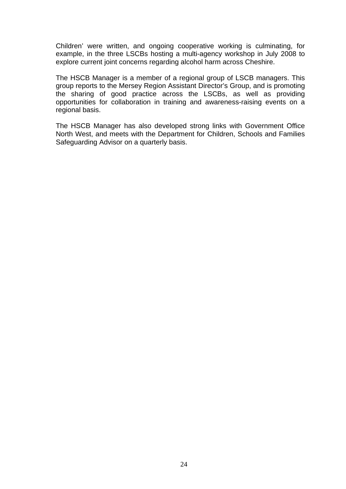Children' were written, and ongoing cooperative working is culminating, for example, in the three LSCBs hosting a multi-agency workshop in July 2008 to explore current joint concerns regarding alcohol harm across Cheshire.

The HSCB Manager is a member of a regional group of LSCB managers. This group reports to the Mersey Region Assistant Director's Group, and is promoting the sharing of good practice across the LSCBs, as well as providing opportunities for collaboration in training and awareness-raising events on a regional basis.

The HSCB Manager has also developed strong links with Government Office North West, and meets with the Department for Children, Schools and Families Safeguarding Advisor on a quarterly basis.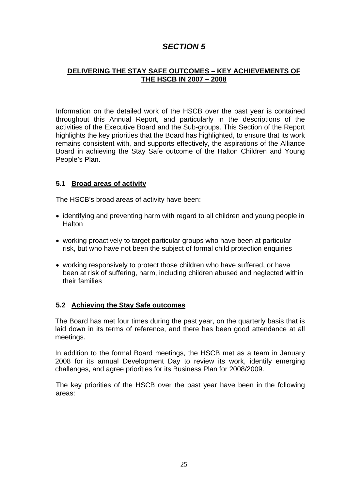# *SECTION 5*

# **DELIVERING THE STAY SAFE OUTCOMES – KEY ACHIEVEMENTS OF THE HSCB IN 2007 – 2008**

Information on the detailed work of the HSCB over the past year is contained throughout this Annual Report, and particularly in the descriptions of the activities of the Executive Board and the Sub-groups. This Section of the Report highlights the key priorities that the Board has highlighted, to ensure that its work remains consistent with, and supports effectively, the aspirations of the Alliance Board in achieving the Stay Safe outcome of the Halton Children and Young People's Plan.

### **5.1 Broad areas of activity**

The HSCB's broad areas of activity have been:

- identifying and preventing harm with regard to all children and young people in **Halton**
- working proactively to target particular groups who have been at particular risk, but who have not been the subject of formal child protection enquiries
- working responsively to protect those children who have suffered, or have been at risk of suffering, harm, including children abused and neglected within their families

# **5.2 Achieving the Stay Safe outcomes**

The Board has met four times during the past year, on the quarterly basis that is laid down in its terms of reference, and there has been good attendance at all meetings.

In addition to the formal Board meetings, the HSCB met as a team in January 2008 for its annual Development Day to review its work, identify emerging challenges, and agree priorities for its Business Plan for 2008/2009.

The key priorities of the HSCB over the past year have been in the following areas: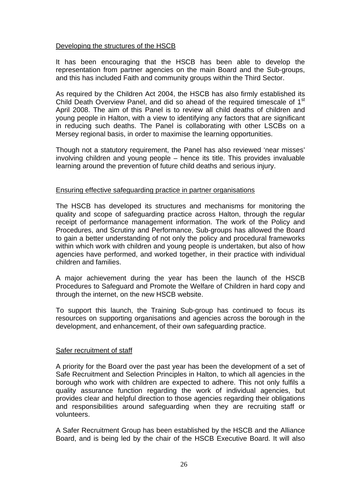#### Developing the structures of the HSCB

It has been encouraging that the HSCB has been able to develop the representation from partner agencies on the main Board and the Sub-groups, and this has included Faith and community groups within the Third Sector.

As required by the Children Act 2004, the HSCB has also firmly established its Child Death Overview Panel, and did so ahead of the required timescale of 1<sup>st</sup> April 2008. The aim of this Panel is to review all child deaths of children and young people in Halton, with a view to identifying any factors that are significant in reducing such deaths. The Panel is collaborating with other LSCBs on a Mersey regional basis, in order to maximise the learning opportunities.

Though not a statutory requirement, the Panel has also reviewed 'near misses' involving children and young people – hence its title. This provides invaluable learning around the prevention of future child deaths and serious injury.

#### Ensuring effective safeguarding practice in partner organisations

The HSCB has developed its structures and mechanisms for monitoring the quality and scope of safeguarding practice across Halton, through the regular receipt of performance management information. The work of the Policy and Procedures, and Scrutiny and Performance, Sub-groups has allowed the Board to gain a better understanding of not only the policy and procedural frameworks within which work with children and young people is undertaken, but also of how agencies have performed, and worked together, in their practice with individual children and families.

A major achievement during the year has been the launch of the HSCB Procedures to Safeguard and Promote the Welfare of Children in hard copy and through the internet, on the new HSCB website.

To support this launch, the Training Sub-group has continued to focus its resources on supporting organisations and agencies across the borough in the development, and enhancement, of their own safeguarding practice.

#### Safer recruitment of staff

A priority for the Board over the past year has been the development of a set of Safe Recruitment and Selection Principles in Halton, to which all agencies in the borough who work with children are expected to adhere. This not only fulfils a quality assurance function regarding the work of individual agencies, but provides clear and helpful direction to those agencies regarding their obligations and responsibilities around safeguarding when they are recruiting staff or volunteers.

A Safer Recruitment Group has been established by the HSCB and the Alliance Board, and is being led by the chair of the HSCB Executive Board. It will also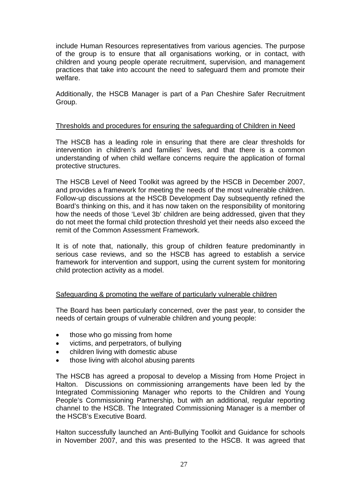include Human Resources representatives from various agencies. The purpose of the group is to ensure that all organisations working, or in contact, with children and young people operate recruitment, supervision, and management practices that take into account the need to safeguard them and promote their welfare.

Additionally, the HSCB Manager is part of a Pan Cheshire Safer Recruitment Group.

#### Thresholds and procedures for ensuring the safeguarding of Children in Need

The HSCB has a leading role in ensuring that there are clear thresholds for intervention in children's and families' lives, and that there is a common understanding of when child welfare concerns require the application of formal protective structures.

The HSCB Level of Need Toolkit was agreed by the HSCB in December 2007, and provides a framework for meeting the needs of the most vulnerable children. Follow-up discussions at the HSCB Development Day subsequently refined the Board's thinking on this, and it has now taken on the responsibility of monitoring how the needs of those 'Level 3b' children are being addressed, given that they do not meet the formal child protection threshold yet their needs also exceed the remit of the Common Assessment Framework.

It is of note that, nationally, this group of children feature predominantly in serious case reviews, and so the HSCB has agreed to establish a service framework for intervention and support, using the current system for monitoring child protection activity as a model.

#### Safeguarding & promoting the welfare of particularly vulnerable children

The Board has been particularly concerned, over the past year, to consider the needs of certain groups of vulnerable children and young people:

- those who go missing from home
- victims, and perpetrators, of bullying
- children living with domestic abuse
- those living with alcohol abusing parents

The HSCB has agreed a proposal to develop a Missing from Home Project in Halton. Discussions on commissioning arrangements have been led by the Integrated Commissioning Manager who reports to the Children and Young People's Commissioning Partnership, but with an additional, regular reporting channel to the HSCB. The Integrated Commissioning Manager is a member of the HSCB's Executive Board.

Halton successfully launched an Anti-Bullying Toolkit and Guidance for schools in November 2007, and this was presented to the HSCB. It was agreed that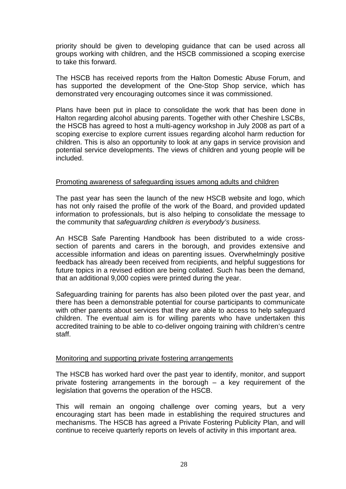priority should be given to developing guidance that can be used across all groups working with children, and the HSCB commissioned a scoping exercise to take this forward.

The HSCB has received reports from the Halton Domestic Abuse Forum, and has supported the development of the One-Stop Shop service, which has demonstrated very encouraging outcomes since it was commissioned.

Plans have been put in place to consolidate the work that has been done in Halton regarding alcohol abusing parents. Together with other Cheshire LSCBs, the HSCB has agreed to host a multi-agency workshop in July 2008 as part of a scoping exercise to explore current issues regarding alcohol harm reduction for children. This is also an opportunity to look at any gaps in service provision and potential service developments. The views of children and young people will be included.

#### Promoting awareness of safeguarding issues among adults and children

The past year has seen the launch of the new HSCB website and logo, which has not only raised the profile of the work of the Board, and provided updated information to professionals, but is also helping to consolidate the message to the community that *safeguarding children is everybody's business.*

An HSCB Safe Parenting Handbook has been distributed to a wide crosssection of parents and carers in the borough, and provides extensive and accessible information and ideas on parenting issues. Overwhelmingly positive feedback has already been received from recipients, and helpful suggestions for future topics in a revised edition are being collated. Such has been the demand, that an additional 9,000 copies were printed during the year.

Safeguarding training for parents has also been piloted over the past year, and there has been a demonstrable potential for course participants to communicate with other parents about services that they are able to access to help safeguard children. The eventual aim is for willing parents who have undertaken this accredited training to be able to co-deliver ongoing training with children's centre staff.

#### Monitoring and supporting private fostering arrangements

The HSCB has worked hard over the past year to identify, monitor, and support private fostering arrangements in the borough – a key requirement of the legislation that governs the operation of the HSCB.

This will remain an ongoing challenge over coming years, but a very encouraging start has been made in establishing the required structures and mechanisms. The HSCB has agreed a Private Fostering Publicity Plan, and will continue to receive quarterly reports on levels of activity in this important area.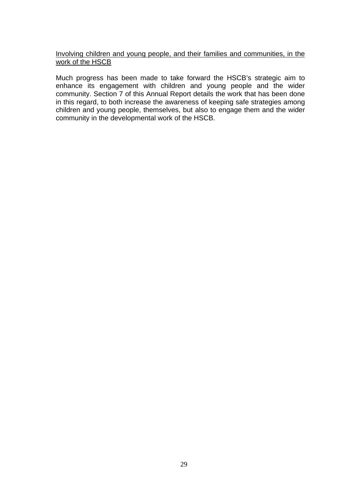### Involving children and young people, and their families and communities, in the work of the HSCB

Much progress has been made to take forward the HSCB's strategic aim to enhance its engagement with children and young people and the wider community. Section 7 of this Annual Report details the work that has been done in this regard, to both increase the awareness of keeping safe strategies among children and young people, themselves, but also to engage them and the wider community in the developmental work of the HSCB.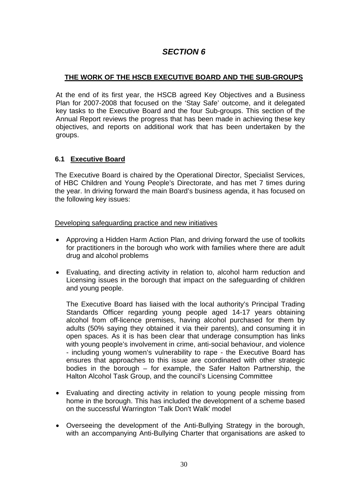# *SECTION 6*

## **THE WORK OF THE HSCB EXECUTIVE BOARD AND THE SUB-GROUPS**

At the end of its first year, the HSCB agreed Key Objectives and a Business Plan for 2007-2008 that focused on the 'Stay Safe' outcome, and it delegated key tasks to the Executive Board and the four Sub-groups. This section of the Annual Report reviews the progress that has been made in achieving these key objectives, and reports on additional work that has been undertaken by the groups.

### **6.1 Executive Board**

The Executive Board is chaired by the Operational Director, Specialist Services, of HBC Children and Young People's Directorate, and has met 7 times during the year. In driving forward the main Board's business agenda, it has focused on the following key issues:

Developing safeguarding practice and new initiatives

- Approving a Hidden Harm Action Plan, and driving forward the use of toolkits for practitioners in the borough who work with families where there are adult drug and alcohol problems
- Evaluating, and directing activity in relation to, alcohol harm reduction and Licensing issues in the borough that impact on the safeguarding of children and young people.

The Executive Board has liaised with the local authority's Principal Trading Standards Officer regarding young people aged 14-17 years obtaining alcohol from off-licence premises, having alcohol purchased for them by adults (50% saying they obtained it via their parents), and consuming it in open spaces. As it is has been clear that underage consumption has links with young people's involvement in crime, anti-social behaviour, and violence - including young women's vulnerability to rape - the Executive Board has ensures that approaches to this issue are coordinated with other strategic bodies in the borough – for example, the Safer Halton Partnership, the Halton Alcohol Task Group, and the council's Licensing Committee

- Evaluating and directing activity in relation to young people missing from home in the borough. This has included the development of a scheme based on the successful Warrington 'Talk Don't Walk' model
- Overseeing the development of the Anti-Bullying Strategy in the borough, with an accompanying Anti-Bullying Charter that organisations are asked to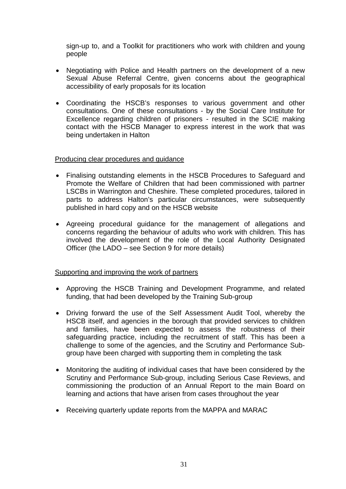sign-up to, and a Toolkit for practitioners who work with children and young people

- Negotiating with Police and Health partners on the development of a new Sexual Abuse Referral Centre, given concerns about the geographical accessibility of early proposals for its location
- Coordinating the HSCB's responses to various government and other consultations. One of these consultations - by the Social Care Institute for Excellence regarding children of prisoners - resulted in the SCIE making contact with the HSCB Manager to express interest in the work that was being undertaken in Halton

#### Producing clear procedures and guidance

- Finalising outstanding elements in the HSCB Procedures to Safeguard and Promote the Welfare of Children that had been commissioned with partner LSCBs in Warrington and Cheshire. These completed procedures, tailored in parts to address Halton's particular circumstances, were subsequently published in hard copy and on the HSCB website
- Agreeing procedural guidance for the management of allegations and concerns regarding the behaviour of adults who work with children. This has involved the development of the role of the Local Authority Designated Officer (the LADO – see Section 9 for more details)

#### Supporting and improving the work of partners

- Approving the HSCB Training and Development Programme, and related funding, that had been developed by the Training Sub-group
- Driving forward the use of the Self Assessment Audit Tool, whereby the HSCB itself, and agencies in the borough that provided services to children and families, have been expected to assess the robustness of their safeguarding practice, including the recruitment of staff. This has been a challenge to some of the agencies, and the Scrutiny and Performance Subgroup have been charged with supporting them in completing the task
- Monitoring the auditing of individual cases that have been considered by the Scrutiny and Performance Sub-group, including Serious Case Reviews, and commissioning the production of an Annual Report to the main Board on learning and actions that have arisen from cases throughout the year
- Receiving quarterly update reports from the MAPPA and MARAC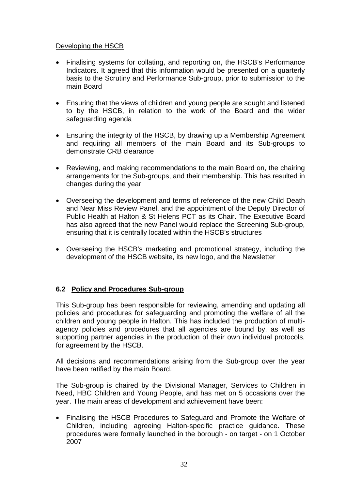### Developing the HSCB

- Finalising systems for collating, and reporting on, the HSCB's Performance Indicators. It agreed that this information would be presented on a quarterly basis to the Scrutiny and Performance Sub-group, prior to submission to the main Board
- Ensuring that the views of children and young people are sought and listened to by the HSCB, in relation to the work of the Board and the wider safeguarding agenda
- Ensuring the integrity of the HSCB, by drawing up a Membership Agreement and requiring all members of the main Board and its Sub-groups to demonstrate CRB clearance
- Reviewing, and making recommendations to the main Board on, the chairing arrangements for the Sub-groups, and their membership. This has resulted in changes during the year
- Overseeing the development and terms of reference of the new Child Death and Near Miss Review Panel, and the appointment of the Deputy Director of Public Health at Halton & St Helens PCT as its Chair. The Executive Board has also agreed that the new Panel would replace the Screening Sub-group, ensuring that it is centrally located within the HSCB's structures
- Overseeing the HSCB's marketing and promotional strategy, including the development of the HSCB website, its new logo, and the Newsletter

# **6.2 Policy and Procedures Sub-group**

This Sub-group has been responsible for reviewing, amending and updating all policies and procedures for safeguarding and promoting the welfare of all the children and young people in Halton. This has included the production of multiagency policies and procedures that all agencies are bound by, as well as supporting partner agencies in the production of their own individual protocols, for agreement by the HSCB.

All decisions and recommendations arising from the Sub-group over the year have been ratified by the main Board.

The Sub-group is chaired by the Divisional Manager, Services to Children in Need, HBC Children and Young People, and has met on 5 occasions over the year. The main areas of development and achievement have been:

• Finalising the HSCB Procedures to Safeguard and Promote the Welfare of Children, including agreeing Halton-specific practice guidance. These procedures were formally launched in the borough - on target - on 1 October 2007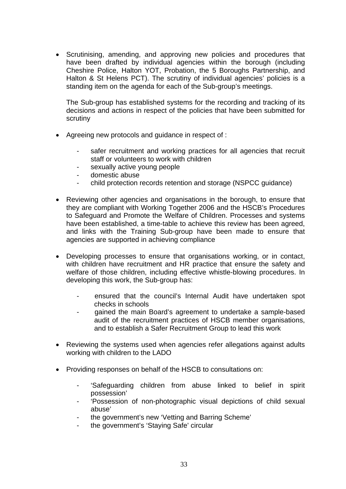• Scrutinising, amending, and approving new policies and procedures that have been drafted by individual agencies within the borough (including Cheshire Police, Halton YOT, Probation, the 5 Boroughs Partnership, and Halton & St Helens PCT). The scrutiny of individual agencies' policies is a standing item on the agenda for each of the Sub-group's meetings.

 The Sub-group has established systems for the recording and tracking of its decisions and actions in respect of the policies that have been submitted for scrutiny

- Agreeing new protocols and guidance in respect of :
	- safer recruitment and working practices for all agencies that recruit staff or volunteers to work with children
	- sexually active young people
	- domestic abuse
	- child protection records retention and storage (NSPCC guidance)
- Reviewing other agencies and organisations in the borough, to ensure that they are compliant with Working Together 2006 and the HSCB's Procedures to Safeguard and Promote the Welfare of Children. Processes and systems have been established, a time-table to achieve this review has been agreed, and links with the Training Sub-group have been made to ensure that agencies are supported in achieving compliance
- Developing processes to ensure that organisations working, or in contact, with children have recruitment and HR practice that ensure the safety and welfare of those children, including effective whistle-blowing procedures. In developing this work, the Sub-group has:
	- ensured that the council's Internal Audit have undertaken spot checks in schools
	- gained the main Board's agreement to undertake a sample-based audit of the recruitment practices of HSCB member organisations, and to establish a Safer Recruitment Group to lead this work
- Reviewing the systems used when agencies refer allegations against adults working with children to the LADO
- Providing responses on behalf of the HSCB to consultations on:
	- 'Safeguarding children from abuse linked to belief in spirit possession'
	- 'Possession of non-photographic visual depictions of child sexual abuse'
	- the government's new 'Vetting and Barring Scheme'
	- the government's 'Staying Safe' circular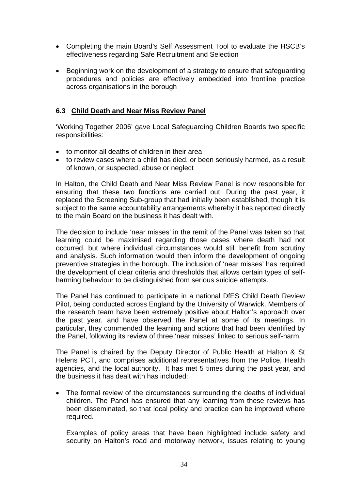- Completing the main Board's Self Assessment Tool to evaluate the HSCB's effectiveness regarding Safe Recruitment and Selection
- Beginning work on the development of a strategy to ensure that safeguarding procedures and policies are effectively embedded into frontline practice across organisations in the borough

#### **6.3 Child Death and Near Miss Review Panel**

'Working Together 2006' gave Local Safeguarding Children Boards two specific responsibilities:

- to monitor all deaths of children in their area
- to review cases where a child has died, or been seriously harmed, as a result of known, or suspected, abuse or neglect

In Halton, the Child Death and Near Miss Review Panel is now responsible for ensuring that these two functions are carried out. During the past year, it replaced the Screening Sub-group that had initially been established, though it is subject to the same accountability arrangements whereby it has reported directly to the main Board on the business it has dealt with.

The decision to include 'near misses' in the remit of the Panel was taken so that learning could be maximised regarding those cases where death had not occurred, but where individual circumstances would still benefit from scrutiny and analysis. Such information would then inform the development of ongoing preventive strategies in the borough. The inclusion of 'near misses' has required the development of clear criteria and thresholds that allows certain types of selfharming behaviour to be distinguished from serious suicide attempts.

The Panel has continued to participate in a national DfES Child Death Review Pilot, being conducted across England by the University of Warwick. Members of the research team have been extremely positive about Halton's approach over the past year, and have observed the Panel at some of its meetings. In particular, they commended the learning and actions that had been identified by the Panel, following its review of three 'near misses' linked to serious self-harm.

The Panel is chaired by the Deputy Director of Public Health at Halton & St Helens PCT, and comprises additional representatives from the Police, Health agencies, and the local authority. It has met 5 times during the past year, and the business it has dealt with has included:

• The formal review of the circumstances surrounding the deaths of individual children. The Panel has ensured that any learning from these reviews has been disseminated, so that local policy and practice can be improved where required.

 Examples of policy areas that have been highlighted include safety and security on Halton's road and motorway network, issues relating to young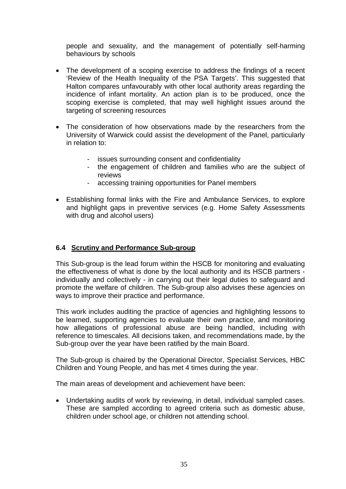people and sexuality, and the management of potentially self-harming behaviours by schools

- The development of a scoping exercise to address the findings of a recent 'Review of the Health Inequality of the PSA Targets'. This suggested that Halton compares unfavourably with other local authority areas regarding the incidence of infant mortality. An action plan is to be produced, once the scoping exercise is completed, that may well highlight issues around the targeting of screening resources
- The consideration of how observations made by the researchers from the University of Warwick could assist the development of the Panel, particularly in relation to:
	- issues surrounding consent and confidentiality
	- the engagement of children and families who are the subject of reviews
	- accessing training opportunities for Panel members
- Establishing formal links with the Fire and Ambulance Services, to explore and highlight gaps in preventive services (e.g. Home Safety Assessments with drug and alcohol users)

## **6.4 Scrutiny and Performance Sub-group**

This Sub-group is the lead forum within the HSCB for monitoring and evaluating the effectiveness of what is done by the local authority and its HSCB partners individually and collectively - in carrying out their legal duties to safeguard and promote the welfare of children. The Sub-group also advises these agencies on ways to improve their practice and performance.

This work includes auditing the practice of agencies and highlighting lessons to be learned, supporting agencies to evaluate their own practice, and monitoring how allegations of professional abuse are being handled, including with reference to timescales. All decisions taken, and recommendations made, by the Sub-group over the year have been ratified by the main Board.

The Sub-group is chaired by the Operational Director, Specialist Services, HBC Children and Young People, and has met 4 times during the year.

The main areas of development and achievement have been:

• Undertaking audits of work by reviewing, in detail, individual sampled cases. These are sampled according to agreed criteria such as domestic abuse, children under school age, or children not attending school.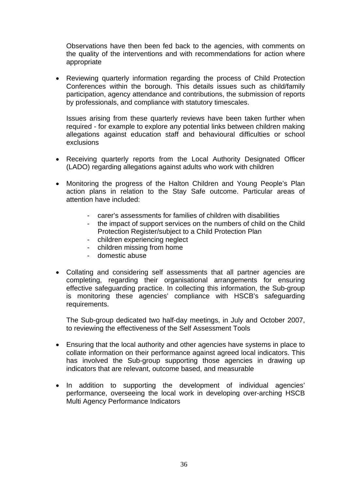Observations have then been fed back to the agencies, with comments on the quality of the interventions and with recommendations for action where appropriate

• Reviewing quarterly information regarding the process of Child Protection Conferences within the borough. This details issues such as child/family participation, agency attendance and contributions, the submission of reports by professionals, and compliance with statutory timescales.

 Issues arising from these quarterly reviews have been taken further when required - for example to explore any potential links between children making allegations against education staff and behavioural difficulties or school exclusions

- Receiving quarterly reports from the Local Authority Designated Officer (LADO) regarding allegations against adults who work with children
- Monitoring the progress of the Halton Children and Young People's Plan action plans in relation to the Stay Safe outcome. Particular areas of attention have included:
	- carer's assessments for families of children with disabilities
	- the impact of support services on the numbers of child on the Child Protection Register/subject to a Child Protection Plan
	- children experiencing neglect
	- children missing from home
	- domestic abuse
- Collating and considering self assessments that all partner agencies are completing, regarding their organisational arrangements for ensuring effective safeguarding practice. In collecting this information, the Sub-group is monitoring these agencies' compliance with HSCB's safeguarding requirements.

 The Sub-group dedicated two half-day meetings, in July and October 2007, to reviewing the effectiveness of the Self Assessment Tools

- Ensuring that the local authority and other agencies have systems in place to collate information on their performance against agreed local indicators. This has involved the Sub-group supporting those agencies in drawing up indicators that are relevant, outcome based, and measurable
- In addition to supporting the development of individual agencies' performance, overseeing the local work in developing over-arching HSCB Multi Agency Performance Indicators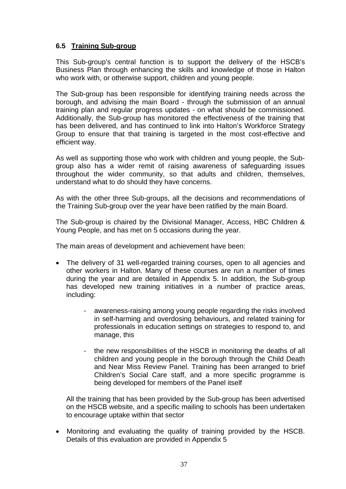### **6.5 Training Sub-group**

This Sub-group's central function is to support the delivery of the HSCB's Business Plan through enhancing the skills and knowledge of those in Halton who work with, or otherwise support, children and young people.

The Sub-group has been responsible for identifying training needs across the borough, and advising the main Board - through the submission of an annual training plan and regular progress updates - on what should be commissioned. Additionally, the Sub-group has monitored the effectiveness of the training that has been delivered, and has continued to link into Halton's Workforce Strategy Group to ensure that that training is targeted in the most cost-effective and efficient way.

As well as supporting those who work with children and young people, the Subgroup also has a wider remit of raising awareness of safeguarding issues throughout the wider community, so that adults and children, themselves, understand what to do should they have concerns.

As with the other three Sub-groups, all the decisions and recommendations of the Training Sub-group over the year have been ratified by the main Board.

The Sub-group is chaired by the Divisional Manager, Access, HBC Children & Young People, and has met on 5 occasions during the year.

The main areas of development and achievement have been:

- The delivery of 31 well-regarded training courses, open to all agencies and other workers in Halton. Many of these courses are run a number of times during the year and are detailed in Appendix 5. In addition, the Sub-group has developed new training initiatives in a number of practice areas, including:
	- awareness-raising among young people regarding the risks involved in self-harming and overdosing behaviours, and related training for professionals in education settings on strategies to respond to, and manage, this
	- the new responsibilities of the HSCB in monitoring the deaths of all children and young people in the borough through the Child Death and Near Miss Review Panel. Training has been arranged to brief Children's Social Care staff, and a more specific programme is being developed for members of the Panel itself

All the training that has been provided by the Sub-group has been advertised on the HSCB website, and a specific mailing to schools has been undertaken to encourage uptake within that sector

• Monitoring and evaluating the quality of training provided by the HSCB. Details of this evaluation are provided in Appendix 5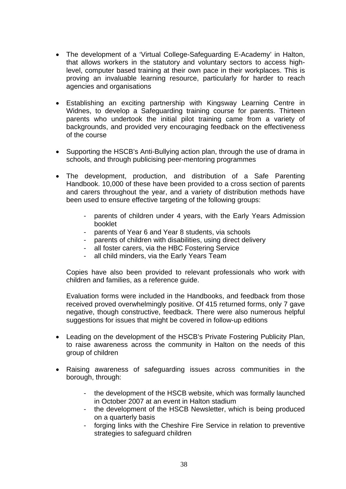- The development of a 'Virtual College-Safeguarding E-Academy' in Halton, that allows workers in the statutory and voluntary sectors to access highlevel, computer based training at their own pace in their workplaces. This is proving an invaluable learning resource, particularly for harder to reach agencies and organisations
- Establishing an exciting partnership with Kingsway Learning Centre in Widnes, to develop a Safeguarding training course for parents. Thirteen parents who undertook the initial pilot training came from a variety of backgrounds, and provided very encouraging feedback on the effectiveness of the course
- Supporting the HSCB's Anti-Bullying action plan, through the use of drama in schools, and through publicising peer-mentoring programmes
- The development, production, and distribution of a Safe Parenting Handbook. 10,000 of these have been provided to a cross section of parents and carers throughout the year, and a variety of distribution methods have been used to ensure effective targeting of the following groups:
	- parents of children under 4 years, with the Early Years Admission booklet
	- parents of Year 6 and Year 8 students, via schools
	- parents of children with disabilities, using direct delivery
	- all foster carers, via the HBC Fostering Service
	- all child minders, via the Early Years Team

Copies have also been provided to relevant professionals who work with children and families, as a reference guide.

Evaluation forms were included in the Handbooks, and feedback from those received proved overwhelmingly positive. Of 415 returned forms, only 7 gave negative, though constructive, feedback. There were also numerous helpful suggestions for issues that might be covered in follow-up editions

- Leading on the development of the HSCB's Private Fostering Publicity Plan, to raise awareness across the community in Halton on the needs of this group of children
- Raising awareness of safeguarding issues across communities in the borough, through:
	- the development of the HSCB website, which was formally launched in October 2007 at an event in Halton stadium
	- the development of the HSCB Newsletter, which is being produced on a quarterly basis
	- forging links with the Cheshire Fire Service in relation to preventive strategies to safeguard children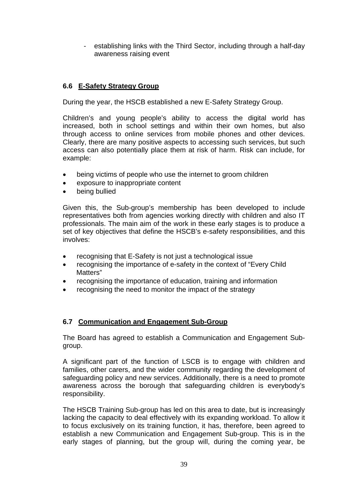- establishing links with the Third Sector, including through a half-day awareness raising event

### **6.6 E-Safety Strategy Group**

During the year, the HSCB established a new E-Safety Strategy Group.

Children's and young people's ability to access the digital world has increased, both in school settings and within their own homes, but also through access to online services from mobile phones and other devices. Clearly, there are many positive aspects to accessing such services, but such access can also potentially place them at risk of harm. Risk can include, for example:

- being victims of people who use the internet to groom children
- exposure to inappropriate content
- being bullied

Given this, the Sub-group's membership has been developed to include representatives both from agencies working directly with children and also IT professionals. The main aim of the work in these early stages is to produce a set of key objectives that define the HSCB's e-safety responsibilities, and this involves:

- recognising that E-Safety is not just a technological issue
- recognising the importance of e-safety in the context of "Every Child" Matters"
- recognising the importance of education, training and information
- recognising the need to monitor the impact of the strategy

### **6.7 Communication and Engagement Sub-Group**

The Board has agreed to establish a Communication and Engagement Subgroup.

A significant part of the function of LSCB is to engage with children and families, other carers, and the wider community regarding the development of safeguarding policy and new services. Additionally, there is a need to promote awareness across the borough that safeguarding children is everybody's responsibility.

The HSCB Training Sub-group has led on this area to date, but is increasingly lacking the capacity to deal effectively with its expanding workload. To allow it to focus exclusively on its training function, it has, therefore, been agreed to establish a new Communication and Engagement Sub-group. This is in the early stages of planning, but the group will, during the coming year, be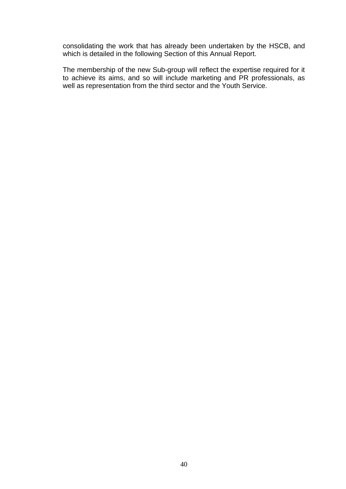consolidating the work that has already been undertaken by the HSCB, and which is detailed in the following Section of this Annual Report.

The membership of the new Sub-group will reflect the expertise required for it to achieve its aims, and so will include marketing and PR professionals, as well as representation from the third sector and the Youth Service.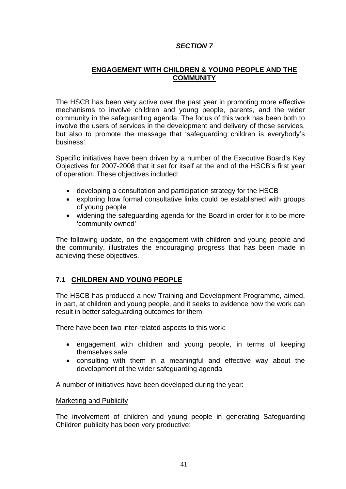### *SECTION 7*

### **ENGAGEMENT WITH CHILDREN & YOUNG PEOPLE AND THE COMMUNITY**

The HSCB has been very active over the past year in promoting more effective mechanisms to involve children and young people, parents, and the wider community in the safeguarding agenda. The focus of this work has been both to involve the users of services in the development and delivery of those services, but also to promote the message that 'safeguarding children is everybody's business'.

Specific initiatives have been driven by a number of the Executive Board's Key Objectives for 2007-2008 that it set for itself at the end of the HSCB's first year of operation. These objectives included:

- developing a consultation and participation strategy for the HSCB
- exploring how formal consultative links could be established with groups of young people
- widening the safeguarding agenda for the Board in order for it to be more 'community owned'

The following update, on the engagement with children and young people and the community, illustrates the encouraging progress that has been made in achieving these objectives.

### **7.1 CHILDREN AND YOUNG PEOPLE**

The HSCB has produced a new Training and Development Programme, aimed, in part, at children and young people, and it seeks to evidence how the work can result in better safeguarding outcomes for them.

There have been two inter-related aspects to this work:

- engagement with children and young people, in terms of keeping themselves safe
- consulting with them in a meaningful and effective way about the development of the wider safeguarding agenda

A number of initiatives have been developed during the year:

### Marketing and Publicity

The involvement of children and young people in generating Safeguarding Children publicity has been very productive: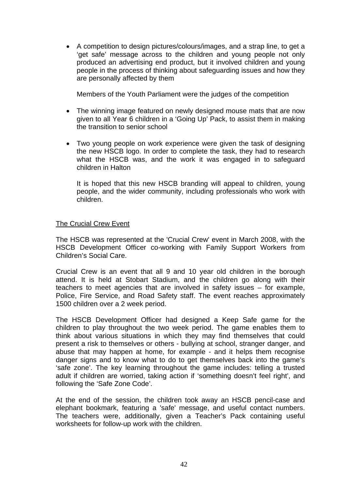• A competition to design pictures/colours/images, and a strap line, to get a 'get safe' message across to the children and young people not only produced an advertising end product, but it involved children and young people in the process of thinking about safeguarding issues and how they are personally affected by them

Members of the Youth Parliament were the judges of the competition

- The winning image featured on newly designed mouse mats that are now given to all Year 6 children in a 'Going Up' Pack, to assist them in making the transition to senior school
- Two young people on work experience were given the task of designing the new HSCB logo. In order to complete the task, they had to research what the HSCB was, and the work it was engaged in to safeguard children in Halton

It is hoped that this new HSCB branding will appeal to children, young people, and the wider community, including professionals who work with children.

### The Crucial Crew Event

The HSCB was represented at the 'Crucial Crew' event in March 2008, with the HSCB Development Officer co-working with Family Support Workers from Children's Social Care.

Crucial Crew is an event that all 9 and 10 year old children in the borough attend. It is held at Stobart Stadium, and the children go along with their teachers to meet agencies that are involved in safety issues – for example, Police, Fire Service, and Road Safety staff. The event reaches approximately 1500 children over a 2 week period.

The HSCB Development Officer had designed a Keep Safe game for the children to play throughout the two week period. The game enables them to think about various situations in which they may find themselves that could present a risk to themselves or others - bullying at school, stranger danger, and abuse that may happen at home, for example - and it helps them recognise danger signs and to know what to do to get themselves back into the game's 'safe zone'. The key learning throughout the game includes: telling a trusted adult if children are worried, taking action if 'something doesn't feel right', and following the 'Safe Zone Code'.

At the end of the session, the children took away an HSCB pencil-case and elephant bookmark, featuring a 'safe' message, and useful contact numbers. The teachers were, additionally, given a Teacher's Pack containing useful worksheets for follow-up work with the children.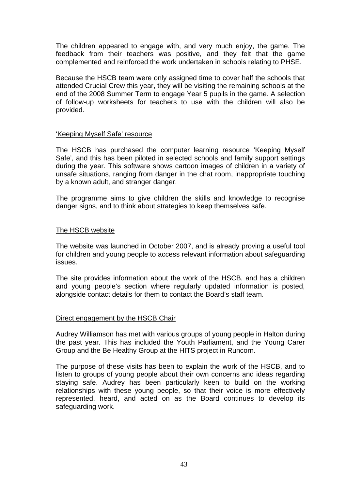The children appeared to engage with, and very much enjoy, the game. The feedback from their teachers was positive, and they felt that the game complemented and reinforced the work undertaken in schools relating to PHSE.

Because the HSCB team were only assigned time to cover half the schools that attended Crucial Crew this year, they will be visiting the remaining schools at the end of the 2008 Summer Term to engage Year 5 pupils in the game. A selection of follow-up worksheets for teachers to use with the children will also be provided.

#### 'Keeping Myself Safe' resource

The HSCB has purchased the computer learning resource 'Keeping Myself Safe', and this has been piloted in selected schools and family support settings during the year. This software shows cartoon images of children in a variety of unsafe situations, ranging from danger in the chat room, inappropriate touching by a known adult, and stranger danger.

The programme aims to give children the skills and knowledge to recognise danger signs, and to think about strategies to keep themselves safe.

#### The HSCB website

The website was launched in October 2007, and is already proving a useful tool for children and young people to access relevant information about safeguarding issues.

The site provides information about the work of the HSCB, and has a children and young people's section where regularly updated information is posted, alongside contact details for them to contact the Board's staff team.

#### Direct engagement by the HSCB Chair

Audrey Williamson has met with various groups of young people in Halton during the past year. This has included the Youth Parliament, and the Young Carer Group and the Be Healthy Group at the HITS project in Runcorn.

The purpose of these visits has been to explain the work of the HSCB, and to listen to groups of young people about their own concerns and ideas regarding staying safe. Audrey has been particularly keen to build on the working relationships with these young people, so that their voice is more effectively represented, heard, and acted on as the Board continues to develop its safeguarding work.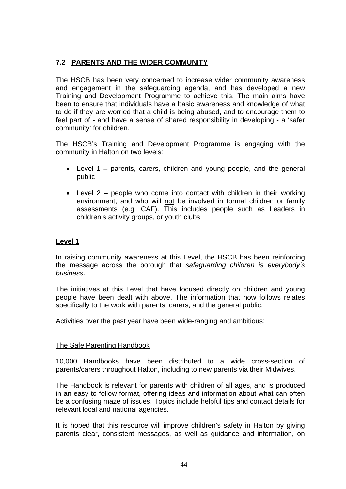### **7.2 PARENTS AND THE WIDER COMMUNITY**

The HSCB has been very concerned to increase wider community awareness and engagement in the safeguarding agenda, and has developed a new Training and Development Programme to achieve this. The main aims have been to ensure that individuals have a basic awareness and knowledge of what to do if they are worried that a child is being abused, and to encourage them to feel part of - and have a sense of shared responsibility in developing - a 'safer community' for children.

The HSCB's Training and Development Programme is engaging with the community in Halton on two levels:

- Level 1 parents, carers, children and young people, and the general public
- Level  $2$  people who come into contact with children in their working environment, and who will not be involved in formal children or family assessments (e.g. CAF). This includes people such as Leaders in children's activity groups, or youth clubs

#### **Level 1**

In raising community awareness at this Level, the HSCB has been reinforcing the message across the borough that *safeguarding children is everybody's business*.

The initiatives at this Level that have focused directly on children and young people have been dealt with above. The information that now follows relates specifically to the work with parents, carers, and the general public.

Activities over the past year have been wide-ranging and ambitious:

#### The Safe Parenting Handbook

10,000 Handbooks have been distributed to a wide cross-section of parents/carers throughout Halton, including to new parents via their Midwives.

The Handbook is relevant for parents with children of all ages, and is produced in an easy to follow format, offering ideas and information about what can often be a confusing maze of issues. Topics include helpful tips and contact details for relevant local and national agencies.

It is hoped that this resource will improve children's safety in Halton by giving parents clear, consistent messages, as well as guidance and information, on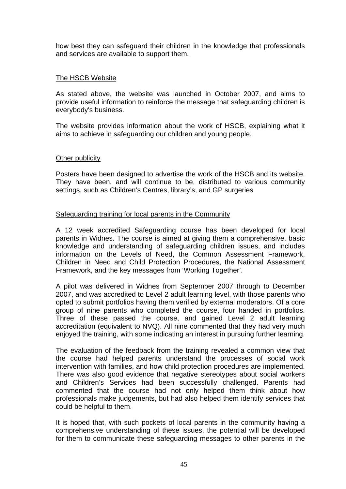how best they can safeguard their children in the knowledge that professionals and services are available to support them.

### The HSCB Website

As stated above, the website was launched in October 2007, and aims to provide useful information to reinforce the message that safeguarding children is everybody's business.

The website provides information about the work of HSCB, explaining what it aims to achieve in safeguarding our children and young people.

#### Other publicity

Posters have been designed to advertise the work of the HSCB and its website. They have been, and will continue to be, distributed to various community settings, such as Children's Centres, library's, and GP surgeries

### Safeguarding training for local parents in the Community

A 12 week accredited Safeguarding course has been developed for local parents in Widnes. The course is aimed at giving them a comprehensive, basic knowledge and understanding of safeguarding children issues, and includes information on the Levels of Need, the Common Assessment Framework, Children in Need and Child Protection Procedures, the National Assessment Framework, and the key messages from 'Working Together'.

A pilot was delivered in Widnes from September 2007 through to December 2007, and was accredited to Level 2 adult learning level, with those parents who opted to submit portfolios having them verified by external moderators. Of a core group of nine parents who completed the course, four handed in portfolios. Three of these passed the course, and gained Level 2 adult learning accreditation (equivalent to NVQ). All nine commented that they had very much enjoyed the training, with some indicating an interest in pursuing further learning.

The evaluation of the feedback from the training revealed a common view that the course had helped parents understand the processes of social work intervention with families, and how child protection procedures are implemented. There was also good evidence that negative stereotypes about social workers and Children's Services had been successfully challenged. Parents had commented that the course had not only helped them think about how professionals make judgements, but had also helped them identify services that could be helpful to them.

It is hoped that, with such pockets of local parents in the community having a comprehensive understanding of these issues, the potential will be developed for them to communicate these safeguarding messages to other parents in the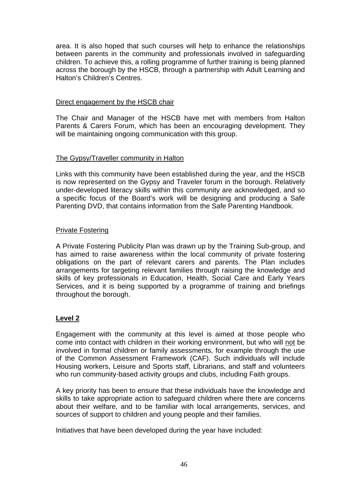area. It is also hoped that such courses will help to enhance the relationships between parents in the community and professionals involved in safeguarding children. To achieve this, a rolling programme of further training is being planned across the borough by the HSCB, through a partnership with Adult Learning and Halton's Children's Centres.

#### Direct engagement by the HSCB chair

The Chair and Manager of the HSCB have met with members from Halton Parents & Carers Forum, which has been an encouraging development. They will be maintaining ongoing communication with this group.

### The Gypsy/Traveller community in Halton

Links with this community have been established during the year, and the HSCB is now represented on the Gypsy and Traveler forum in the borough. Relatively under-developed literacy skills within this community are acknowledged, and so a specific focus of the Board's work will be designing and producing a Safe Parenting DVD, that contains information from the Safe Parenting Handbook.

#### Private Fostering

A Private Fostering Publicity Plan was drawn up by the Training Sub-group, and has aimed to raise awareness within the local community of private fostering obligations on the part of relevant carers and parents. The Plan includes arrangements for targeting relevant families through raising the knowledge and skills of key professionals in Education, Health, Social Care and Early Years Services, and it is being supported by a programme of training and briefings throughout the borough.

### **Level 2**

Engagement with the community at this level is aimed at those people who come into contact with children in their working environment, but who will not be involved in formal children or family assessments, for example through the use of the Common Assessment Framework (CAF). Such individuals will include Housing workers, Leisure and Sports staff, Librarians, and staff and volunteers who run community-based activity groups and clubs, including Faith groups.

A key priority has been to ensure that these individuals have the knowledge and skills to take appropriate action to safeguard children where there are concerns about their welfare, and to be familiar with local arrangements, services, and sources of support to children and young people and their families.

Initiatives that have been developed during the year have included: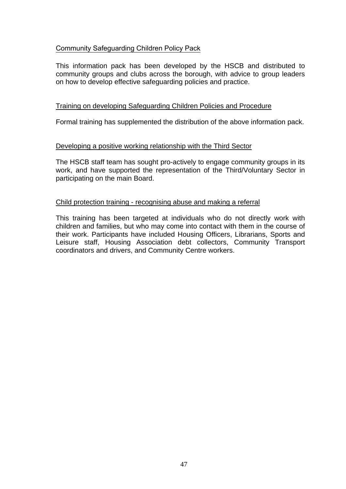### Community Safeguarding Children Policy Pack

This information pack has been developed by the HSCB and distributed to community groups and clubs across the borough, with advice to group leaders on how to develop effective safeguarding policies and practice.

#### Training on developing Safeguarding Children Policies and Procedure

Formal training has supplemented the distribution of the above information pack.

#### Developing a positive working relationship with the Third Sector

The HSCB staff team has sought pro-actively to engage community groups in its work, and have supported the representation of the Third/Voluntary Sector in participating on the main Board.

#### Child protection training - recognising abuse and making a referral

This training has been targeted at individuals who do not directly work with children and families, but who may come into contact with them in the course of their work. Participants have included Housing Officers, Librarians, Sports and Leisure staff, Housing Association debt collectors, Community Transport coordinators and drivers, and Community Centre workers.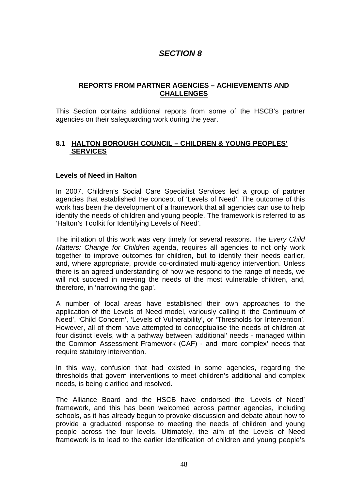# *SECTION 8*

### **REPORTS FROM PARTNER AGENCIES – ACHIEVEMENTS AND CHALLENGES**

This Section contains additional reports from some of the HSCB's partner agencies on their safeguarding work during the year.

### **8.1 HALTON BOROUGH COUNCIL – CHILDREN & YOUNG PEOPLES' SERVICES**

### **Levels of Need in Halton**

In 2007, Children's Social Care Specialist Services led a group of partner agencies that established the concept of 'Levels of Need'. The outcome of this work has been the development of a framework that all agencies can use to help identify the needs of children and young people. The framework is referred to as 'Halton's Toolkit for Identifying Levels of Need'.

The initiation of this work was very timely for several reasons. The *Every Child Matters: Change for Children* agenda, requires all agencies to not only work together to improve outcomes for children, but to identify their needs earlier, and, where appropriate, provide co-ordinated multi-agency intervention. Unless there is an agreed understanding of how we respond to the range of needs, we will not succeed in meeting the needs of the most vulnerable children, and, therefore, in 'narrowing the gap'.

A number of local areas have established their own approaches to the application of the Levels of Need model, variously calling it 'the Continuum of Need', 'Child Concern', 'Levels of Vulnerability', or 'Thresholds for Intervention'. However, all of them have attempted to conceptualise the needs of children at four distinct levels, with a pathway between 'additional' needs - managed within the Common Assessment Framework (CAF) - and 'more complex' needs that require statutory intervention.

In this way, confusion that had existed in some agencies, regarding the thresholds that govern interventions to meet children's additional and complex needs, is being clarified and resolved.

The Alliance Board and the HSCB have endorsed the 'Levels of Need' framework, and this has been welcomed across partner agencies, including schools, as it has already begun to provoke discussion and debate about how to provide a graduated response to meeting the needs of children and young people across the four levels. Ultimately, the aim of the Levels of Need framework is to lead to the earlier identification of children and young people's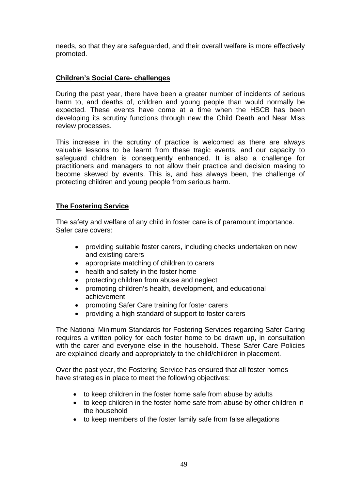needs, so that they are safeguarded, and their overall welfare is more effectively promoted.

### **Children's Social Care- challenges**

During the past year, there have been a greater number of incidents of serious harm to, and deaths of, children and young people than would normally be expected. These events have come at a time when the HSCB has been developing its scrutiny functions through new the Child Death and Near Miss review processes.

This increase in the scrutiny of practice is welcomed as there are always valuable lessons to be learnt from these tragic events, and our capacity to safeguard children is consequently enhanced. It is also a challenge for practitioners and managers to not allow their practice and decision making to become skewed by events. This is, and has always been, the challenge of protecting children and young people from serious harm.

### **The Fostering Service**

The safety and welfare of any child in foster care is of paramount importance. Safer care covers:

- providing suitable foster carers, including checks undertaken on new and existing carers
- appropriate matching of children to carers
- health and safety in the foster home
- protecting children from abuse and neglect
- promoting children's health, development, and educational achievement
- promoting Safer Care training for foster carers
- providing a high standard of support to foster carers

The National Minimum Standards for Fostering Services regarding Safer Caring requires a written policy for each foster home to be drawn up, in consultation with the carer and everyone else in the household. These Safer Care Policies are explained clearly and appropriately to the child/children in placement.

Over the past year, the Fostering Service has ensured that all foster homes have strategies in place to meet the following objectives:

- to keep children in the foster home safe from abuse by adults
- to keep children in the foster home safe from abuse by other children in the household
- to keep members of the foster family safe from false allegations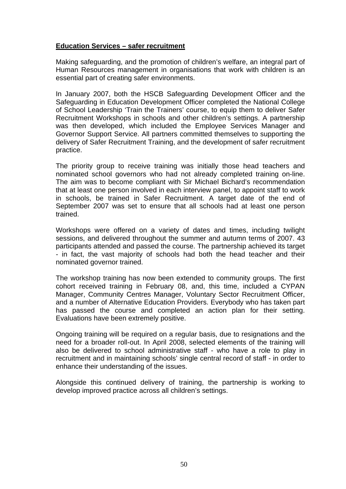### **Education Services – safer recruitment**

Making safeguarding, and the promotion of children's welfare, an integral part of Human Resources management in organisations that work with children is an essential part of creating safer environments.

In January 2007, both the HSCB Safeguarding Development Officer and the Safeguarding in Education Development Officer completed the National College of School Leadership 'Train the Trainers' course, to equip them to deliver Safer Recruitment Workshops in schools and other children's settings. A partnership was then developed, which included the Employee Services Manager and Governor Support Service. All partners committed themselves to supporting the delivery of Safer Recruitment Training, and the development of safer recruitment practice.

The priority group to receive training was initially those head teachers and nominated school governors who had not already completed training on-line. The aim was to become compliant with Sir Michael Bichard's recommendation that at least one person involved in each interview panel, to appoint staff to work in schools, be trained in Safer Recruitment. A target date of the end of September 2007 was set to ensure that all schools had at least one person trained.

Workshops were offered on a variety of dates and times, including twilight sessions, and delivered throughout the summer and autumn terms of 2007. 43 participants attended and passed the course. The partnership achieved its target - in fact, the vast majority of schools had both the head teacher and their nominated governor trained.

The workshop training has now been extended to community groups. The first cohort received training in February 08, and, this time, included a CYPAN Manager, Community Centres Manager, Voluntary Sector Recruitment Officer, and a number of Alternative Education Providers. Everybody who has taken part has passed the course and completed an action plan for their setting. Evaluations have been extremely positive.

Ongoing training will be required on a regular basis, due to resignations and the need for a broader roll-out. In April 2008, selected elements of the training will also be delivered to school administrative staff - who have a role to play in recruitment and in maintaining schools' single central record of staff - in order to enhance their understanding of the issues.

Alongside this continued delivery of training, the partnership is working to develop improved practice across all children's settings.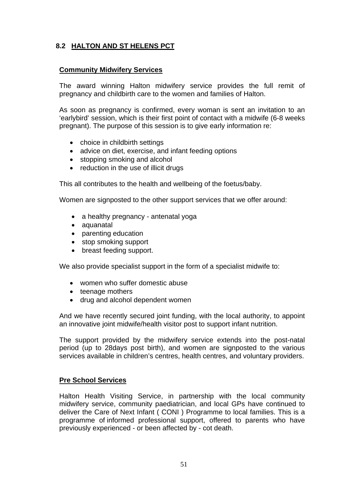### **8.2 HALTON AND ST HELENS PCT**

### **Community Midwifery Services**

The award winning Halton midwifery service provides the full remit of pregnancy and childbirth care to the women and families of Halton.

As soon as pregnancy is confirmed, every woman is sent an invitation to an 'earlybird' session, which is their first point of contact with a midwife (6-8 weeks pregnant). The purpose of this session is to give early information re:

- choice in childbirth settings
- advice on diet, exercise, and infant feeding options
- stopping smoking and alcohol
- reduction in the use of illicit drugs

This all contributes to the health and wellbeing of the foetus/baby.

Women are signposted to the other support services that we offer around:

- a healthy pregnancy antenatal yoga
- aquanatal
- parenting education
- stop smoking support
- breast feeding support.

We also provide specialist support in the form of a specialist midwife to:

- women who suffer domestic abuse
- teenage mothers
- drug and alcohol dependent women

And we have recently secured joint funding, with the local authority, to appoint an innovative joint midwife/health visitor post to support infant nutrition.

The support provided by the midwifery service extends into the post-natal period (up to 28days post birth), and women are signposted to the various services available in children's centres, health centres, and voluntary providers.

### **Pre School Services**

Halton Health Visiting Service, in partnership with the local community midwifery service, community paediatrician, and local GPs have continued to deliver the Care of Next Infant ( CONI ) Programme to local families. This is a programme of informed professional support, offered to parents who have previously experienced - or been affected by - cot death.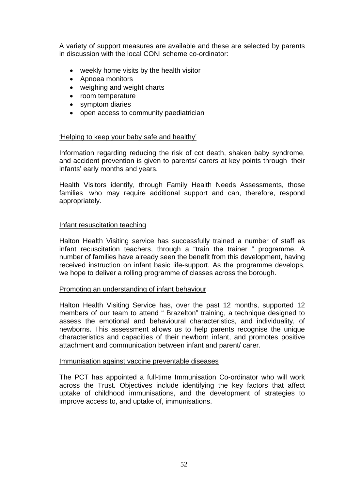A variety of support measures are available and these are selected by parents in discussion with the local CONI scheme co-ordinator:

- weekly home visits by the health visitor
- Apnoea monitors
- weighing and weight charts
- room temperature
- symptom diaries
- open access to community paediatrician

#### 'Helping to keep your baby safe and healthy'

Information regarding reducing the risk of cot death, shaken baby syndrome, and accident prevention is given to parents/ carers at key points through their infants' early months and years.

Health Visitors identify, through Family Health Needs Assessments, those families who may require additional support and can, therefore, respond appropriately.

#### Infant resuscitation teaching

Halton Health Visiting service has successfully trained a number of staff as infant recuscitation teachers, through a "train the trainer " programme. A number of families have already seen the benefit from this development, having received instruction on infant basic life-support. As the programme develops, we hope to deliver a rolling programme of classes across the borough.

#### Promoting an understanding of infant behaviour

Halton Health Visiting Service has, over the past 12 months, supported 12 members of our team to attend " Brazelton" training, a technique designed to assess the emotional and behavioural characteristics, and individuality, of newborns. This assessment allows us to help parents recognise the unique characteristics and capacities of their newborn infant, and promotes positive attachment and communication between infant and parent/ carer.

#### Immunisation against vaccine preventable diseases

The PCT has appointed a full-time Immunisation Co-ordinator who will work across the Trust. Objectives include identifying the key factors that affect uptake of childhood immunisations, and the development of strategies to improve access to, and uptake of, immunisations.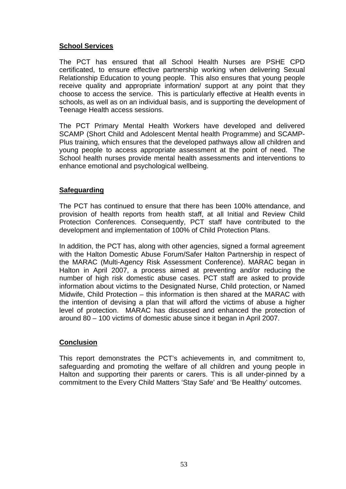### **School Services**

The PCT has ensured that all School Health Nurses are PSHE CPD certificated, to ensure effective partnership working when delivering Sexual Relationship Education to young people. This also ensures that young people receive quality and appropriate information/ support at any point that they choose to access the service. This is particularly effective at Health events in schools, as well as on an individual basis, and is supporting the development of Teenage Health access sessions.

The PCT Primary Mental Health Workers have developed and delivered SCAMP (Short Child and Adolescent Mental health Programme) and SCAMP-Plus training, which ensures that the developed pathways allow all children and young people to access appropriate assessment at the point of need. The School health nurses provide mental health assessments and interventions to enhance emotional and psychological wellbeing.

### **Safeguarding**

The PCT has continued to ensure that there has been 100% attendance, and provision of health reports from health staff, at all Initial and Review Child Protection Conferences. Consequently, PCT staff have contributed to the development and implementation of 100% of Child Protection Plans.

In addition, the PCT has, along with other agencies, signed a formal agreement with the Halton Domestic Abuse Forum/Safer Halton Partnership in respect of the MARAC (Multi-Agency Risk Assessment Conference). MARAC began in Halton in April 2007, a process aimed at preventing and/or reducing the number of high risk domestic abuse cases. PCT staff are asked to provide information about victims to the Designated Nurse, Child protection, or Named Midwife, Child Protection – this information is then shared at the MARAC with the intention of devising a plan that will afford the victims of abuse a higher level of protection. MARAC has discussed and enhanced the protection of around 80 – 100 victims of domestic abuse since it began in April 2007.

### **Conclusion**

This report demonstrates the PCT's achievements in, and commitment to, safeguarding and promoting the welfare of all children and young people in Halton and supporting their parents or carers. This is all under-pinned by a commitment to the Every Child Matters 'Stay Safe' and 'Be Healthy' outcomes.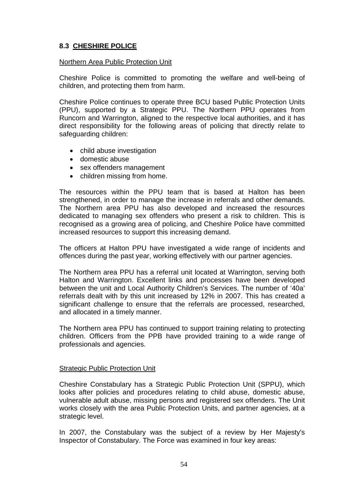### **8.3 CHESHIRE POLICE**

#### Northern Area Public Protection Unit

Cheshire Police is committed to promoting the welfare and well-being of children, and protecting them from harm.

Cheshire Police continues to operate three BCU based Public Protection Units (PPU), supported by a Strategic PPU. The Northern PPU operates from Runcorn and Warrington, aligned to the respective local authorities, and it has direct responsibility for the following areas of policing that directly relate to safeguarding children:

- child abuse investigation
- domestic abuse
- sex offenders management
- children missing from home.

The resources within the PPU team that is based at Halton has been strengthened, in order to manage the increase in referrals and other demands. The Northern area PPU has also developed and increased the resources dedicated to managing sex offenders who present a risk to children. This is recognised as a growing area of policing, and Cheshire Police have committed increased resources to support this increasing demand.

The officers at Halton PPU have investigated a wide range of incidents and offences during the past year, working effectively with our partner agencies.

The Northern area PPU has a referral unit located at Warrington, serving both Halton and Warrington. Excellent links and processes have been developed between the unit and Local Authority Children's Services. The number of '40a' referrals dealt with by this unit increased by 12% in 2007. This has created a significant challenge to ensure that the referrals are processed, researched, and allocated in a timely manner.

The Northern area PPU has continued to support training relating to protecting children. Officers from the PPB have provided training to a wide range of professionals and agencies.

### Strategic Public Protection Unit

Cheshire Constabulary has a Strategic Public Protection Unit (SPPU), which looks after policies and procedures relating to child abuse, domestic abuse, vulnerable adult abuse, missing persons and registered sex offenders. The Unit works closely with the area Public Protection Units, and partner agencies, at a strategic level.

In 2007, the Constabulary was the subject of a review by Her Majesty's Inspector of Constabulary. The Force was examined in four key areas: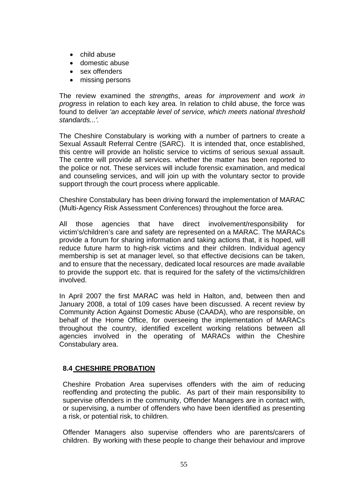- child abuse
- domestic abuse
- sex offenders
- missing persons

The review examined the *strengths*, *areas for improvement* and *work in progress* in relation to each key area. In relation to child abuse, the force was found to deliver *'an acceptable level of service, which meets national threshold standards...'.*

The Cheshire Constabulary is working with a number of partners to create a Sexual Assault Referral Centre (SARC). It is intended that, once established, this centre will provide an holistic service to victims of serious sexual assault. The centre will provide all services. whether the matter has been reported to the police or not. These services will include forensic examination, and medical and counseling services, and will join up with the voluntary sector to provide support through the court process where applicable.

Cheshire Constabulary has been driving forward the implementation of MARAC (Multi-Agency Risk Assessment Conferences) throughout the force area.

All those agencies that have direct involvement/responsibility for victim's/children's care and safety are represented on a MARAC. The MARACs provide a forum for sharing information and taking actions that, it is hoped, will reduce future harm to high-risk victims and their children. Individual agency membership is set at manager level, so that effective decisions can be taken, and to ensure that the necessary, dedicated local resources are made available to provide the support etc. that is required for the safety of the victims/children involved.

In April 2007 the first MARAC was held in Halton, and, between then and January 2008, a total of 109 cases have been discussed. A recent review by Community Action Against Domestic Abuse (CAADA), who are responsible, on behalf of the Home Office, for overseeing the implementation of MARACs throughout the country, identified excellent working relations between all agencies involved in the operating of MARACs within the Cheshire Constabulary area.

### **8.4 CHESHIRE PROBATION**

Cheshire Probation Area supervises offenders with the aim of reducing reoffending and protecting the public. As part of their main responsibility to supervise offenders in the community, Offender Managers are in contact with, or supervising, a number of offenders who have been identified as presenting a risk, or potential risk, to children.

Offender Managers also supervise offenders who are parents/carers of children. By working with these people to change their behaviour and improve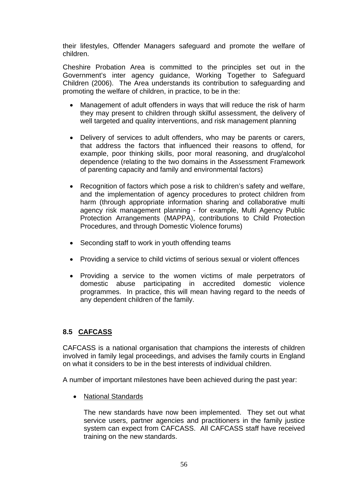their lifestyles, Offender Managers safeguard and promote the welfare of children.

Cheshire Probation Area is committed to the principles set out in the Government's inter agency guidance, Working Together to Safeguard Children (2006). The Area understands its contribution to safeguarding and promoting the welfare of children, in practice, to be in the:

- Management of adult offenders in ways that will reduce the risk of harm they may present to children through skilful assessment, the delivery of well targeted and quality interventions, and risk management planning
- Delivery of services to adult offenders, who may be parents or carers, that address the factors that influenced their reasons to offend, for example, poor thinking skills, poor moral reasoning, and drug/alcohol dependence (relating to the two domains in the Assessment Framework of parenting capacity and family and environmental factors)
- Recognition of factors which pose a risk to children's safety and welfare, and the implementation of agency procedures to protect children from harm (through appropriate information sharing and collaborative multi agency risk management planning - for example, Multi Agency Public Protection Arrangements (MAPPA), contributions to Child Protection Procedures, and through Domestic Violence forums)
- Seconding staff to work in youth offending teams
- Providing a service to child victims of serious sexual or violent offences
- Providing a service to the women victims of male perpetrators of domestic abuse participating in accredited domestic violence programmes. In practice, this will mean having regard to the needs of any dependent children of the family.

### **8.5 CAFCASS**

CAFCASS is a national organisation that champions the interests of children involved in family legal proceedings, and advises the family courts in England on what it considers to be in the best interests of individual children.

A number of important milestones have been achieved during the past year:

• National Standards

The new standards have now been implemented. They set out what service users, partner agencies and practitioners in the family justice system can expect from CAFCASS. All CAFCASS staff have received training on the new standards.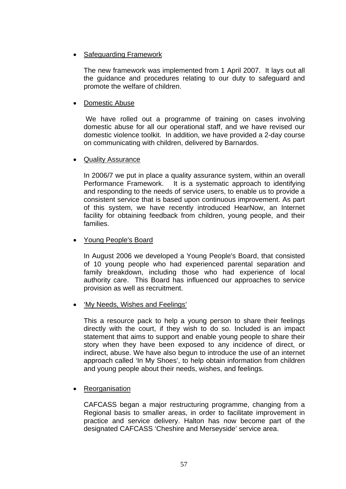### • Safeguarding Framework

The new framework was implemented from 1 April 2007. It lays out all the guidance and procedures relating to our duty to safeguard and promote the welfare of children.

### • Domestic Abuse

 We have rolled out a programme of training on cases involving domestic abuse for all our operational staff, and we have revised our domestic violence toolkit. In addition, we have provided a 2-day course on communicating with children, delivered by Barnardos.

### • Quality Assurance

In 2006/7 we put in place a quality assurance system, within an overall Performance Framework. It is a systematic approach to identifying and responding to the needs of service users, to enable us to provide a consistent service that is based upon continuous improvement. As part of this system, we have recently introduced HearNow, an Internet facility for obtaining feedback from children, young people, and their families.

### • Young People's Board

In August 2006 we developed a Young People's Board, that consisted of 10 young people who had experienced parental separation and family breakdown, including those who had experience of local authority care. This Board has influenced our approaches to service provision as well as recruitment.

• 'My Needs, Wishes and Feelings'

This a resource pack to help a young person to share their feelings directly with the court, if they wish to do so. Included is an impact statement that aims to support and enable young people to share their story when they have been exposed to any incidence of direct, or indirect, abuse. We have also begun to introduce the use of an internet approach called 'In My Shoes', to help obtain information from children and young people about their needs, wishes, and feelings.

• Reorganisation

CAFCASS began a major restructuring programme, changing from a Regional basis to smaller areas, in order to facilitate improvement in practice and service delivery. Halton has now become part of the designated CAFCASS 'Cheshire and Merseyside' service area.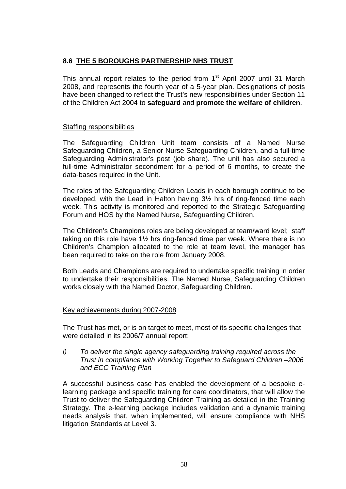### **8.6 THE 5 BOROUGHS PARTNERSHIP NHS TRUST**

This annual report relates to the period from  $1<sup>st</sup>$  April 2007 until 31 March 2008, and represents the fourth year of a 5-year plan. Designations of posts have been changed to reflect the Trust's new responsibilities under Section 11 of the Children Act 2004 to **safeguard** and **promote the welfare of children**.

#### Staffing responsibilities

The Safeguarding Children Unit team consists of a Named Nurse Safeguarding Children, a Senior Nurse Safeguarding Children, and a full-time Safeguarding Administrator's post (job share). The unit has also secured a full-time Administrator secondment for a period of 6 months, to create the data-bases required in the Unit.

The roles of the Safeguarding Children Leads in each borough continue to be developed, with the Lead in Halton having 3½ hrs of ring-fenced time each week. This activity is monitored and reported to the Strategic Safeguarding Forum and HOS by the Named Nurse, Safeguarding Children.

The Children's Champions roles are being developed at team/ward level; staff taking on this role have 1½ hrs ring-fenced time per week. Where there is no Children's Champion allocated to the role at team level, the manager has been required to take on the role from January 2008.

Both Leads and Champions are required to undertake specific training in order to undertake their responsibilities. The Named Nurse, Safeguarding Children works closely with the Named Doctor, Safeguarding Children.

### Key achievements during 2007-2008

The Trust has met, or is on target to meet, most of its specific challenges that were detailed in its 2006/7 annual report:

*i) To deliver the single agency safeguarding training required across the Trust in compliance with Working Together to Safeguard Children –2006 and ECC Training Plan* 

A successful business case has enabled the development of a bespoke elearning package and specific training for care coordinators, that will allow the Trust to deliver the Safeguarding Children Training as detailed in the Training Strategy. The e-learning package includes validation and a dynamic training needs analysis that, when implemented, will ensure compliance with NHS litigation Standards at Level 3.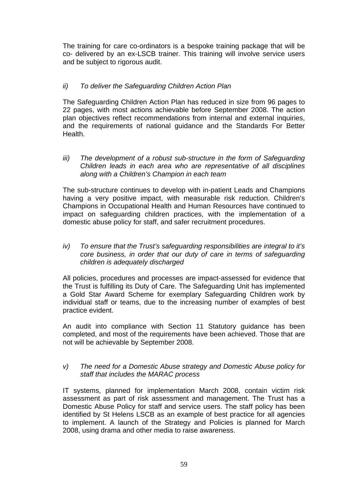The training for care co-ordinators is a bespoke training package that will be co- delivered by an ex-LSCB trainer. This training will involve service users and be subject to rigorous audit.

### *ii) To deliver the Safeguarding Children Action Plan*

The Safeguarding Children Action Plan has reduced in size from 96 pages to 22 pages, with most actions achievable before September 2008. The action plan objectives reflect recommendations from internal and external inquiries, and the requirements of national guidance and the Standards For Better Health.

*iii*) The development of a robust sub-structure in the form of Safeguarding *Children leads in each area who are representative of all disciplines along with a Children's Champion in each team* 

The sub-structure continues to develop with in-patient Leads and Champions having a very positive impact, with measurable risk reduction. Children's Champions in Occupational Health and Human Resources have continued to impact on safeguarding children practices, with the implementation of a domestic abuse policy for staff, and safer recruitment procedures.

*iv) To ensure that the Trust's safeguarding responsibilities are integral to it's core business, in order that our duty of care in terms of safeguarding children is adequately discharged* 

All policies, procedures and processes are impact-assessed for evidence that the Trust is fulfilling its Duty of Care. The Safeguarding Unit has implemented a Gold Star Award Scheme for exemplary Safeguarding Children work by individual staff or teams, due to the increasing number of examples of best practice evident.

An audit into compliance with Section 11 Statutory guidance has been completed, and most of the requirements have been achieved. Those that are not will be achievable by September 2008.

### *v) The need for a Domestic Abuse strategy and Domestic Abuse policy for staff that includes the MARAC process*

IT systems, planned for implementation March 2008, contain victim risk assessment as part of risk assessment and management. The Trust has a Domestic Abuse Policy for staff and service users. The staff policy has been identified by St Helens LSCB as an example of best practice for all agencies to implement. A launch of the Strategy and Policies is planned for March 2008, using drama and other media to raise awareness.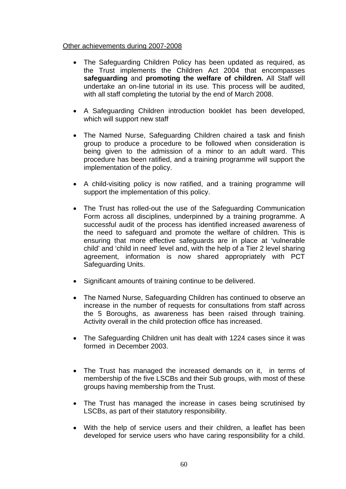### Other achievements during 2007-2008

- The Safeguarding Children Policy has been updated as required, as the Trust implements the Children Act 2004 that encompasses **safeguarding** and **promoting the welfare of children.** All Staff will undertake an on-line tutorial in its use. This process will be audited, with all staff completing the tutorial by the end of March 2008.
- A Safeguarding Children introduction booklet has been developed, which will support new staff
- The Named Nurse, Safeguarding Children chaired a task and finish group to produce a procedure to be followed when consideration is being given to the admission of a minor to an adult ward. This procedure has been ratified, and a training programme will support the implementation of the policy.
- A child-visiting policy is now ratified, and a training programme will support the implementation of this policy.
- The Trust has rolled-out the use of the Safeguarding Communication Form across all disciplines, underpinned by a training programme. A successful audit of the process has identified increased awareness of the need to safeguard and promote the welfare of children. This is ensuring that more effective safeguards are in place at 'vulnerable child' and 'child in need' level and, with the help of a Tier 2 level sharing agreement, information is now shared appropriately with PCT Safeguarding Units.
- Significant amounts of training continue to be delivered.
- The Named Nurse, Safeguarding Children has continued to observe an increase in the number of requests for consultations from staff across the 5 Boroughs, as awareness has been raised through training. Activity overall in the child protection office has increased.
- The Safeguarding Children unit has dealt with 1224 cases since it was formed in December 2003.
- The Trust has managed the increased demands on it, in terms of membership of the five LSCBs and their Sub groups, with most of these groups having membership from the Trust.
- The Trust has managed the increase in cases being scrutinised by LSCBs, as part of their statutory responsibility.
- With the help of service users and their children, a leaflet has been developed for service users who have caring responsibility for a child.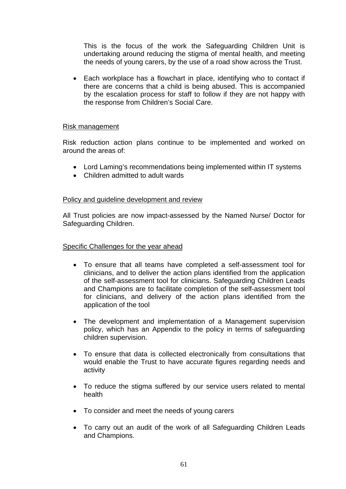This is the focus of the work the Safeguarding Children Unit is undertaking around reducing the stigma of mental health, and meeting the needs of young carers, by the use of a road show across the Trust.

• Each workplace has a flowchart in place, identifying who to contact if there are concerns that a child is being abused. This is accompanied by the escalation process for staff to follow if they are not happy with the response from Children's Social Care.

#### Risk management

Risk reduction action plans continue to be implemented and worked on around the areas of:

- Lord Laming's recommendations being implemented within IT systems
- Children admitted to adult wards

#### Policy and guideline development and review

All Trust policies are now impact-assessed by the Named Nurse/ Doctor for Safeguarding Children.

#### Specific Challenges for the year ahead

- To ensure that all teams have completed a self-assessment tool for clinicians, and to deliver the action plans identified from the application of the self-assessment tool for clinicians. Safeguarding Children Leads and Champions are to facilitate completion of the self-assessment tool for clinicians, and delivery of the action plans identified from the application of the tool
- The development and implementation of a Management supervision policy, which has an Appendix to the policy in terms of safeguarding children supervision.
- To ensure that data is collected electronically from consultations that would enable the Trust to have accurate figures regarding needs and activity
- To reduce the stigma suffered by our service users related to mental health
- To consider and meet the needs of young carers
- To carry out an audit of the work of all Safeguarding Children Leads and Champions.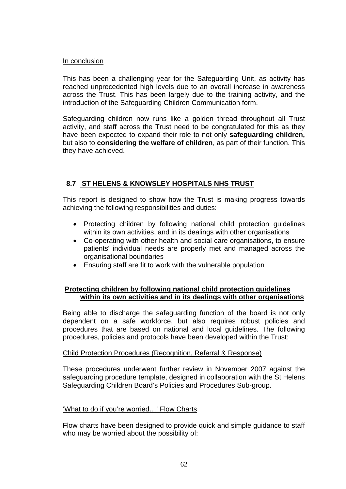#### In conclusion

This has been a challenging year for the Safeguarding Unit, as activity has reached unprecedented high levels due to an overall increase in awareness across the Trust. This has been largely due to the training activity, and the introduction of the Safeguarding Children Communication form.

Safeguarding children now runs like a golden thread throughout all Trust activity, and staff across the Trust need to be congratulated for this as they have been expected to expand their role to not only **safeguarding children,** but also to **considering the welfare of children**, as part of their function. This they have achieved.

### **8.7 ST HELENS & KNOWSLEY HOSPITALS NHS TRUST**

This report is designed to show how the Trust is making progress towards achieving the following responsibilities and duties:

- Protecting children by following national child protection guidelines within its own activities, and in its dealings with other organisations
- Co-operating with other health and social care organisations, to ensure patients' individual needs are properly met and managed across the organisational boundaries
- Ensuring staff are fit to work with the vulnerable population

### **Protecting children by following national child protection guidelines within its own activities and in its dealings with other organisations**

Being able to discharge the safeguarding function of the board is not only dependent on a safe workforce, but also requires robust policies and procedures that are based on national and local guidelines. The following procedures, policies and protocols have been developed within the Trust:

### Child Protection Procedures (Recognition, Referral & Response)

These procedures underwent further review in November 2007 against the safeguarding procedure template, designed in collaboration with the St Helens Safeguarding Children Board's Policies and Procedures Sub-group.

### 'What to do if you're worried…' Flow Charts

Flow charts have been designed to provide quick and simple guidance to staff who may be worried about the possibility of: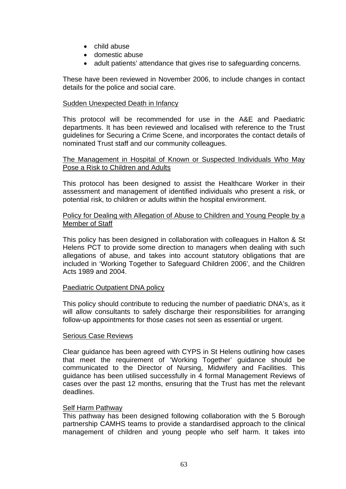- child abuse
- domestic abuse
- adult patients' attendance that gives rise to safeguarding concerns.

These have been reviewed in November 2006, to include changes in contact details for the police and social care.

#### Sudden Unexpected Death in Infancy

This protocol will be recommended for use in the A&E and Paediatric departments. It has been reviewed and localised with reference to the Trust guidelines for Securing a Crime Scene, and incorporates the contact details of nominated Trust staff and our community colleagues.

#### The Management in Hospital of Known or Suspected Individuals Who May Pose a Risk to Children and Adults

This protocol has been designed to assist the Healthcare Worker in their assessment and management of identified individuals who present a risk, or potential risk, to children or adults within the hospital environment.

#### Policy for Dealing with Allegation of Abuse to Children and Young People by a Member of Staff

This policy has been designed in collaboration with colleagues in Halton & St Helens PCT to provide some direction to managers when dealing with such allegations of abuse, and takes into account statutory obligations that are included in 'Working Together to Safeguard Children 2006', and the Children Acts 1989 and 2004.

### Paediatric Outpatient DNA policy

This policy should contribute to reducing the number of paediatric DNA's, as it will allow consultants to safely discharge their responsibilities for arranging follow-up appointments for those cases not seen as essential or urgent.

### Serious Case Reviews

Clear guidance has been agreed with CYPS in St Helens outlining how cases that meet the requirement of 'Working Together' guidance should be communicated to the Director of Nursing, Midwifery and Facilities. This guidance has been utilised successfully in 4 formal Management Reviews of cases over the past 12 months, ensuring that the Trust has met the relevant deadlines.

#### Self Harm Pathway

This pathway has been designed following collaboration with the 5 Borough partnership CAMHS teams to provide a standardised approach to the clinical management of children and young people who self harm. It takes into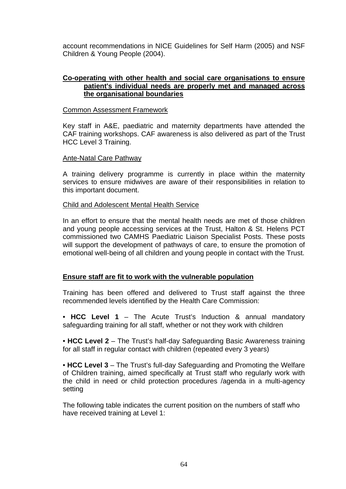account recommendations in NICE Guidelines for Self Harm (2005) and NSF Children & Young People (2004).

### **Co-operating with other health and social care organisations to ensure patient's individual needs are properly met and managed across the organisational boundaries**

#### Common Assessment Framework

Key staff in A&E, paediatric and maternity departments have attended the CAF training workshops. CAF awareness is also delivered as part of the Trust HCC Level 3 Training.

#### Ante-Natal Care Pathway

A training delivery programme is currently in place within the maternity services to ensure midwives are aware of their responsibilities in relation to this important document.

#### Child and Adolescent Mental Health Service

In an effort to ensure that the mental health needs are met of those children and young people accessing services at the Trust, Halton & St. Helens PCT commissioned two CAMHS Paediatric Liaison Specialist Posts. These posts will support the development of pathways of care, to ensure the promotion of emotional well-being of all children and young people in contact with the Trust.

### **Ensure staff are fit to work with the vulnerable population**

Training has been offered and delivered to Trust staff against the three recommended levels identified by the Health Care Commission:

• **HCC Level 1** – The Acute Trust's Induction & annual mandatory safeguarding training for all staff, whether or not they work with children

• **HCC Level 2** – The Trust's half-day Safeguarding Basic Awareness training for all staff in regular contact with children (repeated every 3 years)

• **HCC Level 3** – The Trust's full-day Safeguarding and Promoting the Welfare of Children training, aimed specifically at Trust staff who regularly work with the child in need or child protection procedures /agenda in a multi-agency setting

The following table indicates the current position on the numbers of staff who have received training at Level 1: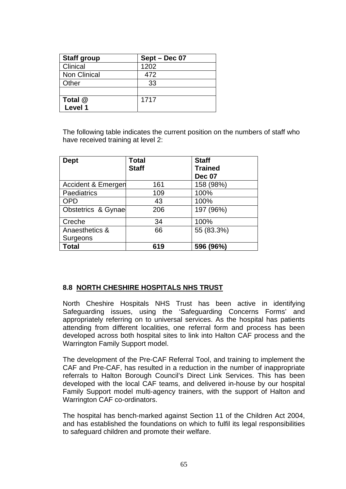| <b>Staff group</b>  | Sept - Dec 07 |
|---------------------|---------------|
| Clinical            | 1202          |
| <b>Non Clinical</b> | 472           |
| Other               | 33            |
|                     |               |
| Total @             | 1717          |
| Level 1             |               |

The following table indicates the current position on the numbers of staff who have received training at level 2:

| <b>Dept</b>        | <b>Total</b> | <b>Staff</b>   |
|--------------------|--------------|----------------|
|                    | <b>Staff</b> | <b>Trained</b> |
|                    |              | <b>Dec 07</b>  |
| Accident & Emergen | 161          | 158 (98%)      |
| Paediatrics        | 109          | 100%           |
| <b>OPD</b>         | 43           | 100%           |
| Obstetrics & Gynae | 206          | 197 (96%)      |
| Creche             | 34           | 100%           |
| Anaesthetics &     | 66           | 55 (83.3%)     |
| Surgeons           |              |                |
| <b>Total</b>       | 619          | 596 (96%)      |

### **8.8 NORTH CHESHIRE HOSPITALS NHS TRUST**

North Cheshire Hospitals NHS Trust has been active in identifying Safeguarding issues, using the 'Safeguarding Concerns Forms' and appropriately referring on to universal services. As the hospital has patients attending from different localities, one referral form and process has been developed across both hospital sites to link into Halton CAF process and the Warrington Family Support model.

The development of the Pre-CAF Referral Tool, and training to implement the CAF and Pre-CAF, has resulted in a reduction in the number of inappropriate referrals to Halton Borough Council's Direct Link Services. This has been developed with the local CAF teams, and delivered in-house by our hospital Family Support model multi-agency trainers, with the support of Halton and Warrington CAF co-ordinators.

The hospital has bench-marked against Section 11 of the Children Act 2004, and has established the foundations on which to fulfil its legal responsibilities to safeguard children and promote their welfare.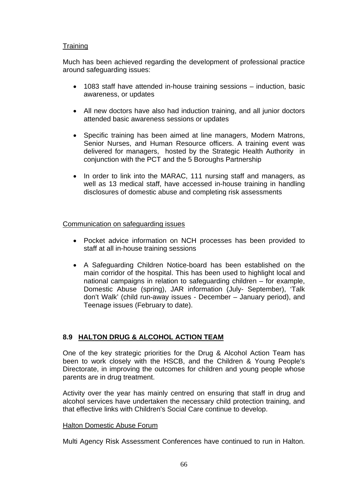### **Training**

Much has been achieved regarding the development of professional practice around safeguarding issues:

- 1083 staff have attended in-house training sessions induction, basic awareness, or updates
- All new doctors have also had induction training, and all junior doctors attended basic awareness sessions or updates
- Specific training has been aimed at line managers, Modern Matrons, Senior Nurses, and Human Resource officers. A training event was delivered for managers, hosted by the Strategic Health Authority in conjunction with the PCT and the 5 Boroughs Partnership
- In order to link into the MARAC, 111 nursing staff and managers, as well as 13 medical staff, have accessed in-house training in handling disclosures of domestic abuse and completing risk assessments

### Communication on safeguarding issues

- Pocket advice information on NCH processes has been provided to staff at all in-house training sessions
- A Safeguarding Children Notice-board has been established on the main corridor of the hospital. This has been used to highlight local and national campaigns in relation to safeguarding children – for example, Domestic Abuse (spring), JAR information (July- September), 'Talk don't Walk' (child run-away issues - December – January period), and Teenage issues (February to date).

### **8.9 HALTON DRUG & ALCOHOL ACTION TEAM**

One of the key strategic priorities for the Drug & Alcohol Action Team has been to work closely with the HSCB, and the Children & Young People's Directorate, in improving the outcomes for children and young people whose parents are in drug treatment.

Activity over the year has mainly centred on ensuring that staff in drug and alcohol services have undertaken the necessary child protection training, and that effective links with Children's Social Care continue to develop.

### Halton Domestic Abuse Forum

Multi Agency Risk Assessment Conferences have continued to run in Halton.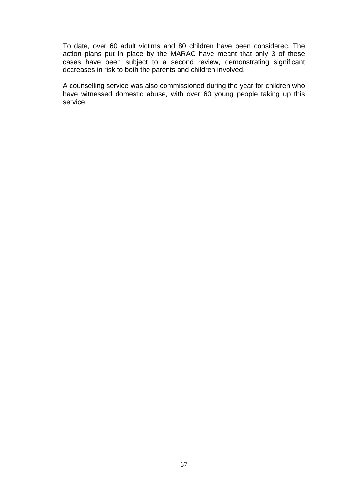To date, over 60 adult victims and 80 children have been considerec. The action plans put in place by the MARAC have meant that only 3 of these cases have been subject to a second review, demonstrating significant decreases in risk to both the parents and children involved.

A counselling service was also commissioned during the year for children who have witnessed domestic abuse, with over 60 young people taking up this service.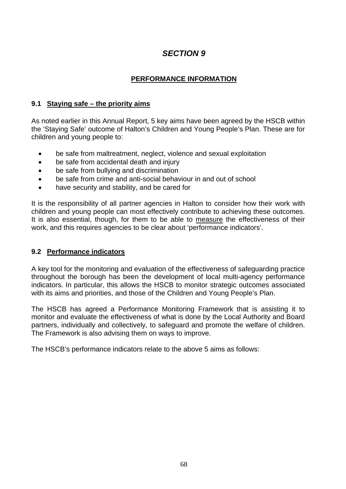# *SECTION 9*

# **PERFORMANCE INFORMATION**

### **9.1 Staying safe – the priority aims**

As noted earlier in this Annual Report, 5 key aims have been agreed by the HSCB within the 'Staying Safe' outcome of Halton's Children and Young People's Plan. These are for children and young people to:

- be safe from maltreatment, neglect, violence and sexual exploitation
- be safe from accidental death and injury
- be safe from bullying and discrimination
- be safe from crime and anti-social behaviour in and out of school
- have security and stability, and be cared for

It is the responsibility of all partner agencies in Halton to consider how their work with children and young people can most effectively contribute to achieving these outcomes. It is also essential, though, for them to be able to measure the effectiveness of their work, and this requires agencies to be clear about 'performance indicators'.

### **9.2 Performance indicators**

A key tool for the monitoring and evaluation of the effectiveness of safeguarding practice throughout the borough has been the development of local multi-agency performance indicators. In particular, this allows the HSCB to monitor strategic outcomes associated with its aims and priorities, and those of the Children and Young People's Plan.

The HSCB has agreed a Performance Monitoring Framework that is assisting it to monitor and evaluate the effectiveness of what is done by the Local Authority and Board partners, individually and collectively, to safeguard and promote the welfare of children. The Framework is also advising them on ways to improve.

The HSCB's performance indicators relate to the above 5 aims as follows: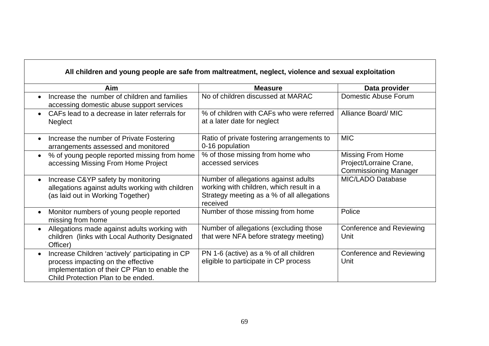| All children and young people are safe from maltreatment, neglect, violence and sexual exploitation                                                                                        |                                                                                                                                            |                                                                                     |  |
|--------------------------------------------------------------------------------------------------------------------------------------------------------------------------------------------|--------------------------------------------------------------------------------------------------------------------------------------------|-------------------------------------------------------------------------------------|--|
| Aim                                                                                                                                                                                        | <b>Measure</b>                                                                                                                             | Data provider                                                                       |  |
| Increase the number of children and families<br>accessing domestic abuse support services                                                                                                  | No of children discussed at MARAC                                                                                                          | Domestic Abuse Forum                                                                |  |
| CAFs lead to a decrease in later referrals for<br>$\bullet$<br><b>Neglect</b>                                                                                                              | % of children with CAFs who were referred<br>at a later date for neglect                                                                   | Alliance Board/MIC                                                                  |  |
| Increase the number of Private Fostering<br>$\bullet$<br>arrangements assessed and monitored                                                                                               | Ratio of private fostering arrangements to<br>0-16 population                                                                              | <b>MIC</b>                                                                          |  |
| % of young people reported missing from home<br>accessing Missing From Home Project                                                                                                        | % of those missing from home who<br>accessed services                                                                                      | <b>Missing From Home</b><br>Project/Lorraine Crane,<br><b>Commissioning Manager</b> |  |
| Increase C&YP safety by monitoring<br>$\bullet$<br>allegations against adults working with children<br>(as laid out in Working Together)                                                   | Number of allegations against adults<br>working with children, which result in a<br>Strategy meeting as a % of all allegations<br>received | <b>MIC/LADO Database</b>                                                            |  |
| Monitor numbers of young people reported<br>missing from home                                                                                                                              | Number of those missing from home                                                                                                          | Police                                                                              |  |
| Allegations made against adults working with<br>$\bullet$<br>children (links with Local Authority Designated<br>Officer)                                                                   | Number of allegations (excluding those<br>that were NFA before strategy meeting)                                                           | <b>Conference and Reviewing</b><br>Unit                                             |  |
| Increase Children 'actively' participating in CP<br>$\bullet$<br>process impacting on the effective<br>implementation of their CP Plan to enable the<br>Child Protection Plan to be ended. | PN 1-6 (active) as a % of all children<br>eligible to participate in CP process                                                            | Conference and Reviewing<br>Unit                                                    |  |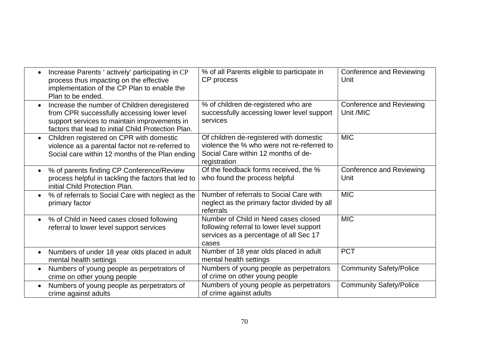| Increase Parents ' actively' participating in CP<br>process thus impacting on the effective<br>implementation of the CP Plan to enable the<br>Plan to be ended.                                                 | % of all Parents eligible to participate in<br>CP process                                                                                    | <b>Conference and Reviewing</b><br>Unit      |
|-----------------------------------------------------------------------------------------------------------------------------------------------------------------------------------------------------------------|----------------------------------------------------------------------------------------------------------------------------------------------|----------------------------------------------|
| Increase the number of Children deregistered<br>$\bullet$<br>from CPR successfully accessing lower level<br>support services to maintain improvements in<br>factors that lead to initial Child Protection Plan. | % of children de-registered who are<br>successfully accessing lower level support<br>services                                                | <b>Conference and Reviewing</b><br>Unit /MIC |
| Children registered on CPR with domestic<br>violence as a parental factor not re-referred to<br>Social care within 12 months of the Plan ending                                                                 | Of children de-registered with domestic<br>violence the % who were not re-referred to<br>Social Care within 12 months of de-<br>registration | <b>MIC</b>                                   |
| % of parents finding CP Conference/Review<br>$\bullet$<br>process helpful in tackling the factors that led to<br>initial Child Protection Plan.                                                                 | Of the feedback forms received, the %<br>who found the process helpful                                                                       | <b>Conference and Reviewing</b><br>Unit      |
| % of referrals to Social Care with neglect as the<br>$\bullet$<br>primary factor                                                                                                                                | Number of referrals to Social Care with<br>neglect as the primary factor divided by all<br>referrals                                         | <b>MIC</b>                                   |
| % of Child in Need cases closed following<br>$\bullet$<br>referral to lower level support services                                                                                                              | Number of Child in Need cases closed<br>following referral to lower level support<br>services as a percentage of all Sec 17<br>cases         | <b>MIC</b>                                   |
| Numbers of under 18 year olds placed in adult<br>$\bullet$<br>mental health settings                                                                                                                            | Number of 18 year olds placed in adult<br>mental health settings                                                                             | <b>PCT</b>                                   |
| Numbers of young people as perpetrators of<br>crime on other young people                                                                                                                                       | Numbers of young people as perpetrators<br>of crime on other young people                                                                    | <b>Community Safety/Police</b>               |
| Numbers of young people as perpetrators of<br>$\bullet$<br>crime against adults                                                                                                                                 | Numbers of young people as perpetrators<br>of crime against adults                                                                           | <b>Community Safety/Police</b>               |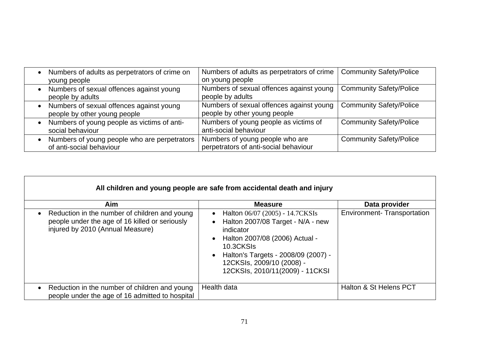| Numbers of adults as perpetrators of crime on<br>young people            | Numbers of adults as perpetrators of crime   Community Safety/Police<br>on young people |                                |
|--------------------------------------------------------------------------|-----------------------------------------------------------------------------------------|--------------------------------|
| Numbers of sexual offences against young<br>people by adults             | Numbers of sexual offences against young<br>people by adults                            | <b>Community Safety/Police</b> |
| Numbers of sexual offences against young<br>people by other young people | Numbers of sexual offences against young<br>people by other young people                | <b>Community Safety/Police</b> |
| Numbers of young people as victims of anti-<br>social behaviour          | Numbers of young people as victims of<br>anti-social behaviour                          | <b>Community Safety/Police</b> |
| Numbers of young people who are perpetrators<br>of anti-social behaviour | Numbers of young people who are<br>perpetrators of anti-social behaviour                | <b>Community Safety/Police</b> |

| All children and young people are safe from accidental death and injury                                                             |                                                                                                                                                                                                                                                                                  |                                   |
|-------------------------------------------------------------------------------------------------------------------------------------|----------------------------------------------------------------------------------------------------------------------------------------------------------------------------------------------------------------------------------------------------------------------------------|-----------------------------------|
| <b>Aim</b>                                                                                                                          | <b>Measure</b>                                                                                                                                                                                                                                                                   | Data provider                     |
| Reduction in the number of children and young<br>people under the age of 16 killed or seriously<br>injured by 2010 (Annual Measure) | Halton 06/07 (2005) - 14.7 CKS Is<br>$\bullet$<br>Halton 2007/08 Target - N/A - new<br>indicator<br>Halton 2007/08 (2006) Actual -<br>$\bullet$<br>10.3CKSIs<br>Halton's Targets - 2008/09 (2007) -<br>$\bullet$<br>12CKSIs, 2009/10 (2008) -<br>12CKSIs, 2010/11(2009) - 11CKSI | <b>Environment-Transportation</b> |
| Reduction in the number of children and young<br>people under the age of 16 admitted to hospital                                    | Health data                                                                                                                                                                                                                                                                      | Halton & St Helens PCT            |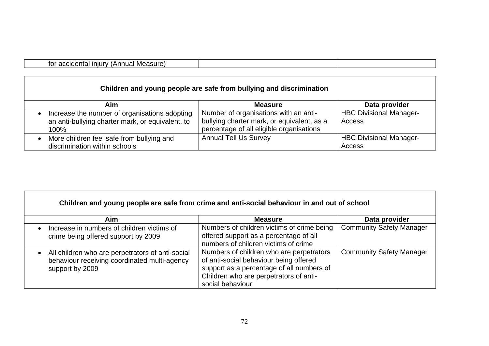| tor<br>ההח<br>Measure<br>n n<br>.<br>11 1 1 1 <i>a</i> 1<br>ы<br>нc<br>.<br>. |
|-------------------------------------------------------------------------------|
|-------------------------------------------------------------------------------|

┑

| Children and young people are safe from bullying and discrimination                                       |                                                                                                                                 |                                          |
|-----------------------------------------------------------------------------------------------------------|---------------------------------------------------------------------------------------------------------------------------------|------------------------------------------|
| Aim                                                                                                       | <b>Measure</b>                                                                                                                  | Data provider                            |
| Increase the number of organisations adopting<br>an anti-bullying charter mark, or equivalent, to<br>100% | Number of organisations with an anti-<br>bullying charter mark, or equivalent, as a<br>percentage of all eligible organisations | <b>HBC Divisional Manager-</b><br>Access |
| More children feel safe from bullying and<br>$\bullet$<br>discrimination within schools                   | <b>Annual Tell Us Survey</b>                                                                                                    | <b>HBC Divisional Manager-</b><br>Access |

ा

| Children and young people are safe from crime and anti-social behaviour in and out of school |  |
|----------------------------------------------------------------------------------------------|--|
|----------------------------------------------------------------------------------------------|--|

| Aim                                                                                                                 | <b>Measure</b>                                                                                                                                                                                | Data provider                   |  |
|---------------------------------------------------------------------------------------------------------------------|-----------------------------------------------------------------------------------------------------------------------------------------------------------------------------------------------|---------------------------------|--|
| Increase in numbers of children victims of<br>crime being offered support by 2009                                   | Numbers of children victims of crime being<br>offered support as a percentage of all<br>numbers of children victims of crime                                                                  | <b>Community Safety Manager</b> |  |
| All children who are perpetrators of anti-social<br>behaviour receiving coordinated multi-agency<br>support by 2009 | Numbers of children who are perpetrators<br>of anti-social behaviour being offered<br>support as a percentage of all numbers of<br>Children who are perpetrators of anti-<br>social behaviour | <b>Community Safety Manager</b> |  |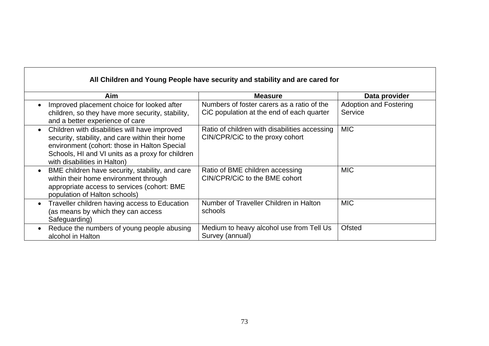| All Children and Young People have security and stability and are cared for                                                                                                                                                          |                                                                                         |                                          |
|--------------------------------------------------------------------------------------------------------------------------------------------------------------------------------------------------------------------------------------|-----------------------------------------------------------------------------------------|------------------------------------------|
| Aim                                                                                                                                                                                                                                  | <b>Measure</b>                                                                          | Data provider                            |
| Improved placement choice for looked after<br>children, so they have more security, stability,<br>and a better experience of care                                                                                                    | Numbers of foster carers as a ratio of the<br>CiC population at the end of each quarter | <b>Adoption and Fostering</b><br>Service |
| Children with disabilities will have improved<br>security, stability, and care within their home<br>environment (cohort: those in Halton Special<br>Schools, HI and VI units as a proxy for children<br>with disabilities in Halton) | Ratio of children with disabilities accessing<br>CIN/CPR/CiC to the proxy cohort        | <b>MIC</b>                               |
| BME children have security, stability, and care<br>within their home environment through<br>appropriate access to services (cohort: BME<br>population of Halton schools)                                                             | Ratio of BME children accessing<br>CIN/CPR/CiC to the BME cohort                        | <b>MIC</b>                               |
| Traveller children having access to Education<br>(as means by which they can access<br>Safeguarding)                                                                                                                                 | Number of Traveller Children in Halton<br>schools                                       | <b>MIC</b>                               |
| Reduce the numbers of young people abusing<br>alcohol in Halton                                                                                                                                                                      | Medium to heavy alcohol use from Tell Us<br>Survey (annual)                             | Ofsted                                   |

 $\overline{\phantom{0}}$ 

 $\blacksquare$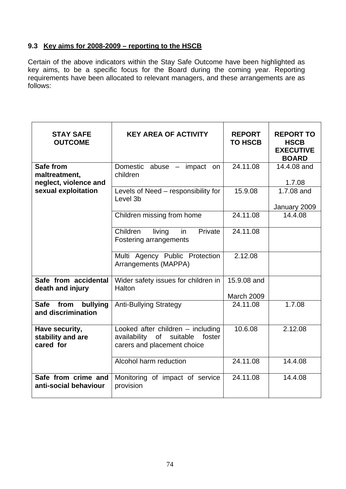## **9.3 Key aims for 2008-2009 – reporting to the HSCB**

Certain of the above indicators within the Stay Safe Outcome have been highlighted as key aims, to be a specific focus for the Board during the coming year. Reporting requirements have been allocated to relevant managers, and these arrangements are as follows:

| <b>STAY SAFE</b><br><b>OUTCOME</b>                    | <b>KEY AREA OF ACTIVITY</b>                                                                                 | <b>REPORT</b><br><b>TO HSCB</b> | <b>REPORT TO</b><br><b>HSCB</b><br><b>EXECUTIVE</b><br><b>BOARD</b> |
|-------------------------------------------------------|-------------------------------------------------------------------------------------------------------------|---------------------------------|---------------------------------------------------------------------|
| Safe from<br>maltreatment,<br>neglect, violence and   | Domestic<br>abuse<br>impact<br>on<br>$-$<br>children                                                        | 24.11.08                        | 14.4.08 and<br>1.7.08                                               |
| sexual exploitation                                   | Levels of Need - responsibility for<br>Level 3b                                                             | 15.9.08                         | 1.7.08 and<br>January 2009                                          |
|                                                       | Children missing from home                                                                                  | 24.11.08                        | 14.4.08                                                             |
|                                                       | Private<br>Children<br>living<br>in.<br>Fostering arrangements                                              | 24.11.08                        |                                                                     |
|                                                       | Multi Agency Public Protection<br>Arrangements (MAPPA)                                                      | 2.12.08                         |                                                                     |
| Safe from accidental<br>death and injury              | Wider safety issues for children in<br>Halton                                                               | 15.9.08 and<br>March 2009       |                                                                     |
| bullying<br><b>Safe</b><br>from<br>and discrimination | <b>Anti-Bullying Strategy</b>                                                                               | 24.11.08                        | 1.7.08                                                              |
| Have security,<br>stability and are<br>cared for      | Looked after children $-$ including<br>availability of<br>suitable<br>foster<br>carers and placement choice | 10.6.08                         | 2.12.08                                                             |
|                                                       | Alcohol harm reduction                                                                                      | 24.11.08                        | 14.4.08                                                             |
| Safe from crime and<br>anti-social behaviour          | Monitoring of impact of service<br>provision                                                                | 24.11.08                        | 14.4.08                                                             |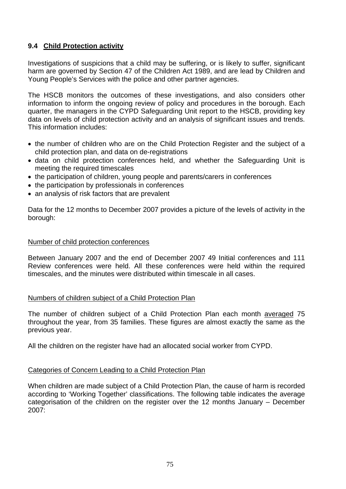## **9.4 Child Protection activity**

Investigations of suspicions that a child may be suffering, or is likely to suffer, significant harm are governed by Section 47 of the Children Act 1989, and are lead by Children and Young People's Services with the police and other partner agencies.

The HSCB monitors the outcomes of these investigations, and also considers other information to inform the ongoing review of policy and procedures in the borough. Each quarter, the managers in the CYPD Safeguarding Unit report to the HSCB, providing key data on levels of child protection activity and an analysis of significant issues and trends. This information includes:

- the number of children who are on the Child Protection Register and the subject of a child protection plan, and data on de-registrations
- data on child protection conferences held, and whether the Safeguarding Unit is meeting the required timescales
- the participation of children, young people and parents/carers in conferences
- the participation by professionals in conferences
- an analysis of risk factors that are prevalent

Data for the 12 months to December 2007 provides a picture of the levels of activity in the borough:

#### Number of child protection conferences

Between January 2007 and the end of December 2007 49 Initial conferences and 111 Review conferences were held. All these conferences were held within the required timescales, and the minutes were distributed within timescale in all cases.

#### Numbers of children subject of a Child Protection Plan

The number of children subject of a Child Protection Plan each month averaged 75 throughout the year, from 35 families. These figures are almost exactly the same as the previous year.

All the children on the register have had an allocated social worker from CYPD.

#### Categories of Concern Leading to a Child Protection Plan

When children are made subject of a Child Protection Plan, the cause of harm is recorded according to 'Working Together' classifications. The following table indicates the average categorisation of the children on the register over the 12 months January – December 2007: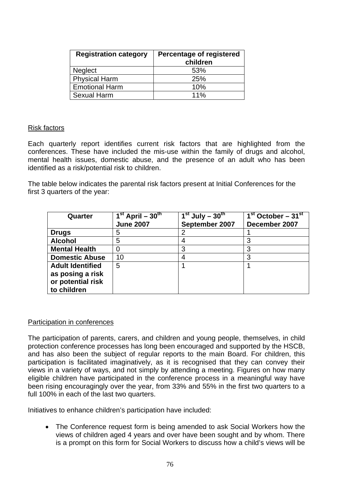| <b>Registration category</b> | <b>Percentage of registered</b><br>children |
|------------------------------|---------------------------------------------|
| <b>Neglect</b>               | 53%                                         |
| <b>Physical Harm</b>         | <b>25%</b>                                  |
| <b>Emotional Harm</b>        | 10%                                         |
| Sexual Harm                  | 11%                                         |

#### Risk factors

Each quarterly report identifies current risk factors that are highlighted from the conferences. These have included the mis-use within the family of drugs and alcohol, mental health issues, domestic abuse, and the presence of an adult who has been identified as a risk/potential risk to children.

The table below indicates the parental risk factors present at Initial Conferences for the first 3 quarters of the year:

| Quarter                 | $1st$ April – $30th$ | $1st$ July – $30th$ | $1st$ October – 31 <sup>st</sup> |
|-------------------------|----------------------|---------------------|----------------------------------|
|                         | <b>June 2007</b>     | September 2007      | December 2007                    |
| <b>Drugs</b>            | 5                    | 2                   |                                  |
| <b>Alcohol</b>          | 5                    | 4                   | 3                                |
| <b>Mental Health</b>    |                      | 3                   | 3                                |
| <b>Domestic Abuse</b>   | 10                   | 4                   | 3                                |
| <b>Adult Identified</b> | 5                    |                     |                                  |
| as posing a risk        |                      |                     |                                  |
| or potential risk       |                      |                     |                                  |
| to children             |                      |                     |                                  |

#### Participation in conferences

The participation of parents, carers, and children and young people, themselves, in child protection conference processes has long been encouraged and supported by the HSCB, and has also been the subject of regular reports to the main Board. For children, this participation is facilitated imaginatively, as it is recognised that they can convey their views in a variety of ways, and not simply by attending a meeting. Figures on how many eligible children have participated in the conference process in a meaningful way have been rising encouragingly over the year, from 33% and 55% in the first two quarters to a full 100% in each of the last two quarters.

Initiatives to enhance children's participation have included:

• The Conference request form is being amended to ask Social Workers how the views of children aged 4 years and over have been sought and by whom. There is a prompt on this form for Social Workers to discuss how a child's views will be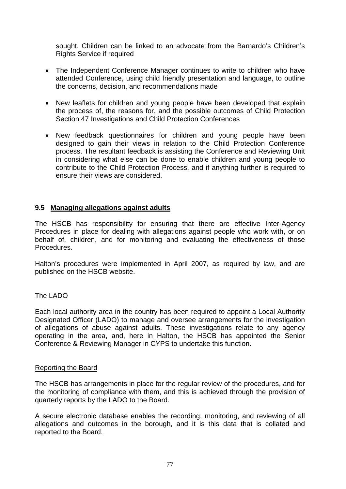sought. Children can be linked to an advocate from the Barnardo's Children's Rights Service if required

- The Independent Conference Manager continues to write to children who have attended Conference, using child friendly presentation and language, to outline the concerns, decision, and recommendations made
- New leaflets for children and young people have been developed that explain the process of, the reasons for, and the possible outcomes of Child Protection Section 47 Investigations and Child Protection Conferences
- New feedback questionnaires for children and young people have been designed to gain their views in relation to the Child Protection Conference process. The resultant feedback is assisting the Conference and Reviewing Unit in considering what else can be done to enable children and young people to contribute to the Child Protection Process, and if anything further is required to ensure their views are considered.

## **9.5 Managing allegations against adults**

The HSCB has responsibility for ensuring that there are effective Inter-Agency Procedures in place for dealing with allegations against people who work with, or on behalf of, children, and for monitoring and evaluating the effectiveness of those Procedures.

Halton's procedures were implemented in April 2007, as required by law, and are published on the HSCB website.

#### The LADO

Each local authority area in the country has been required to appoint a Local Authority Designated Officer (LADO) to manage and oversee arrangements for the investigation of allegations of abuse against adults. These investigations relate to any agency operating in the area, and, here in Halton, the HSCB has appointed the Senior Conference & Reviewing Manager in CYPS to undertake this function.

#### Reporting the Board

The HSCB has arrangements in place for the regular review of the procedures, and for the monitoring of compliance with them, and this is achieved through the provision of quarterly reports by the LADO to the Board.

A secure electronic database enables the recording, monitoring, and reviewing of all allegations and outcomes in the borough, and it is this data that is collated and reported to the Board.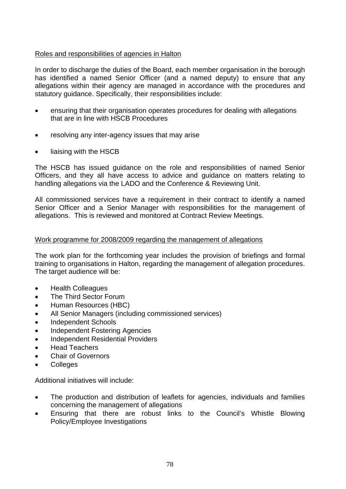### Roles and responsibilities of agencies in Halton

In order to discharge the duties of the Board, each member organisation in the borough has identified a named Senior Officer (and a named deputy) to ensure that any allegations within their agency are managed in accordance with the procedures and statutory guidance. Specifically, their responsibilities include:

- ensuring that their organisation operates procedures for dealing with allegations that are in line with HSCB Procedures
- resolving any inter-agency issues that may arise
- liaising with the HSCB

The HSCB has issued guidance on the role and responsibilities of named Senior Officers, and they all have access to advice and guidance on matters relating to handling allegations via the LADO and the Conference & Reviewing Unit.

All commissioned services have a requirement in their contract to identify a named Senior Officer and a Senior Manager with responsibilities for the management of allegations. This is reviewed and monitored at Contract Review Meetings.

#### Work programme for 2008/2009 regarding the management of allegations

The work plan for the forthcoming year includes the provision of briefings and formal training to organisations in Halton, regarding the management of allegation procedures. The target audience will be:

- Health Colleagues
- The Third Sector Forum
- Human Resources (HBC)
- All Senior Managers (including commissioned services)
- Independent Schools
- Independent Fostering Agencies
- Independent Residential Providers
- Head Teachers
- Chair of Governors
- **Colleges**

Additional initiatives will include:

- The production and distribution of leaflets for agencies, individuals and families concerning the management of allegations
- Ensuring that there are robust links to the Council's Whistle Blowing Policy/Employee Investigations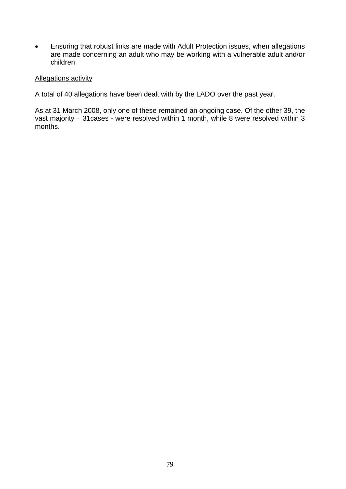• Ensuring that robust links are made with Adult Protection issues, when allegations are made concerning an adult who may be working with a vulnerable adult and/or children

#### Allegations activity

A total of 40 allegations have been dealt with by the LADO over the past year.

As at 31 March 2008, only one of these remained an ongoing case. Of the other 39, the vast majority – 31cases - were resolved within 1 month, while 8 were resolved within 3 months.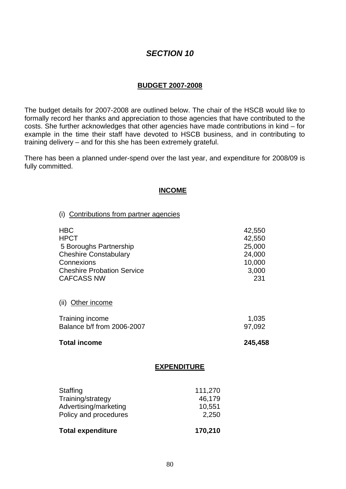# *SECTION 10*

#### **BUDGET 2007-2008**

The budget details for 2007-2008 are outlined below. The chair of the HSCB would like to formally record her thanks and appreciation to those agencies that have contributed to the costs. She further acknowledges that other agencies have made contributions in kind – for example in the time their staff have devoted to HSCB business, and in contributing to training delivery – and for this she has been extremely grateful.

There has been a planned under-spend over the last year, and expenditure for 2008/09 is fully committed.

#### **INCOME**

#### (i) Contributions from partner agencies

|                                                                                     | <b>EXPENDITURE</b> |                                      |
|-------------------------------------------------------------------------------------|--------------------|--------------------------------------|
| <b>Total income</b>                                                                 |                    | 245,458                              |
| (ii) Other income<br>Training income<br>Balance b/f from 2006-2007                  |                    | 1,035<br>97,092                      |
| Connexions<br><b>Cheshire Probation Service</b><br><b>CAFCASS NW</b>                |                    | 10,000<br>3,000<br>231               |
| <b>HBC</b><br><b>HPCT</b><br>5 Boroughs Partnership<br><b>Cheshire Constabulary</b> |                    | 42,550<br>42,550<br>25,000<br>24,000 |

| 170,210 |
|---------|
| 2,250   |
| 10,551  |
| 46,179  |
| 111,270 |
|         |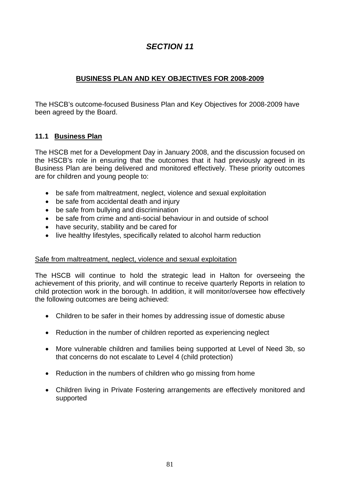# *SECTION 11*

## **BUSINESS PLAN AND KEY OBJECTIVES FOR 2008-2009**

The HSCB's outcome-focused Business Plan and Key Objectives for 2008-2009 have been agreed by the Board.

## **11.1 Business Plan**

The HSCB met for a Development Day in January 2008, and the discussion focused on the HSCB's role in ensuring that the outcomes that it had previously agreed in its Business Plan are being delivered and monitored effectively. These priority outcomes are for children and young people to:

- be safe from maltreatment, neglect, violence and sexual exploitation
- be safe from accidental death and injury
- be safe from bullying and discrimination
- be safe from crime and anti-social behaviour in and outside of school
- have security, stability and be cared for
- live healthy lifestyles, specifically related to alcohol harm reduction

#### Safe from maltreatment, neglect, violence and sexual exploitation

The HSCB will continue to hold the strategic lead in Halton for overseeing the achievement of this priority, and will continue to receive quarterly Reports in relation to child protection work in the borough. In addition, it will monitor/oversee how effectively the following outcomes are being achieved:

- Children to be safer in their homes by addressing issue of domestic abuse
- Reduction in the number of children reported as experiencing neglect
- More vulnerable children and families being supported at Level of Need 3b, so that concerns do not escalate to Level 4 (child protection)
- Reduction in the numbers of children who go missing from home
- Children living in Private Fostering arrangements are effectively monitored and supported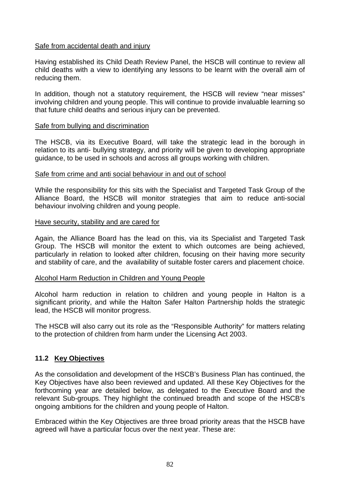#### Safe from accidental death and injury

Having established its Child Death Review Panel, the HSCB will continue to review all child deaths with a view to identifying any lessons to be learnt with the overall aim of reducing them.

In addition, though not a statutory requirement, the HSCB will review "near misses" involving children and young people. This will continue to provide invaluable learning so that future child deaths and serious injury can be prevented.

#### Safe from bullying and discrimination

The HSCB, via its Executive Board, will take the strategic lead in the borough in relation to its anti- bullying strategy, and priority will be given to developing appropriate guidance, to be used in schools and across all groups working with children.

#### Safe from crime and anti social behaviour in and out of school

While the responsibility for this sits with the Specialist and Targeted Task Group of the Alliance Board, the HSCB will monitor strategies that aim to reduce anti-social behaviour involving children and young people.

#### Have security, stability and are cared for

Again, the Alliance Board has the lead on this, via its Specialist and Targeted Task Group. The HSCB will monitor the extent to which outcomes are being achieved, particularly in relation to looked after children, focusing on their having more security and stability of care, and the availability of suitable foster carers and placement choice.

#### Alcohol Harm Reduction in Children and Young People

Alcohol harm reduction in relation to children and young people in Halton is a significant priority, and while the Halton Safer Halton Partnership holds the strategic lead, the HSCB will monitor progress.

The HSCB will also carry out its role as the "Responsible Authority" for matters relating to the protection of children from harm under the Licensing Act 2003.

#### **11.2 Key Objectives**

As the consolidation and development of the HSCB's Business Plan has continued, the Key Objectives have also been reviewed and updated. All these Key Objectives for the forthcoming year are detailed below, as delegated to the Executive Board and the relevant Sub-groups. They highlight the continued breadth and scope of the HSCB's ongoing ambitions for the children and young people of Halton.

Embraced within the Key Objectives are three broad priority areas that the HSCB have agreed will have a particular focus over the next year. These are: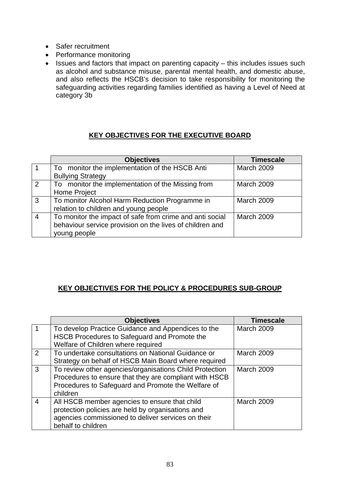- Safer recruitment
- Performance monitoring
- Issues and factors that impact on parenting capacity this includes issues such as alcohol and substance misuse, parental mental health, and domestic abuse, and also reflects the HSCB's decision to take responsibility for monitoring the safeguarding activities regarding families identified as having a Level of Need at category 3b

## **KEY OBJECTIVES FOR THE EXECUTIVE BOARD**

|                | <b>Objectives</b>                                        | <b>Timescale</b> |
|----------------|----------------------------------------------------------|------------------|
|                | To monitor the implementation of the HSCB Anti           | March 2009       |
|                | <b>Bullying Strategy</b>                                 |                  |
| $\overline{2}$ | To monitor the implementation of the Missing from        | March 2009       |
|                | <b>Home Project</b>                                      |                  |
| 3              | To monitor Alcohol Harm Reduction Programme in           | March 2009       |
|                | relation to children and young people                    |                  |
| 4              | To monitor the impact of safe from crime and anti social | March 2009       |
|                | behaviour service provision on the lives of children and |                  |
|                | young people                                             |                  |

## **KEY OBJECTIVES FOR THE POLICY & PROCEDURES SUB-GROUP**

|   | <b>Objectives</b>                                                                                                                                                                   | <b>Timescale</b>  |
|---|-------------------------------------------------------------------------------------------------------------------------------------------------------------------------------------|-------------------|
|   | To develop Practice Guidance and Appendices to the<br>HSCB Procedures to Safeguard and Promote the<br>Welfare of Children where required                                            | March 2009        |
| 2 | To undertake consultations on National Guidance or<br>Strategy on behalf of HSCB Main Board where required                                                                          | March 2009        |
| 3 | To review other agencies/organisations Child Protection<br>Procedures to ensure that they are compliant with HSCB<br>Procedures to Safeguard and Promote the Welfare of<br>children | March 2009        |
| 4 | All HSCB member agencies to ensure that child<br>protection policies are held by organisations and<br>agencies commissioned to deliver services on their<br>behalf to children      | <b>March 2009</b> |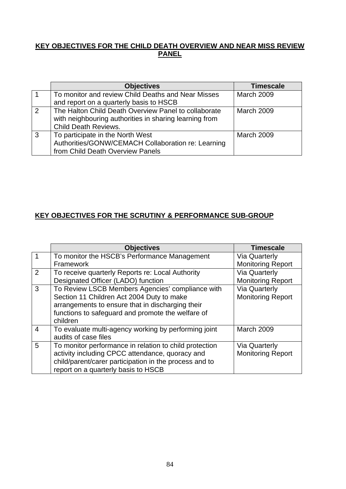## **KEY OBJECTIVES FOR THE CHILD DEATH OVERVIEW AND NEAR MISS REVIEW PANEL**

|                | <b>Objectives</b>                                      | <b>Timescale</b>  |
|----------------|--------------------------------------------------------|-------------------|
| $\vert$ 1      | To monitor and review Child Deaths and Near Misses     | <b>March 2009</b> |
|                | and report on a quarterly basis to HSCB                |                   |
| $\overline{2}$ | The Halton Child Death Overview Panel to collaborate   | <b>March 2009</b> |
|                | with neighbouring authorities in sharing learning from |                   |
|                | <b>Child Death Reviews.</b>                            |                   |
| $\overline{3}$ | To participate in the North West                       | <b>March 2009</b> |
|                | Authorities/GONW/CEMACH Collaboration re: Learning     |                   |
|                | from Child Death Overview Panels                       |                   |

## **KEY OBJECTIVES FOR THE SCRUTINY & PERFORMANCE SUB-GROUP**

|                | <b>Objectives</b>                                      | <b>Timescale</b>         |
|----------------|--------------------------------------------------------|--------------------------|
|                | To monitor the HSCB's Performance Management           | <b>Via Quarterly</b>     |
|                | Framework                                              | <b>Monitoring Report</b> |
| 2              | To receive quarterly Reports re: Local Authority       | <b>Via Quarterly</b>     |
|                | Designated Officer (LADO) function                     | <b>Monitoring Report</b> |
| 3              | To Review LSCB Members Agencies' compliance with       | <b>Via Quarterly</b>     |
|                | Section 11 Children Act 2004 Duty to make              | <b>Monitoring Report</b> |
|                | arrangements to ensure that in discharging their       |                          |
|                | functions to safeguard and promote the welfare of      |                          |
|                | children                                               |                          |
| $\overline{4}$ | To evaluate multi-agency working by performing joint   | March 2009               |
|                | audits of case files                                   |                          |
| 5              | To monitor performance in relation to child protection | <b>Via Quarterly</b>     |
|                | activity including CPCC attendance, quoracy and        | <b>Monitoring Report</b> |
|                | child/parent/carer participation in the process and to |                          |
|                | report on a quarterly basis to HSCB                    |                          |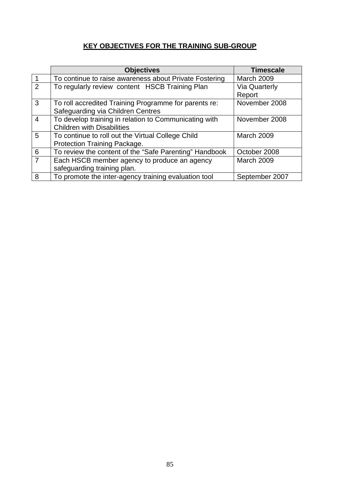## **KEY OBJECTIVES FOR THE TRAINING SUB-GROUP**

|                | <b>Objectives</b>                                                                          | <b>Timescale</b>               |
|----------------|--------------------------------------------------------------------------------------------|--------------------------------|
|                | To continue to raise awareness about Private Fostering                                     | March 2009                     |
| 2              | To regularly review content HSCB Training Plan                                             | <b>Via Quarterly</b><br>Report |
| 3              | To roll accredited Training Programme for parents re:<br>Safeguarding via Children Centres | November 2008                  |
| $\overline{4}$ | To develop training in relation to Communicating with<br><b>Children with Disabilities</b> | November 2008                  |
| 5              | To continue to roll out the Virtual College Child<br>Protection Training Package.          | March 2009                     |
| 6              | To review the content of the "Safe Parenting" Handbook                                     | October 2008                   |
|                | Each HSCB member agency to produce an agency<br>safeguarding training plan.                | March 2009                     |
| 8              | To promote the inter-agency training evaluation tool                                       | September 2007                 |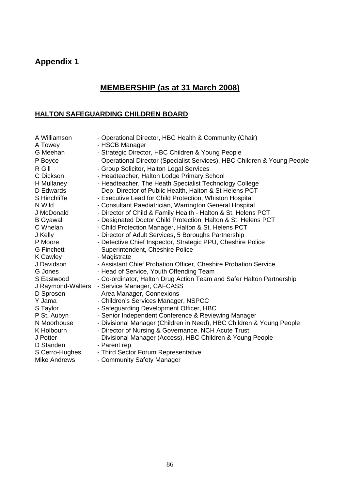# **Appendix 1**

# **MEMBERSHIP (as at 31 March 2008)**

# **HALTON SAFEGUARDING CHILDREN BOARD**

| A Williamson        | - Operational Director, HBC Health & Community (Chair)                    |
|---------------------|---------------------------------------------------------------------------|
| A Towey             | - HSCB Manager                                                            |
| G Meehan            | - Strategic Director, HBC Children & Young People                         |
| P Boyce             | - Operational Director (Specialist Services), HBC Children & Young People |
| R Gill              | - Group Solicitor, Halton Legal Services                                  |
| C Dickson           | - Headteacher, Halton Lodge Primary School                                |
| H Mullaney          | - Headteacher, The Heath Specialist Technology College                    |
| D Edwards           | - Dep. Director of Public Health, Halton & St Helens PCT                  |
| S Hinchliffe        | - Executive Lead for Child Protection, Whiston Hospital                   |
| N Wild              | - Consultant Paediatrician, Warrington General Hospital                   |
| J McDonald          | - Director of Child & Family Health - Halton & St. Helens PCT             |
| <b>B</b> Gyawali    | - Designated Doctor Child Protection, Halton & St. Helens PCT             |
| C Whelan            | - Child Protection Manager, Halton & St. Helens PCT                       |
| J Kelly             | - Director of Adult Services, 5 Boroughs Partnership                      |
| P Moore             | - Detective Chief Inspector, Strategic PPU, Cheshire Police               |
| <b>G</b> Finchett   | - Superintendent, Cheshire Police                                         |
| <b>K Cawley</b>     | - Magistrate                                                              |
| J Davidson          | - Assistant Chief Probation Officer, Cheshire Probation Service           |
| G Jones             | - Head of Service, Youth Offending Team                                   |
| S Eastwood          | - Co-ordinator, Halton Drug Action Team and Safer Halton Partnership      |
| J Raymond-Walters   | - Service Manager, CAFCASS                                                |
| D Sproson           | - Area Manager, Connexions                                                |
| Y Jama              | - Children's Services Manager, NSPCC                                      |
| S Taylor            | - Safeguarding Development Officer, HBC                                   |
| P St. Aubyn         | - Senior Independent Conference & Reviewing Manager                       |
| N Moorhouse         | - Divisional Manager (Children in Need), HBC Children & Young People      |
| K Holbourn          | - Director of Nursing & Governance, NCH Acute Trust                       |
| J Potter            | - Divisional Manager (Access), HBC Children & Young People                |
| D Standen           | - Parent rep                                                              |
| S Cerro-Hughes      | - Third Sector Forum Representative                                       |
| <b>Mike Andrews</b> | - Community Safety Manager                                                |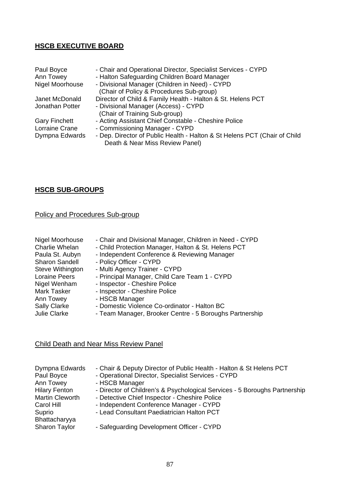## **HSCB EXECUTIVE BOARD**

| Paul Boyce           | - Chair and Operational Director, Specialist Services - CYPD              |
|----------------------|---------------------------------------------------------------------------|
| Ann Towey            | - Halton Safeguarding Children Board Manager                              |
| Nigel Moorhouse      | - Divisional Manager (Children in Need) - CYPD                            |
|                      | (Chair of Policy & Procedures Sub-group)                                  |
| Janet McDonald       | Director of Child & Family Health - Halton & St. Helens PCT               |
| Jonathan Potter      | - Divisional Manager (Access) - CYPD                                      |
|                      | (Chair of Training Sub-group)                                             |
| <b>Gary Finchett</b> | - Acting Assistant Chief Constable - Cheshire Police                      |
| Lorraine Crane       | - Commissioning Manager - CYPD                                            |
| Dympna Edwards       | - Dep. Director of Public Health - Halton & St Helens PCT (Chair of Child |
|                      | Death & Near Miss Review Panel)                                           |
|                      |                                                                           |

## **HSCB SUB-GROUPS**

## Policy and Procedures Sub-group

| - Child Protection Manager, Halton & St. Helens PCT<br>Charlie Whelan<br>- Independent Conference & Reviewing Manager<br>Paula St. Aubyn<br><b>Sharon Sandell</b><br>- Policy Officer - CYPD<br>- Multi Agency Trainer - CYPD<br>Steve Withington<br>- Principal Manager, Child Care Team 1 - CYPD<br><b>Loraine Peers</b><br>- Inspector - Cheshire Police<br>Nigel Wenham<br>- Inspector - Cheshire Police<br><b>Mark Tasker</b><br>- HSCB Manager<br>Ann Towey<br><b>Sally Clarke</b><br>- Domestic Violence Co-ordinator - Halton BC<br><b>Julie Clarke</b><br>- Team Manager, Brooker Centre - 5 Boroughs Partnership |  |
|----------------------------------------------------------------------------------------------------------------------------------------------------------------------------------------------------------------------------------------------------------------------------------------------------------------------------------------------------------------------------------------------------------------------------------------------------------------------------------------------------------------------------------------------------------------------------------------------------------------------------|--|
|----------------------------------------------------------------------------------------------------------------------------------------------------------------------------------------------------------------------------------------------------------------------------------------------------------------------------------------------------------------------------------------------------------------------------------------------------------------------------------------------------------------------------------------------------------------------------------------------------------------------------|--|

## Child Death and Near Miss Review Panel

| Dympna Edwards                                                                          | - Chair & Deputy Director of Public Health - Halton & St Helens PCT                                                                                                                 |
|-----------------------------------------------------------------------------------------|-------------------------------------------------------------------------------------------------------------------------------------------------------------------------------------|
| Paul Boyce                                                                              | - Operational Director, Specialist Services - CYPD                                                                                                                                  |
| Ann Towey                                                                               | - HSCB Manager                                                                                                                                                                      |
| <b>Hilary Fenton</b>                                                                    | - Director of Children's & Psychological Services - 5 Boroughs Partnership                                                                                                          |
| <b>Martin Cleworth</b><br>Carol Hill<br>Suprio<br>Bhattacharyya<br><b>Sharon Taylor</b> | - Detective Chief Inspector - Cheshire Police<br>- Independent Conference Manager - CYPD<br>- Lead Consultant Paediatrician Halton PCT<br>- Safeguarding Development Officer - CYPD |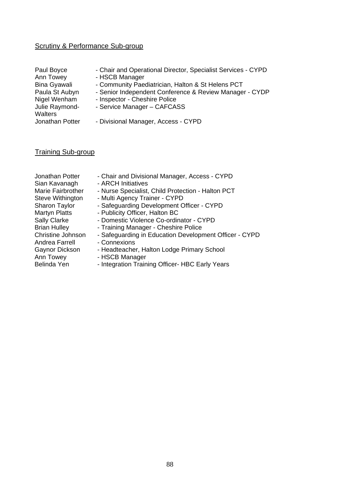# Scrutiny & Performance Sub-group

| Paul Boyce      | - Chair and Operational Director, Specialist Services - CYPD |
|-----------------|--------------------------------------------------------------|
| Ann Towey       | - HSCB Manager                                               |
| Bina Gyawali    | - Community Paediatrician, Halton & St Helens PCT            |
| Paula St Aubyn  | - Senior Independent Conference & Review Manager - CYDP      |
| Nigel Wenham    | - Inspector - Cheshire Police                                |
| Julie Raymond-  | - Service Manager - CAFCASS                                  |
| <b>Walters</b>  |                                                              |
| Jonathan Potter | - Divisional Manager, Access - CYPD                          |

# Training Sub-group

| Jonathan Potter          | - Chair and Divisional Manager, Access - CYPD          |
|--------------------------|--------------------------------------------------------|
| Sian Kavanagh            | - ARCH Initiatives                                     |
| <b>Marie Fairbrother</b> | - Nurse Specialist, Child Protection - Halton PCT      |
| Steve Withington         | - Multi Agency Trainer - CYPD                          |
| Sharon Taylor            | - Safeguarding Development Officer - CYPD              |
| <b>Martyn Platts</b>     | - Publicity Officer, Halton BC                         |
| <b>Sally Clarke</b>      | - Domestic Violence Co-ordinator - CYPD                |
| <b>Brian Hulley</b>      | - Training Manager - Cheshire Police                   |
| <b>Christine Johnson</b> | - Safeguarding in Education Development Officer - CYPD |
| Andrea Farrell           | - Connexions                                           |
| Gaynor Dickson           | - Headteacher, Halton Lodge Primary School             |
| Ann Towey                | - HSCB Manager                                         |
| Belinda Yen              | - Integration Training Officer- HBC Early Years        |
|                          |                                                        |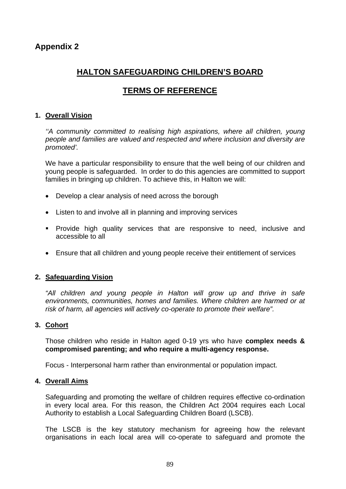# **Appendix 2**

# **HALTON SAFEGUARDING CHILDREN'S BOARD**

# **TERMS OF REFERENCE**

## **1. Overall Vision**

*''A community committed to realising high aspirations, where all children, young people and families are valued and respected and where inclusion and diversity are promoted'.* 

We have a particular responsibility to ensure that the well being of our children and young people is safeguarded. In order to do this agencies are committed to support families in bringing up children. To achieve this, in Halton we will:

- Develop a clear analysis of need across the borough
- Listen to and involve all in planning and improving services
- **Provide high quality services that are responsive to need, inclusive and** accessible to all
- Ensure that all children and young people receive their entitlement of services

## **2. Safeguarding Vision**

*"All children and young people in Halton will grow up and thrive in safe environments, communities, homes and families. Where children are harmed or at risk of harm, all agencies will actively co-operate to promote their welfare".* 

#### **3. Cohort**

Those children who reside in Halton aged 0-19 yrs who have **complex needs & compromised parenting; and who require a multi-agency response.** 

Focus - Interpersonal harm rather than environmental or population impact.

#### **4. Overall Aims**

Safeguarding and promoting the welfare of children requires effective co-ordination in every local area. For this reason, the Children Act 2004 requires each Local Authority to establish a Local Safeguarding Children Board (LSCB).

The LSCB is the key statutory mechanism for agreeing how the relevant organisations in each local area will co-operate to safeguard and promote the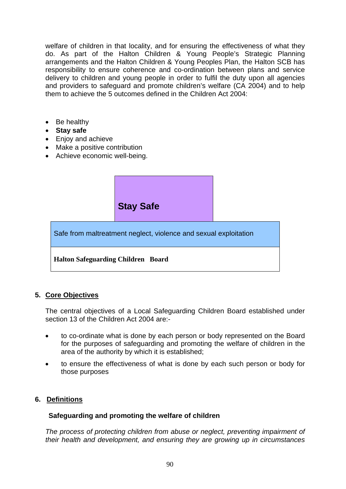welfare of children in that locality, and for ensuring the effectiveness of what they do. As part of the Halton Children & Young People's Strategic Planning arrangements and the Halton Children & Young Peoples Plan, the Halton SCB has responsibility to ensure coherence and co-ordination between plans and service delivery to children and young people in order to fulfil the duty upon all agencies and providers to safeguard and promote children's welfare (CA 2004) and to help them to achieve the 5 outcomes defined in the Children Act 2004:

- Be healthy
- **Stay safe**
- Enjoy and achieve
- Make a positive contribution
- Achieve economic well-being.



## **5. Core Objectives**

The central objectives of a Local Safeguarding Children Board established under section 13 of the Children Act 2004 are:-

- to co-ordinate what is done by each person or body represented on the Board for the purposes of safeguarding and promoting the welfare of children in the area of the authority by which it is established;
- to ensure the effectiveness of what is done by each such person or body for those purposes

## **6. Definitions**

#### **Safeguarding and promoting the welfare of children**

*The process of protecting children from abuse or neglect, preventing impairment of their health and development, and ensuring they are growing up in circumstances*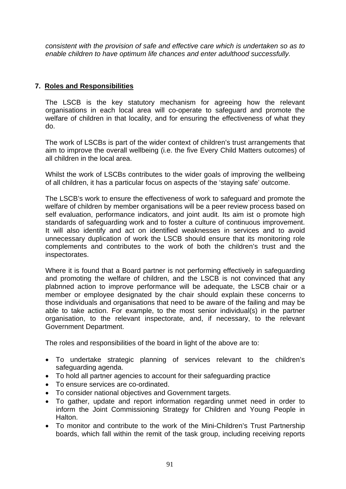*consistent with the provision of safe and effective care which is undertaken so as to enable children to have optimum life chances and enter adulthood successfully.* 

## **7. Roles and Responsibilities**

The LSCB is the key statutory mechanism for agreeing how the relevant organisations in each local area will co-operate to safeguard and promote the welfare of children in that locality, and for ensuring the effectiveness of what they do.

The work of LSCBs is part of the wider context of children's trust arrangements that aim to improve the overall wellbeing (i.e. the five Every Child Matters outcomes) of all children in the local area.

Whilst the work of LSCBs contributes to the wider goals of improving the wellbeing of all children, it has a particular focus on aspects of the 'staying safe' outcome.

The LSCB's work to ensure the effectiveness of work to safeguard and promote the welfare of children by member organisations will be a peer review process based on self evaluation, performance indicators, and joint audit. Its aim ist o promote high standards of safeguarding work and to foster a culture of continuous improvement. It will also identify and act on identified weaknesses in services and to avoid unnecessary duplication of work the LSCB should ensure that its monitoring role complements and contributes to the work of both the children's trust and the inspectorates.

Where it is found that a Board partner is not performing effectively in safeguarding and promoting the welfare of children, and the LSCB is not convinced that any plabnned action to improve performance will be adequate, the LSCB chair or a member or employee designated by the chair should explain these concerns to those individuals and organisations that need to be aware of the failing and may be able to take action. For example, to the most senior individual(s) in the partner organisation, to the relevant inspectorate, and, if necessary, to the relevant Government Department.

The roles and responsibilities of the board in light of the above are to:

- To undertake strategic planning of services relevant to the children's safeguarding agenda.
- To hold all partner agencies to account for their safeguarding practice
- To ensure services are co-ordinated.
- To consider national objectives and Government targets.
- To gather, update and report information regarding unmet need in order to inform the Joint Commissioning Strategy for Children and Young People in Halton.
- To monitor and contribute to the work of the Mini-Children's Trust Partnership boards, which fall within the remit of the task group, including receiving reports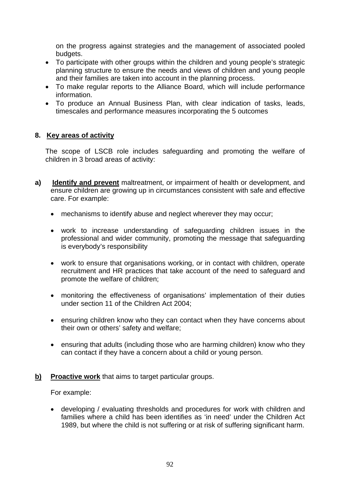on the progress against strategies and the management of associated pooled budgets.

- To participate with other groups within the children and young people's strategic planning structure to ensure the needs and views of children and young people and their families are taken into account in the planning process.
- To make regular reports to the Alliance Board, which will include performance information.
- To produce an Annual Business Plan, with clear indication of tasks, leads, timescales and performance measures incorporating the 5 outcomes

## **8. Key areas of activity**

The scope of LSCB role includes safeguarding and promoting the welfare of children in 3 broad areas of activity:

- **a) Identify and prevent** maltreatment, or impairment of health or development, and ensure children are growing up in circumstances consistent with safe and effective care. For example:
	- mechanisms to identify abuse and neglect wherever they may occur;
	- work to increase understanding of safeguarding children issues in the professional and wider community, promoting the message that safeguarding is everybody's responsibility
	- work to ensure that organisations working, or in contact with children, operate recruitment and HR practices that take account of the need to safeguard and promote the welfare of children;
	- monitoring the effectiveness of organisations' implementation of their duties under section 11 of the Children Act 2004;
	- ensuring children know who they can contact when they have concerns about their own or others' safety and welfare;
	- ensuring that adults (including those who are harming children) know who they can contact if they have a concern about a child or young person.
- **b) Proactive work** that aims to target particular groups.

For example:

• developing / evaluating thresholds and procedures for work with children and families where a child has been identifies as 'in need' under the Children Act 1989, but where the child is not suffering or at risk of suffering significant harm.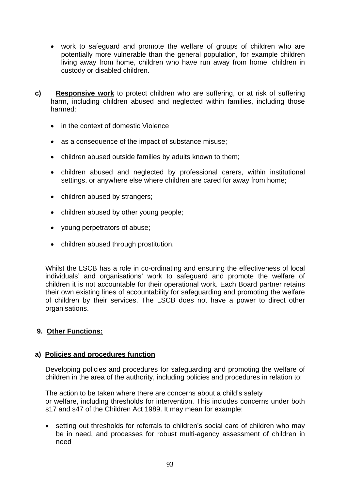- work to safeguard and promote the welfare of groups of children who are potentially more vulnerable than the general population, for example children living away from home, children who have run away from home, children in custody or disabled children.
- **c) Responsive work** to protect children who are suffering, or at risk of suffering harm, including children abused and neglected within families, including those harmed:
	- in the context of domestic Violence
	- as a consequence of the impact of substance misuse;
	- children abused outside families by adults known to them;
	- children abused and neglected by professional carers, within institutional settings, or anywhere else where children are cared for away from home;
	- children abused by strangers:
	- children abused by other young people;
	- young perpetrators of abuse;
	- children abused through prostitution.

Whilst the LSCB has a role in co-ordinating and ensuring the effectiveness of local individuals' and organisations' work to safeguard and promote the welfare of children it is not accountable for their operational work. Each Board partner retains their own existing lines of accountability for safeguarding and promoting the welfare of children by their services. The LSCB does not have a power to direct other organisations.

## **9. Other Functions:**

#### **a) Policies and procedures function**

Developing policies and procedures for safeguarding and promoting the welfare of children in the area of the authority, including policies and procedures in relation to:

The action to be taken where there are concerns about a child's safety or welfare, including thresholds for intervention. This includes concerns under both s17 and s47 of the Children Act 1989. It may mean for example:

• setting out thresholds for referrals to children's social care of children who may be in need, and processes for robust multi-agency assessment of children in need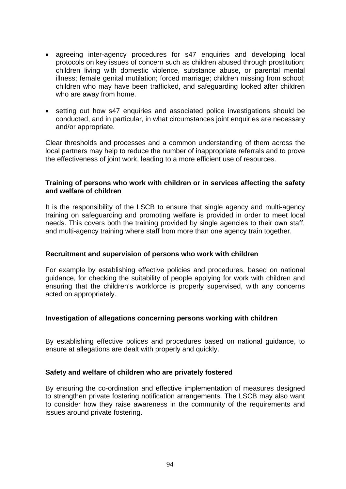- agreeing inter-agency procedures for s47 enquiries and developing local protocols on key issues of concern such as children abused through prostitution; children living with domestic violence, substance abuse, or parental mental illness; female genital mutilation; forced marriage; children missing from school; children who may have been trafficked, and safeguarding looked after children who are away from home.
- setting out how s47 enquiries and associated police investigations should be conducted, and in particular, in what circumstances joint enquiries are necessary and/or appropriate.

Clear thresholds and processes and a common understanding of them across the local partners may help to reduce the number of inappropriate referrals and to prove the effectiveness of joint work, leading to a more efficient use of resources.

#### **Training of persons who work with children or in services affecting the safety and welfare of children**

It is the responsibility of the LSCB to ensure that single agency and multi-agency training on safeguarding and promoting welfare is provided in order to meet local needs. This covers both the training provided by single agencies to their own staff, and multi-agency training where staff from more than one agency train together.

#### **Recruitment and supervision of persons who work with children**

For example by establishing effective policies and procedures, based on national guidance, for checking the suitability of people applying for work with children and ensuring that the children's workforce is properly supervised, with any concerns acted on appropriately.

#### **Investigation of allegations concerning persons working with children**

By establishing effective polices and procedures based on national guidance, to ensure at allegations are dealt with properly and quickly.

#### **Safety and welfare of children who are privately fostered**

By ensuring the co-ordination and effective implementation of measures designed to strengthen private fostering notification arrangements. The LSCB may also want to consider how they raise awareness in the community of the requirements and issues around private fostering.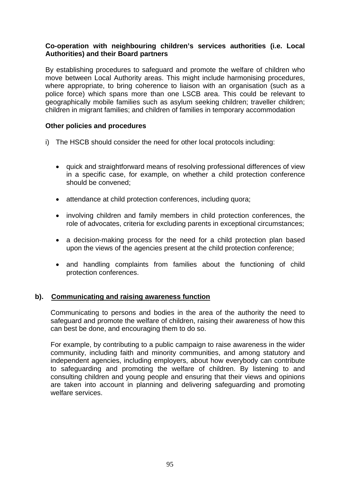### **Co-operation with neighbouring children's services authorities (i.e. Local Authorities) and their Board partners**

By establishing procedures to safeguard and promote the welfare of children who move between Local Authority areas. This might include harmonising procedures, where appropriate, to bring coherence to liaison with an organisation (such as a police force) which spans more than one LSCB area. This could be relevant to geographically mobile families such as asylum seeking children; traveller children; children in migrant families; and children of families in temporary accommodation

## **Other policies and procedures**

- i) The HSCB should consider the need for other local protocols including:
	- quick and straightforward means of resolving professional differences of view in a specific case, for example, on whether a child protection conference should be convened;
	- attendance at child protection conferences, including quora;
	- involving children and family members in child protection conferences, the role of advocates, criteria for excluding parents in exceptional circumstances;
	- a decision-making process for the need for a child protection plan based upon the views of the agencies present at the child protection conference;
	- and handling complaints from families about the functioning of child protection conferences.

#### **b). Communicating and raising awareness function**

Communicating to persons and bodies in the area of the authority the need to safeguard and promote the welfare of children, raising their awareness of how this can best be done, and encouraging them to do so.

For example, by contributing to a public campaign to raise awareness in the wider community, including faith and minority communities, and among statutory and independent agencies, including employers, about how everybody can contribute to safeguarding and promoting the welfare of children. By listening to and consulting children and young people and ensuring that their views and opinions are taken into account in planning and delivering safeguarding and promoting welfare services.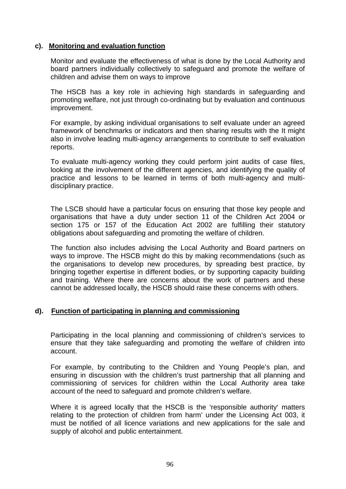#### **c). Monitoring and evaluation function**

Monitor and evaluate the effectiveness of what is done by the Local Authority and board partners individually collectively to safeguard and promote the welfare of children and advise them on ways to improve

The HSCB has a key role in achieving high standards in safeguarding and promoting welfare, not just through co-ordinating but by evaluation and continuous improvement.

For example, by asking individual organisations to self evaluate under an agreed framework of benchmarks or indicators and then sharing results with the It might also in involve leading multi-agency arrangements to contribute to self evaluation reports.

To evaluate multi-agency working they could perform joint audits of case files, looking at the involvement of the different agencies, and identifying the quality of practice and lessons to be learned in terms of both multi-agency and multidisciplinary practice.

The LSCB should have a particular focus on ensuring that those key people and organisations that have a duty under section 11 of the Children Act 2004 or section 175 or 157 of the Education Act 2002 are fulfilling their statutory obligations about safeguarding and promoting the welfare of children.

The function also includes advising the Local Authority and Board partners on ways to improve. The HSCB might do this by making recommendations (such as the organisations to develop new procedures, by spreading best practice, by bringing together expertise in different bodies, or by supporting capacity building and training. Where there are concerns about the work of partners and these cannot be addressed locally, the HSCB should raise these concerns with others.

#### **d). Function of participating in planning and commissioning**

Participating in the local planning and commissioning of children's services to ensure that they take safeguarding and promoting the welfare of children into account.

For example, by contributing to the Children and Young People's plan, and ensuring in discussion with the children's trust partnership that all planning and commissioning of services for children within the Local Authority area take account of the need to safeguard and promote children's welfare.

Where it is agreed locally that the HSCB is the 'responsible authority' matters relating to the protection of children from harm' under the Licensing Act 003, it must be notified of all licence variations and new applications for the sale and supply of alcohol and public entertainment.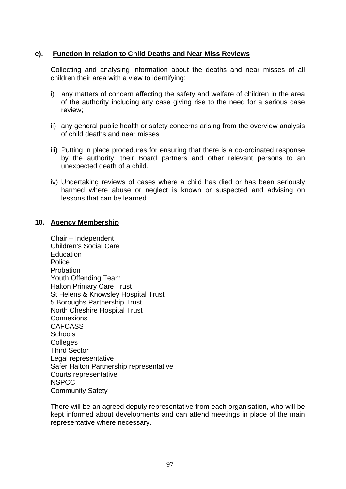#### **e). Function in relation to Child Deaths and Near Miss Reviews**

Collecting and analysing information about the deaths and near misses of all children their area with a view to identifying:

- i) any matters of concern affecting the safety and welfare of children in the area of the authority including any case giving rise to the need for a serious case review;
- ii) any general public health or safety concerns arising from the overview analysis of child deaths and near misses
- iii) Putting in place procedures for ensuring that there is a co-ordinated response by the authority, their Board partners and other relevant persons to an unexpected death of a child.
- iv) Undertaking reviews of cases where a child has died or has been seriously harmed where abuse or neglect is known or suspected and advising on lessons that can be learned

#### **10. Agency Membership**

Chair – Independent Children's Social Care Education Police Probation Youth Offending Team Halton Primary Care Trust St Helens & Knowsley Hospital Trust 5 Boroughs Partnership Trust North Cheshire Hospital Trust **Connexions** CAFCASS Schools **Colleges** Third Sector Legal representative Safer Halton Partnership representative Courts representative **NSPCC** Community Safety

There will be an agreed deputy representative from each organisation, who will be kept informed about developments and can attend meetings in place of the main representative where necessary.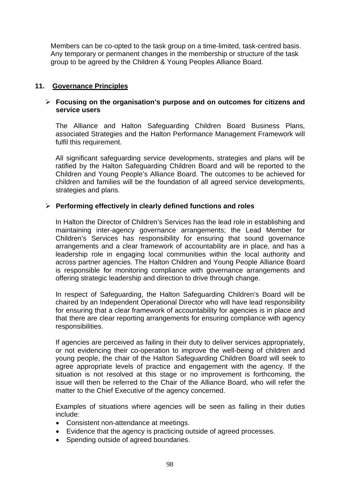Members can be co-opted to the task group on a time-limited, task-centred basis. Any temporary or permanent changes in the membership or structure of the task group to be agreed by the Children & Young Peoples Alliance Board.

## **11. Governance Principles**

#### ¾ **Focusing on the organisation's purpose and on outcomes for citizens and service users**

The Alliance and Halton Safeguarding Children Board Business Plans, associated Strategies and the Halton Performance Management Framework will fulfil this requirement.

All significant safeguarding service developments, strategies and plans will be ratified by the Halton Safeguarding Children Board and will be reported to the Children and Young People's Alliance Board. The outcomes to be achieved for children and families will be the foundation of all agreed service developments, strategies and plans.

#### ¾ **Performing effectively in clearly defined functions and roles**

In Halton the Director of Children's Services has the lead role in establishing and maintaining inter-agency governance arrangements; the Lead Member for Children's Services has responsibility for ensuring that sound governance arrangements and a clear framework of accountability are in place, and has a leadership role in engaging local communities within the local authority and across partner agencies. The Halton Children and Young People Alliance Board is responsible for monitoring compliance with governance arrangements and offering strategic leadership and direction to drive through change.

In respect of Safeguarding, the Halton Safeguarding Children's Board will be chaired by an Independent Operational Director who will have lead responsibility for ensuring that a clear framework of accountability for agencies is in place and that there are clear reporting arrangements for ensuring compliance with agency responsibilities.

If agencies are perceived as failing in their duty to deliver services appropriately, or not evidencing their co-operation to improve the well-being of children and young people, the chair of the Halton Safeguarding Children Board will seek to agree appropriate levels of practice and engagement with the agency. If the situation is not resolved at this stage or no improvement is forthcoming, the issue will then be referred to the Chair of the Alliance Board, who will refer the matter to the Chief Executive of the agency concerned.

Examples of situations where agencies will be seen as failing in their duties include:

- Consistent non-attendance at meetings.
- Evidence that the agency is practicing outside of agreed processes.
- Spending outside of agreed boundaries.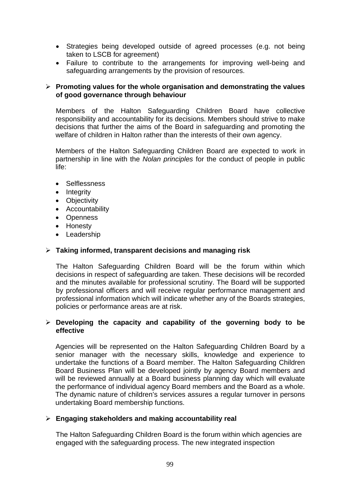- Strategies being developed outside of agreed processes (e.g. not being taken to LSCB for agreement)
- Failure to contribute to the arrangements for improving well-being and safeguarding arrangements by the provision of resources.

## ¾ **Promoting values for the whole organisation and demonstrating the values of good governance through behaviour**

 Members of the Halton Safeguarding Children Board have collective responsibility and accountability for its decisions. Members should strive to make decisions that further the aims of the Board in safeguarding and promoting the welfare of children in Halton rather than the interests of their own agency.

Members of the Halton Safeguarding Children Board are expected to work in partnership in line with the *Nolan principles* for the conduct of people in public life:

- Selflessness
- Integrity
- Objectivity
- Accountability
- Openness
- Honesty
- Leadership

#### ¾ **Taking informed, transparent decisions and managing risk**

 The Halton Safeguarding Children Board will be the forum within which decisions in respect of safeguarding are taken. These decisions will be recorded and the minutes available for professional scrutiny. The Board will be supported by professional officers and will receive regular performance management and professional information which will indicate whether any of the Boards strategies, policies or performance areas are at risk.

#### ¾ **Developing the capacity and capability of the governing body to be effective**

Agencies will be represented on the Halton Safeguarding Children Board by a senior manager with the necessary skills, knowledge and experience to undertake the functions of a Board member. The Halton Safeguarding Children Board Business Plan will be developed jointly by agency Board members and will be reviewed annually at a Board business planning day which will evaluate the performance of individual agency Board members and the Board as a whole. The dynamic nature of children's services assures a regular turnover in persons undertaking Board membership functions.

#### ¾ **Engaging stakeholders and making accountability real**

The Halton Safeguarding Children Board is the forum within which agencies are engaged with the safeguarding process. The new integrated inspection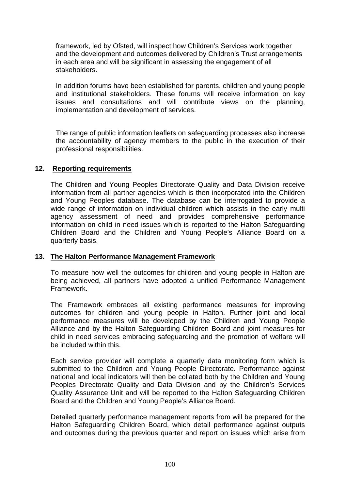framework, led by Ofsted, will inspect how Children's Services work together and the development and outcomes delivered by Children's Trust arrangements in each area and will be significant in assessing the engagement of all stakeholders.

In addition forums have been established for parents, children and young people and institutional stakeholders. These forums will receive information on key issues and consultations and will contribute views on the planning, implementation and development of services.

The range of public information leaflets on safeguarding processes also increase the accountability of agency members to the public in the execution of their professional responsibilities.

#### **12. Reporting requirements**

The Children and Young Peoples Directorate Quality and Data Division receive information from all partner agencies which is then incorporated into the Children and Young Peoples database. The database can be interrogated to provide a wide range of information on individual children which assists in the early multi agency assessment of need and provides comprehensive performance information on child in need issues which is reported to the Halton Safeguarding Children Board and the Children and Young People's Alliance Board on a quarterly basis.

#### **13. The Halton Performance Management Framework**

To measure how well the outcomes for children and young people in Halton are being achieved, all partners have adopted a unified Performance Management Framework.

The Framework embraces all existing performance measures for improving outcomes for children and young people in Halton. Further joint and local performance measures will be developed by the Children and Young People Alliance and by the Halton Safeguarding Children Board and joint measures for child in need services embracing safeguarding and the promotion of welfare will be included within this.

Each service provider will complete a quarterly data monitoring form which is submitted to the Children and Young People Directorate. Performance against national and local indicators will then be collated both by the Children and Young Peoples Directorate Quality and Data Division and by the Children's Services Quality Assurance Unit and will be reported to the Halton Safeguarding Children Board and the Children and Young People's Alliance Board.

Detailed quarterly performance management reports from will be prepared for the Halton Safeguarding Children Board, which detail performance against outputs and outcomes during the previous quarter and report on issues which arise from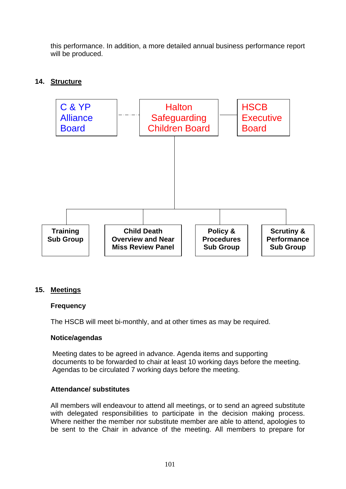this performance. In addition, a more detailed annual business performance report will be produced.

## **14. Structure**



## **15. Meetings**

#### **Frequency**

The HSCB will meet bi-monthly, and at other times as may be required.

#### **Notice/agendas**

Meeting dates to be agreed in advance. Agenda items and supporting documents to be forwarded to chair at least 10 working days before the meeting. Agendas to be circulated 7 working days before the meeting.

## **Attendance/ substitutes**

All members will endeavour to attend all meetings, or to send an agreed substitute with delegated responsibilities to participate in the decision making process. Where neither the member nor substitute member are able to attend, apologies to be sent to the Chair in advance of the meeting. All members to prepare for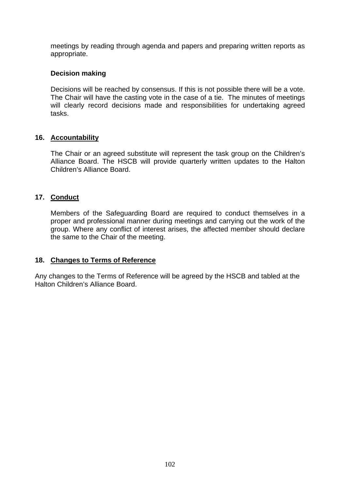meetings by reading through agenda and papers and preparing written reports as appropriate.

## **Decision making**

Decisions will be reached by consensus. If this is not possible there will be a vote. The Chair will have the casting vote in the case of a tie. The minutes of meetings will clearly record decisions made and responsibilities for undertaking agreed tasks.

## **16. Accountability**

The Chair or an agreed substitute will represent the task group on the Children's Alliance Board. The HSCB will provide quarterly written updates to the Halton Children's Alliance Board.

## **17. Conduct**

Members of the Safeguarding Board are required to conduct themselves in a proper and professional manner during meetings and carrying out the work of the group. Where any conflict of interest arises, the affected member should declare the same to the Chair of the meeting.

#### **18. Changes to Terms of Reference**

Any changes to the Terms of Reference will be agreed by the HSCB and tabled at the Halton Children's Alliance Board.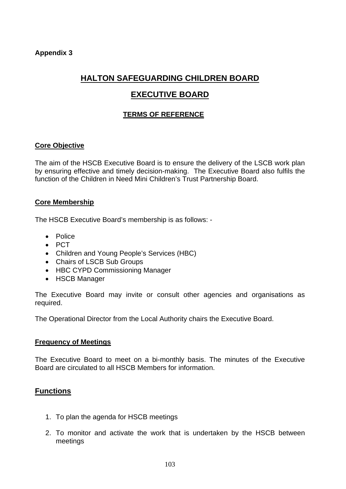## **Appendix 3**

# **HALTON SAFEGUARDING CHILDREN BOARD**

# **EXECUTIVE BOARD**

## **TERMS OF REFERENCE**

## **Core Objective**

The aim of the HSCB Executive Board is to ensure the delivery of the LSCB work plan by ensuring effective and timely decision-making. The Executive Board also fulfils the function of the Children in Need Mini Children's Trust Partnership Board.

#### **Core Membership**

The HSCB Executive Board's membership is as follows: -

- Police
- PCT
- Children and Young People's Services (HBC)
- Chairs of LSCB Sub Groups
- HBC CYPD Commissioning Manager
- HSCB Manager

The Executive Board may invite or consult other agencies and organisations as required.

The Operational Director from the Local Authority chairs the Executive Board.

#### **Frequency of Meetings**

The Executive Board to meet on a bi-monthly basis. The minutes of the Executive Board are circulated to all HSCB Members for information.

#### **Functions**

- 1. To plan the agenda for HSCB meetings
- 2. To monitor and activate the work that is undertaken by the HSCB between meetings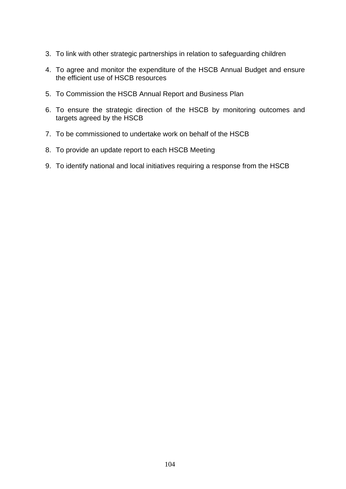- 3. To link with other strategic partnerships in relation to safeguarding children
- 4. To agree and monitor the expenditure of the HSCB Annual Budget and ensure the efficient use of HSCB resources
- 5. To Commission the HSCB Annual Report and Business Plan
- 6. To ensure the strategic direction of the HSCB by monitoring outcomes and targets agreed by the HSCB
- 7. To be commissioned to undertake work on behalf of the HSCB
- 8. To provide an update report to each HSCB Meeting
- 9. To identify national and local initiatives requiring a response from the HSCB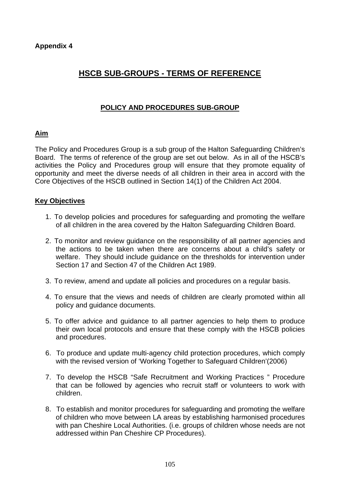# **HSCB SUB-GROUPS - TERMS OF REFERENCE**

## **POLICY AND PROCEDURES SUB-GROUP**

#### **Aim**

The Policy and Procedures Group is a sub group of the Halton Safeguarding Children's Board. The terms of reference of the group are set out below. As in all of the HSCB's activities the Policy and Procedures group will ensure that they promote equality of opportunity and meet the diverse needs of all children in their area in accord with the Core Objectives of the HSCB outlined in Section 14(1) of the Children Act 2004.

#### **Key Objectives**

- 1. To develop policies and procedures for safeguarding and promoting the welfare of all children in the area covered by the Halton Safeguarding Children Board.
- 2. To monitor and review guidance on the responsibility of all partner agencies and the actions to be taken when there are concerns about a child's safety or welfare. They should include guidance on the thresholds for intervention under Section 17 and Section 47 of the Children Act 1989.
- 3. To review, amend and update all policies and procedures on a regular basis.
- 4. To ensure that the views and needs of children are clearly promoted within all policy and guidance documents.
- 5. To offer advice and guidance to all partner agencies to help them to produce their own local protocols and ensure that these comply with the HSCB policies and procedures.
- 6. To produce and update multi-agency child protection procedures, which comply with the revised version of 'Working Together to Safeguard Children'(2006)
- 7. To develop the HSCB "Safe Recruitment and Working Practices " Procedure that can be followed by agencies who recruit staff or volunteers to work with children.
- 8. To establish and monitor procedures for safeguarding and promoting the welfare of children who move between LA areas by establishing harmonised procedures with pan Cheshire Local Authorities. (i.e. groups of children whose needs are not addressed within Pan Cheshire CP Procedures).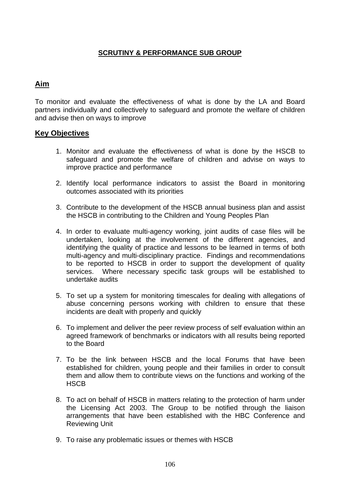## **SCRUTINY & PERFORMANCE SUB GROUP**

## **Aim**

To monitor and evaluate the effectiveness of what is done by the LA and Board partners individually and collectively to safeguard and promote the welfare of children and advise then on ways to improve

#### **Key Objectives**

- 1. Monitor and evaluate the effectiveness of what is done by the HSCB to safeguard and promote the welfare of children and advise on ways to improve practice and performance
- 2. Identify local performance indicators to assist the Board in monitoring outcomes associated with its priorities
- 3. Contribute to the development of the HSCB annual business plan and assist the HSCB in contributing to the Children and Young Peoples Plan
- 4. In order to evaluate multi-agency working, joint audits of case files will be undertaken, looking at the involvement of the different agencies, and identifying the quality of practice and lessons to be learned in terms of both multi-agency and multi-disciplinary practice. Findings and recommendations to be reported to HSCB in order to support the development of quality services. Where necessary specific task groups will be established to undertake audits
- 5. To set up a system for monitoring timescales for dealing with allegations of abuse concerning persons working with children to ensure that these incidents are dealt with properly and quickly
- 6. To implement and deliver the peer review process of self evaluation within an agreed framework of benchmarks or indicators with all results being reported to the Board
- 7. To be the link between HSCB and the local Forums that have been established for children, young people and their families in order to consult them and allow them to contribute views on the functions and working of the **HSCB**
- 8. To act on behalf of HSCB in matters relating to the protection of harm under the Licensing Act 2003. The Group to be notified through the liaison arrangements that have been established with the HBC Conference and Reviewing Unit
- 9. To raise any problematic issues or themes with HSCB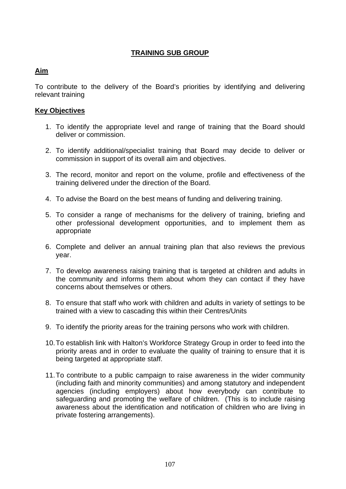## **TRAINING SUB GROUP**

## **Aim**

To contribute to the delivery of the Board's priorities by identifying and delivering relevant training

## **Key Objectives**

- 1. To identify the appropriate level and range of training that the Board should deliver or commission.
- 2. To identify additional/specialist training that Board may decide to deliver or commission in support of its overall aim and objectives.
- 3. The record, monitor and report on the volume, profile and effectiveness of the training delivered under the direction of the Board.
- 4. To advise the Board on the best means of funding and delivering training.
- 5. To consider a range of mechanisms for the delivery of training, briefing and other professional development opportunities, and to implement them as appropriate
- 6. Complete and deliver an annual training plan that also reviews the previous year.
- 7. To develop awareness raising training that is targeted at children and adults in the community and informs them about whom they can contact if they have concerns about themselves or others.
- 8. To ensure that staff who work with children and adults in variety of settings to be trained with a view to cascading this within their Centres/Units
- 9. To identify the priority areas for the training persons who work with children.
- 10. To establish link with Halton's Workforce Strategy Group in order to feed into the priority areas and in order to evaluate the quality of training to ensure that it is being targeted at appropriate staff.
- 11. To contribute to a public campaign to raise awareness in the wider community (including faith and minority communities) and among statutory and independent agencies (including employers) about how everybody can contribute to safeguarding and promoting the welfare of children. (This is to include raising awareness about the identification and notification of children who are living in private fostering arrangements).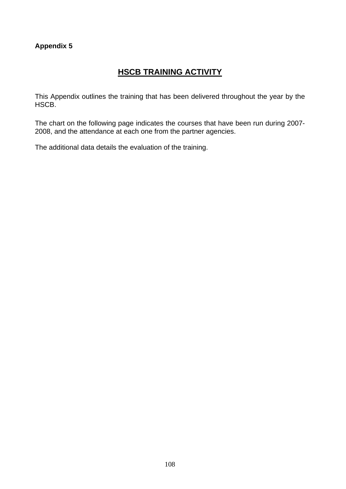## **Appendix 5**

# **HSCB TRAINING ACTIVITY**

This Appendix outlines the training that has been delivered throughout the year by the HSCB.

The chart on the following page indicates the courses that have been run during 2007- 2008, and the attendance at each one from the partner agencies.

The additional data details the evaluation of the training.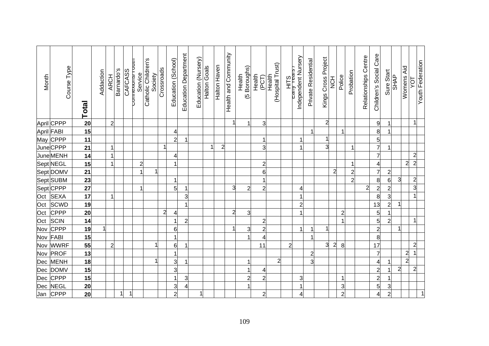| Month      | Course Type | Total           | Addaction | <b>ARCH</b>    | Barnardo's | CAFCASS      | E<br>B<br>Service<br><b>COLDIDATION</b> | Catholic Children's<br>Society | Crossroads     | Education (School) | <b>Education Department</b> | Education (Nursery) | <b>Halton Goals</b> | Halton Haven   | Health and Community | (5 Boroughs)<br>Health | Health<br>(PCT)         | (Hospital Trust)<br>Health | HITS<br>Eally Teals / | Independent Nursery | Private Residential | Kings Cross Project | HO<br>N        | Police         | Probation      | Relationships Centre | Children's Social Care | Sure Start     | <b>SHAP</b>    | id<br>∡<br>Womens<br>ζh | <b>Youth Federation</b> |
|------------|-------------|-----------------|-----------|----------------|------------|--------------|-----------------------------------------|--------------------------------|----------------|--------------------|-----------------------------|---------------------|---------------------|----------------|----------------------|------------------------|-------------------------|----------------------------|-----------------------|---------------------|---------------------|---------------------|----------------|----------------|----------------|----------------------|------------------------|----------------|----------------|-------------------------|-------------------------|
| April      | <b>CPPP</b> | 20              |           | $\overline{c}$ |            |              |                                         |                                |                |                    |                             |                     |                     |                |                      | 1                      | 3                       |                            |                       |                     |                     | $\overline{a}$      |                |                |                |                      | 9                      | $\mathbf{1}$   |                |                         | $\mathbf{1}$            |
| April FABI |             | 15              |           |                |            |              |                                         |                                |                | 4                  |                             |                     |                     |                |                      |                        |                         |                            |                       |                     |                     |                     |                | -1             |                |                      | 8                      |                |                |                         |                         |
| May        | CPPP        | 11              |           |                |            |              |                                         |                                |                | $\overline{2}$     | 1                           |                     |                     |                |                      |                        | $\mathbf 1$             |                            |                       | 1                   |                     | 1                   |                |                |                |                      | 5                      |                |                |                         |                         |
|            | JuneCPPP    | 21              |           | 1              |            |              |                                         |                                |                |                    |                             |                     |                     | $\overline{a}$ |                      |                        | 3                       |                            |                       |                     |                     | 3                   |                |                | 1              |                      | $\overline{7}$         | 1              |                |                         |                         |
|            | JuneMENH    | 14              |           | $\mathbf{1}$   |            |              |                                         |                                |                | 4                  |                             |                     |                     |                |                      |                        |                         |                            |                       |                     |                     |                     |                |                |                |                      | $\overline{7}$         |                |                |                         | $\overline{a}$          |
|            | Sept NEGL   | 15              |           | $\mathbf{1}$   |            |              | $\overline{c}$                          |                                |                | 1                  |                             |                     |                     |                |                      |                        | $\overline{c}$          |                            |                       |                     |                     |                     |                |                | 1              |                      | 4                      |                |                | $\overline{a}$          | $\overline{2}$          |
|            | Sept DOMV   | 21              |           |                |            |              | $\mathbf{1}$                            |                                | 1              |                    |                             |                     |                     |                |                      |                        | 6                       |                            |                       |                     |                     |                     | $\overline{2}$ |                | 2              |                      | $\overline{7}$         | $\overline{c}$ |                |                         |                         |
|            | Sept SUBM   | 23              |           |                |            |              |                                         |                                |                | 1                  |                             |                     |                     |                |                      |                        | 1                       |                            |                       |                     |                     |                     |                |                | $\overline{2}$ |                      | 8                      | 6              | 3              |                         | $\overline{c}$          |
|            | Sept CPPP   | $\overline{27}$ |           |                |            |              | 1                                       |                                |                | 5                  |                             |                     |                     |                | З                    | $\overline{2}$         | $\overline{c}$          |                            |                       | 4                   |                     |                     |                |                |                | $\overline{a}$       | $\overline{c}$         | $\overline{c}$ |                |                         | 3                       |
| Oct        | <b>SEXA</b> | $\overline{17}$ |           | 1              |            |              |                                         |                                |                |                    | 3                           |                     |                     |                |                      |                        |                         |                            |                       |                     |                     |                     |                |                |                |                      | 8                      | $\mathbf{3}$   |                |                         | $\mathbf{1}$            |
| Oct        | <b>SCWD</b> | 19              |           |                |            |              |                                         |                                |                |                    |                             |                     |                     |                |                      |                        |                         |                            |                       | $\overline{2}$      |                     |                     |                |                |                |                      | 13                     | $\overline{c}$ | $\mathbf{1}$   |                         |                         |
| Oct        | <b>CPPP</b> | 20              |           |                |            |              |                                         |                                | $\overline{c}$ | 4                  |                             |                     |                     |                |                      | 3                      |                         |                            |                       |                     |                     |                     |                | $\overline{2}$ |                |                      | 5                      | 1              |                |                         |                         |
| Oct        | <b>SCIN</b> | 14              |           |                |            |              |                                         |                                |                | 1                  | $\overline{2}$              |                     |                     |                |                      |                        | $\overline{c}$          |                            |                       |                     |                     |                     |                | -1             |                |                      | 5                      | $\overline{2}$ |                |                         | $\mathbf{1}$            |
| Nov        | <b>CPPP</b> | 19              | 1         |                |            |              |                                         |                                |                | 6                  |                             |                     |                     |                |                      | 3                      | $\overline{c}$          |                            |                       |                     |                     | 1                   |                |                |                |                      | $\overline{c}$         |                | 1              |                         |                         |
| Nov        | <b>FABI</b> | 15              |           |                |            |              |                                         |                                |                | $\mathbf{1}$       |                             |                     |                     |                |                      |                        | $\overline{\mathbf{r}}$ |                            |                       |                     |                     |                     |                |                |                |                      | 8                      |                |                |                         |                         |
| Nov        | <b>WWRF</b> | 55              |           | $\overline{c}$ |            |              |                                         |                                |                | 6                  |                             |                     |                     |                |                      |                        | 11                      |                            | $\overline{c}$        |                     |                     | 3                   | $\overline{2}$ | 8              |                |                      | 17                     |                |                |                         | $\overline{c}$          |
| Nov        | <b>PROF</b> | 13              |           |                |            |              |                                         |                                |                | 1                  |                             |                     |                     |                |                      |                        |                         |                            |                       |                     | 2                   |                     |                |                |                |                      | $\overline{7}$         |                |                | $\overline{c}$          |                         |
| Dec        | <b>MENH</b> | 18              |           |                |            |              |                                         |                                | 1              | 3                  | -1                          |                     |                     |                |                      | -1                     |                         | $\overline{a}$             |                       |                     | 3                   |                     |                |                |                |                      | 4                      | 1              |                | $\overline{2}$          |                         |
| Dec        | <b>DOMV</b> | 15              |           |                |            |              |                                         |                                |                | 3                  |                             |                     |                     |                |                      | 1                      | $\overline{a}$          |                            |                       |                     |                     |                     |                |                |                |                      | $\overline{2}$         | 1              | $\overline{a}$ |                         | $\overline{c}$          |
| Dec        | <b>CPPP</b> | 15              |           |                |            |              |                                         |                                |                | 1                  | 3                           |                     |                     |                |                      | $\overline{2}$         | $\overline{c}$          |                            |                       | $\overline{3}$      |                     |                     |                | $\overline{1}$ |                |                      | $\overline{c}$         | $\mathbf{1}$   |                |                         |                         |
| Dec        | <b>NEGL</b> | 20              |           |                |            |              |                                         |                                |                | 3                  | 4                           |                     |                     |                |                      | 1                      |                         |                            |                       | 1                   |                     |                     |                | 3              |                |                      | 5                      | $\mathbf{3}$   |                |                         |                         |
| Jan        | <b>CPPP</b> | 20              |           |                | 1          | $\mathbf{1}$ |                                         |                                |                | $\overline{a}$     |                             | $\mathbf{1}$        |                     |                |                      |                        | $\overline{a}$          |                            |                       | 4                   |                     |                     |                | $\overline{c}$ |                |                      | 4                      | $\overline{2}$ |                |                         |                         |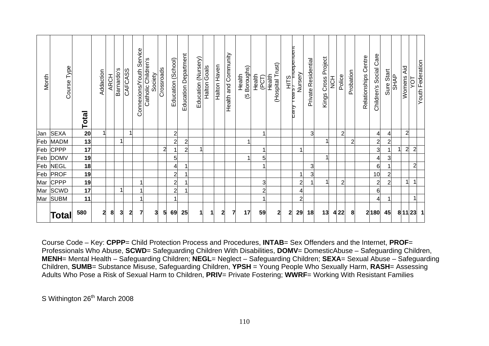| Month | Course Type | <b>Total</b> | Addaction    | <b>ARCH</b> | Barnardo's | CAFCASS      | Service<br>Connexions/Youth | Catholic Children's<br>Society | Crossroads     | Education (School) | Education Department | Education (Nursery) | Halton Goals | Halton Haven   | Health and Community | Boroughs)<br>Health<br>ஞ | Health<br>(PCT) | (Hospital Trust)<br>Health | HITS<br>ears / muepenuent | Nursery<br>ਰਾ<br>ਚ | Private Residential | Cross Project<br>Kings | H <sub>O</sub> N | Police         | Probation | Relationships Centre | Care<br>Children's Social | Sure Start | <b>SHAP</b> | Äid<br>Womens  | TOY            | Youth Federation     |
|-------|-------------|--------------|--------------|-------------|------------|--------------|-----------------------------|--------------------------------|----------------|--------------------|----------------------|---------------------|--------------|----------------|----------------------|--------------------------|-----------------|----------------------------|---------------------------|--------------------|---------------------|------------------------|------------------|----------------|-----------|----------------------|---------------------------|------------|-------------|----------------|----------------|----------------------|
| Jan   | <b>SEXA</b> | 20           | 1            |             |            | 11           |                             |                                |                | $\overline{2}$     |                      |                     |              |                |                      |                          | 1               |                            |                           |                    | 3                   |                        |                  | $\overline{2}$ |           |                      | 41                        |            |             | $\overline{2}$ |                |                      |
| Feb   | <b>MADM</b> | 13           |              |             | 1          |              |                             |                                |                | $\overline{2}$     | $\overline{c}$       |                     |              |                |                      | 1                        |                 |                            |                           |                    |                     | 1                      |                  |                | 2         |                      | $\overline{2}$            |            |             |                |                |                      |
| Feb   | <b>CPPP</b> | 17           |              |             |            |              |                             |                                | $\overline{a}$ |                    | $\overline{2}$       | 1                   |              |                |                      |                          |                 |                            |                           | 1                  |                     |                        |                  |                |           |                      | 31                        |            |             | $\overline{2}$ | $\overline{a}$ |                      |
| Feb   | <b>DOMV</b> | 19           |              |             |            |              |                             |                                |                | 5                  |                      |                     |              |                |                      | 1                        | 5               |                            |                           |                    |                     | 1                      |                  |                |           |                      | 4                         | 3          |             |                |                |                      |
| Feb   | <b>NEGL</b> | 18           |              |             |            |              |                             |                                |                | 4                  |                      |                     |              |                |                      |                          | 1               |                            |                           |                    | 3                   |                        |                  |                |           |                      | 6                         |            |             |                | $\overline{c}$ |                      |
| Feb   | <b>PROF</b> | 19           |              |             |            |              |                             |                                |                | $\overline{c}$     |                      |                     |              |                |                      |                          |                 |                            |                           |                    | 3                   |                        |                  |                |           |                      | 10                        |            |             |                |                |                      |
| Mar   | <b>CPPP</b> | 19           |              |             |            |              | 1                           |                                |                | $\overline{2}$     |                      |                     |              |                |                      |                          | 3               |                            |                           | $\overline{2}$     |                     | 1                      |                  | $\overline{2}$ |           |                      | $\overline{2}$            |            |             | 1              | $\mathbf{1}$   |                      |
| Mar   | <b>SCWD</b> | 17           |              |             | 1          |              | 1                           |                                |                | $\overline{c}$     |                      |                     |              |                |                      |                          | $\overline{2}$  |                            |                           | 4                  |                     |                        |                  |                |           |                      | 6                         |            |             |                |                |                      |
| Mar   | <b>SUBM</b> | 11           |              |             |            |              |                             |                                |                |                    |                      |                     |              |                |                      |                          |                 |                            |                           | $\overline{2}$     |                     |                        |                  |                |           |                      | 41                        |            |             |                | 1              |                      |
|       | Total       | 580          | $\mathbf{z}$ | 8           | 3          | $\mathbf{2}$ | 7                           | 3                              | 5              | 69                 | 25                   | 1                   | $\mathbf{1}$ | $\overline{2}$ | 7                    | 17                       | 59              | 2                          | 2                         | 29                 | 18                  | 13                     | 4 2 2            |                | 8         |                      | 2180                      | 45         |             | 8 11 23        |                | $\blacktriangleleft$ |

Course Code – Key: **CPPP**= Child Protection Process and Procedures, **INTAB**= Sex Offenders and the Internet, **PROF**<sup>=</sup> Professionals Who Abuse, **SCWD**= Safeguarding Children With Disabilities, **DOMV**= DomesticAbuse – Safeguarding Children, **MENH**= Mental Health – Safeguarding Children; **NEGL**= Neglect – Safeguarding Children; **SEXA**= Sexual Abuse – Safeguarding Children, **SUMB**= Substance Misuse, Safeguarding Children, **YPSH** = Young People Who Sexually Harm, **RASH**= Assessing Adults Who Pose a Risk of Sexual Harm to Children, **PRIV**= Private Fostering; **WWRF**= Working With Resistant Families

S Withington 26<sup>th</sup> March 2008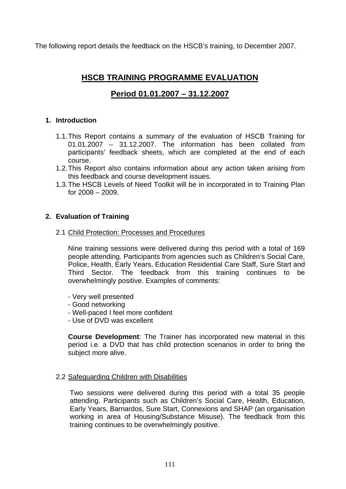The following report details the feedback on the HSCB's training, to December 2007.

# **HSCB TRAINING PROGRAMME EVALUATION**

# **Period 01.01.2007 – 31.12.2007**

## **1. Introduction**

- 1.1. This Report contains a summary of the evaluation of HSCB Training for 01.01.2007 – 31.12.2007. The information has been collated from participants' feedback sheets, which are completed at the end of each course.
- 1.2. This Report also contains information about any action taken arising from this feedback and course development issues.
- 1.3. The HSCB Levels of Need Toolkit will be in incorporated in to Training Plan for 2008 – 2009.

## **2. Evaluation of Training**

### 2.1 Child Protection: Processes and Procedures

Nine training sessions were delivered during this period with a total of 169 people attending. Participants from agencies such as Children's Social Care, Police, Health, Early Years, Education Residential Care Staff, Sure Start and Third Sector. The feedback from this training continues to be overwhelmingly positive. Examples of comments:

- Very well presented
- Good networking
- Well-paced I feel more confident
- Use of DVD was excellent

**Course Development**: The Trainer has incorporated new material in this period i.e. a DVD that has child protection scenarios in order to bring the subject more alive.

### 2.2 Safeguarding Children with Disabilities

Two sessions were delivered during this period with a total 35 people attending. Participants such as Children's Social Care, Health, Education, Early Years, Barnardos, Sure Start, Connexions and SHAP (an organisation working in area of Housing/Substance Misuse). The feedback from this training continues to be overwhelmingly positive.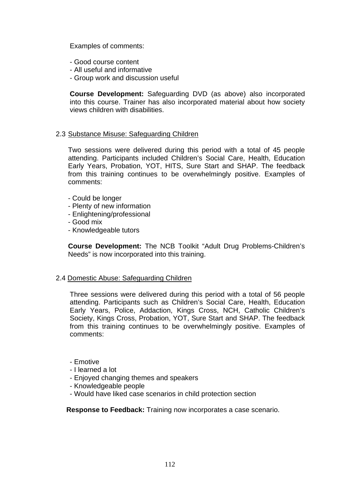### Examples of comments:

- Good course content
- All useful and informative
- Group work and discussion useful

**Course Development:** Safeguarding DVD (as above) also incorporated into this course. Trainer has also incorporated material about how society views children with disabilities.

### 2.3 Substance Misuse: Safeguarding Children

Two sessions were delivered during this period with a total of 45 people attending. Participants included Children's Social Care, Health, Education Early Years, Probation, YOT, HITS, Sure Start and SHAP. The feedback from this training continues to be overwhelmingly positive. Examples of comments:

- Could be longer
- Plenty of new information
- Enlightening/professional
- Good mix
- Knowledgeable tutors

**Course Development:** The NCB Toolkit "Adult Drug Problems-Children's Needs" is now incorporated into this training.

### 2.4 Domestic Abuse: Safeguarding Children

Three sessions were delivered during this period with a total of 56 people attending. Participants such as Children's Social Care, Health, Education Early Years, Police, Addaction, Kings Cross, NCH, Catholic Children's Society, Kings Cross, Probation, YOT, Sure Start and SHAP. The feedback from this training continues to be overwhelmingly positive. Examples of comments:

- Emotive
- I learned a lot
- Enjoyed changing themes and speakers
- Knowledgeable people
- Would have liked case scenarios in child protection section

**Response to Feedback:** Training now incorporates a case scenario.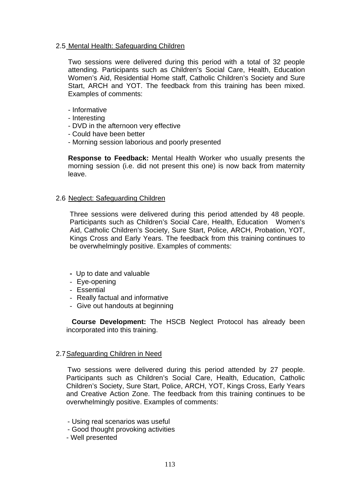#### 2.5 Mental Health: Safeguarding Children

Two sessions were delivered during this period with a total of 32 people attending. Participants such as Children's Social Care, Health, Education Women's Aid, Residential Home staff, Catholic Children's Society and Sure Start, ARCH and YOT. The feedback from this training has been mixed. Examples of comments:

- Informative
- Interesting
- DVD in the afternoon very effective
- Could have been better
- Morning session laborious and poorly presented

**Response to Feedback:** Mental Health Worker who usually presents the morning session (i.e. did not present this one) is now back from maternity leave.

### 2.6 Neglect: Safeguarding Children

Three sessions were delivered during this period attended by 48 people. Participants such as Children's Social Care, Health, Education Women's Aid, Catholic Children's Society, Sure Start, Police, ARCH, Probation, YOT, Kings Cross and Early Years. The feedback from this training continues to be overwhelmingly positive. Examples of comments:

- Up to date and valuable
- Eye-opening
- Essential
- Really factual and informative
- Give out handouts at beginning

 **Course Development:** The HSCB Neglect Protocol has already been incorporated into this training.

### 2.7 Safeguarding Children in Need

 Two sessions were delivered during this period attended by 27 people. Participants such as Children's Social Care, Health, Education, Catholic Children's Society, Sure Start, Police, ARCH, YOT, Kings Cross, Early Years and Creative Action Zone. The feedback from this training continues to be overwhelmingly positive. Examples of comments:

- Using real scenarios was useful
- Good thought provoking activities
- Well presented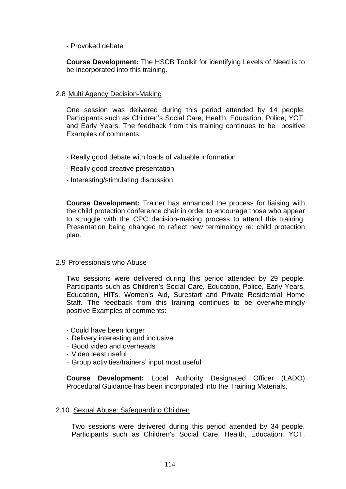### - Provoked debate

**Course Development:** The HSCB Toolkit for identifying Levels of Need is to be incorporated into this training.

## 2.8 Multi Agency Decision-Making

One session was delivered during this period attended by 14 people. Participants such as Children's Social Care, Health, Education, Police, YOT, and Early Years. The feedback from this training continues to be positive Examples of comments:

- Really good debate with loads of valuable information
- Really good creative presentation
- Interesting/stimulating discussion

**Course Development:** Trainer has enhanced the process for liaising with the child protection conference chair in order to encourage those who appear to struggle with the CPC decision-making process to attend this training. Presentation being changed to reflect new terminology re: child protection plan.

### 2.9 Professionals who Abuse

Two sessions were delivered during this period attended by 29 people. Participants such as Children's Social Care, Education, Police, Early Years, Education, HITs. Women's Aid, Surestart and Private Residential Home Staff. The feedback from this training continues to be overwhelmingly positive Examples of comments:

- Could have been longer
- Delivery interesting and inclusive
- Good video and overheads
- Video least useful
- Group activities/trainers' input most useful

**Course Development:** Local Authority Designated Officer (LADO) Procedural Guidance has been incorporated into the Training Materials.

#### 2.10 Sexual Abuse: Safeguarding Children

Two sessions were delivered during this period attended by 34 people. Participants such as Children's Social Care, Health, Education, YOT,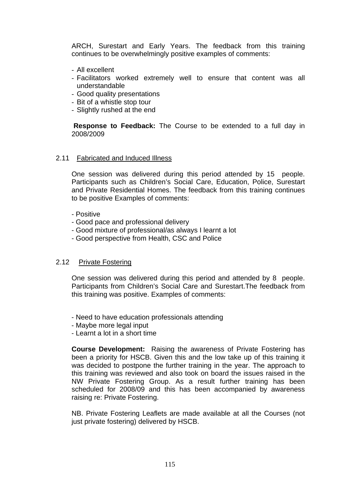ARCH, Surestart and Early Years. The feedback from this training continues to be overwhelmingly positive examples of comments:

- All excellent
- Facilitators worked extremely well to ensure that content was all understandable
- Good quality presentations
- Bit of a whistle stop tour
- Slightly rushed at the end

**Response to Feedback:** The Course to be extended to a full day in 2008/2009

#### 2.11 Fabricated and Induced Illness

One session was delivered during this period attended by 15 people. Participants such as Children's Social Care, Education, Police, Surestart and Private Residential Homes. The feedback from this training continues to be positive Examples of comments:

- Positive
- Good pace and professional delivery
- Good mixture of professional/as always I learnt a lot
- Good perspective from Health, CSC and Police

#### 2.12 Private Fostering

One session was delivered during this period and attended by 8 people. Participants from Children's Social Care and Surestart.The feedback from this training was positive. Examples of comments:

- Need to have education professionals attending
- Maybe more legal input
- Learnt a lot in a short time

**Course Development:** Raising the awareness of Private Fostering has been a priority for HSCB. Given this and the low take up of this training it was decided to postpone the further training in the year. The approach to this training was reviewed and also took on board the issues raised in the NW Private Fostering Group. As a result further training has been scheduled for 2008/09 and this has been accompanied by awareness raising re: Private Fostering.

NB. Private Fostering Leaflets are made available at all the Courses (not just private fostering) delivered by HSCB.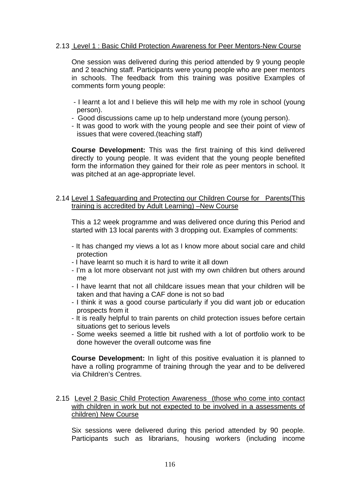## 2.13 Level 1 : Basic Child Protection Awareness for Peer Mentors-New Course

One session was delivered during this period attended by 9 young people and 2 teaching staff. Participants were young people who are peer mentors in schools. The feedback from this training was positive Examples of comments form young people:

- I learnt a lot and I believe this will help me with my role in school (young person).
- Good discussions came up to help understand more (young person).
- It was good to work with the young people and see their point of view of issues that were covered.(teaching staff)

**Course Development:** This was the first training of this kind delivered directly to young people. It was evident that the young people benefited form the information they gained for their role as peer mentors in school. It was pitched at an age-appropriate level.

#### 2.14 Level 1 Safeguarding and Protecting our Children Course for Parents(This training is accredited by Adult Learning) –New Course

This a 12 week programme and was delivered once during this Period and started with 13 local parents with 3 dropping out. Examples of comments:

- It has changed my views a lot as I know more about social care and child protection
- I have learnt so much it is hard to write it all down
- I'm a lot more observant not just with my own children but others around me
- I have learnt that not all childcare issues mean that your children will be taken and that having a CAF done is not so bad
- I think it was a good course particularly if you did want job or education prospects from it
- It is really helpful to train parents on child protection issues before certain situations get to serious levels
- Some weeks seemed a little bit rushed with a lot of portfolio work to be done however the overall outcome was fine

**Course Development:** In light of this positive evaluation it is planned to have a rolling programme of training through the year and to be delivered via Children's Centres.

2.15 Level 2 Basic Child Protection Awareness (those who come into contact with children in work but not expected to be involved in a assessments of children) New Course

Six sessions were delivered during this period attended by 90 people. Participants such as librarians, housing workers (including income